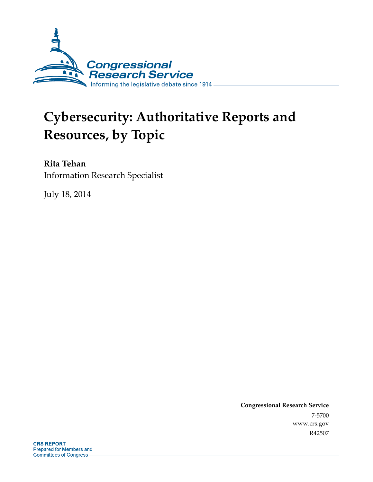

# **Cybersecurity: Authoritative Reports and Resources, by Topic**

## **Rita Tehan**

Information Research Specialist

July 18, 2014

**Congressional Research Service**  7-5700 www.crs.gov R42507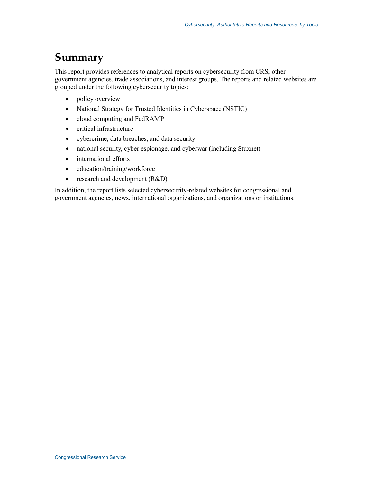## **Summary**

This report provides references to analytical reports on cybersecurity from CRS, other government agencies, trade associations, and interest groups. The reports and related websites are grouped under the following cybersecurity topics:

- policy overview
- National Strategy for Trusted Identities in Cyberspace (NSTIC)
- cloud computing and FedRAMP
- critical infrastructure
- cybercrime, data breaches, and data security
- national security, cyber espionage, and cyberwar (including Stuxnet)
- international efforts
- education/training/workforce
- research and development (R&D)

In addition, the report lists selected cybersecurity-related websites for congressional and government agencies, news, international organizations, and organizations or institutions.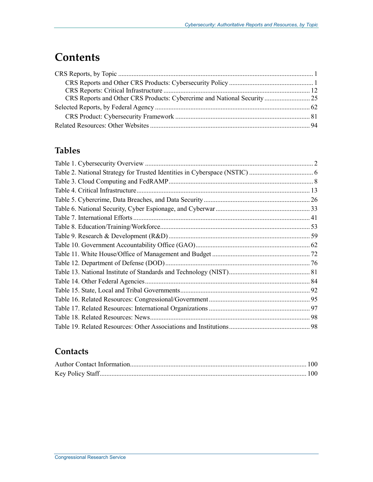## **Contents**

| CRS Reports and Other CRS Products: Cybercrime and National Security  25 |  |
|--------------------------------------------------------------------------|--|
|                                                                          |  |
|                                                                          |  |
|                                                                          |  |

## **Tables**

### **Contacts**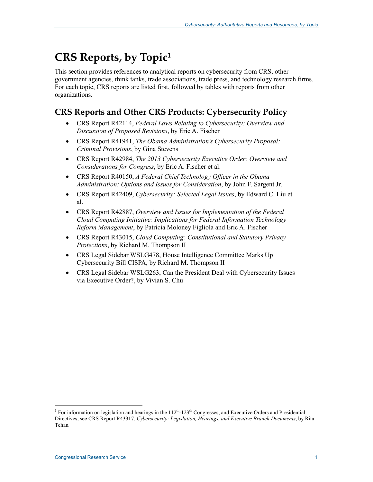## **CRS Reports, by Topic1**

This section provides references to analytical reports on cybersecurity from CRS, other government agencies, think tanks, trade associations, trade press, and technology research firms. For each topic, CRS reports are listed first, followed by tables with reports from other organizations.

## **CRS Reports and Other CRS Products: Cybersecurity Policy**

- CRS Report R42114, *Federal Laws Relating to Cybersecurity: Overview and Discussion of Proposed Revisions*, by Eric A. Fischer
- CRS Report R41941, *The Obama Administration's Cybersecurity Proposal: Criminal Provisions*, by Gina Stevens
- CRS Report R42984, *The 2013 Cybersecurity Executive Order: Overview and Considerations for Congress*, by Eric A. Fischer et al.
- CRS Report R40150, *A Federal Chief Technology Officer in the Obama Administration: Options and Issues for Consideration*, by John F. Sargent Jr.
- CRS Report R42409, *Cybersecurity: Selected Legal Issues*, by Edward C. Liu et al.
- CRS Report R42887, *Overview and Issues for Implementation of the Federal Cloud Computing Initiative: Implications for Federal Information Technology Reform Management*, by Patricia Moloney Figliola and Eric A. Fischer
- CRS Report R43015, *Cloud Computing: Constitutional and Statutory Privacy Protections*, by Richard M. Thompson II
- CRS Legal Sidebar WSLG478, House Intelligence Committee Marks Up Cybersecurity Bill CISPA, by Richard M. Thompson II
- CRS Legal Sidebar WSLG263, Can the President Deal with Cybersecurity Issues via Executive Order?, by Vivian S. Chu

<sup>&</sup>lt;sup>1</sup> For information on legislation and hearings in the 112<sup>th</sup>-123<sup>th</sup> Congresses, and Executive Orders and Presidential <sup>1</sup> Directives, see CRS Report R43317, *Cybersecurity: Legislation, Hearings, and Executive Branch Documents*, by Rita Tehan*.*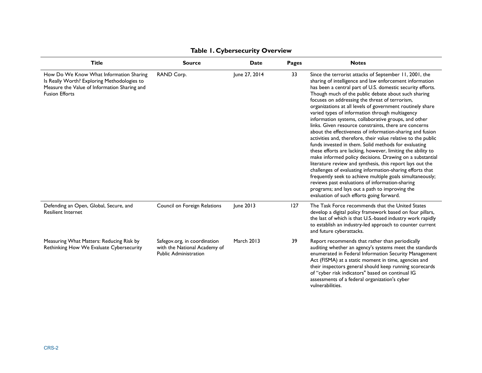| <b>Title</b>                                                                                                                                                    | <b>Source</b>                                                                                | <b>Date</b>       | <b>Pages</b> | <b>Notes</b>                                                                                                                                                                                                                                                                                                                                                                                                                                                                                                                                                                                                                                                                                                                                                                                                                                                                                                                                                                                                                                                                                                                                                                        |
|-----------------------------------------------------------------------------------------------------------------------------------------------------------------|----------------------------------------------------------------------------------------------|-------------------|--------------|-------------------------------------------------------------------------------------------------------------------------------------------------------------------------------------------------------------------------------------------------------------------------------------------------------------------------------------------------------------------------------------------------------------------------------------------------------------------------------------------------------------------------------------------------------------------------------------------------------------------------------------------------------------------------------------------------------------------------------------------------------------------------------------------------------------------------------------------------------------------------------------------------------------------------------------------------------------------------------------------------------------------------------------------------------------------------------------------------------------------------------------------------------------------------------------|
| How Do We Know What Information Sharing<br>Is Really Worth? Exploring Methodologies to<br>Measure the Value of Information Sharing and<br><b>Fusion Efforts</b> | RAND Corp.                                                                                   | June 27, 2014     | 33           | Since the terrorist attacks of September 11, 2001, the<br>sharing of intelligence and law enforcement information<br>has been a central part of U.S. domestic security efforts.<br>Though much of the public debate about such sharing<br>focuses on addressing the threat of terrorism,<br>organizations at all levels of government routinely share<br>varied types of information through multiagency<br>information systems, collaborative groups, and other<br>links. Given resource constraints, there are concerns<br>about the effectiveness of information-sharing and fusion<br>activities and, therefore, their value relative to the public<br>funds invested in them. Solid methods for evaluating<br>these efforts are lacking, however, limiting the ability to<br>make informed policy decisions. Drawing on a substantial<br>literature review and synthesis, this report lays out the<br>challenges of evaluating information-sharing efforts that<br>frequently seek to achieve multiple goals simultaneously;<br>reviews past evaluations of information-sharing<br>programs; and lays out a path to improving the<br>evaluation of such efforts going forward. |
| Defending an Open, Global, Secure, and<br><b>Resilient Internet</b>                                                                                             | Council on Foreign Relations                                                                 | June 2013         | 127          | The Task Force recommends that the United States<br>develop a digital policy framework based on four pillars,<br>the last of which is that U.S.-based industry work rapidly<br>to establish an industry-led approach to counter current<br>and future cyberattacks.                                                                                                                                                                                                                                                                                                                                                                                                                                                                                                                                                                                                                                                                                                                                                                                                                                                                                                                 |
| Measuring What Matters: Reducing Risk by<br>Rethinking How We Evaluate Cybersecurity                                                                            | Safegov.org, in coordination<br>with the National Academy of<br><b>Public Administration</b> | <b>March 2013</b> | 39           | Report recommends that rather than periodically<br>auditing whether an agency's systems meet the standards<br>enumerated in Federal Information Security Management<br>Act (FISMA) at a static moment in time, agencies and<br>their inspectors general should keep running scorecards<br>of "cyber risk indicators" based on continual IG<br>assessments of a federal organization's cyber<br>vulnerabilities.                                                                                                                                                                                                                                                                                                                                                                                                                                                                                                                                                                                                                                                                                                                                                                     |

#### **Table 1. Cybersecurity Overview**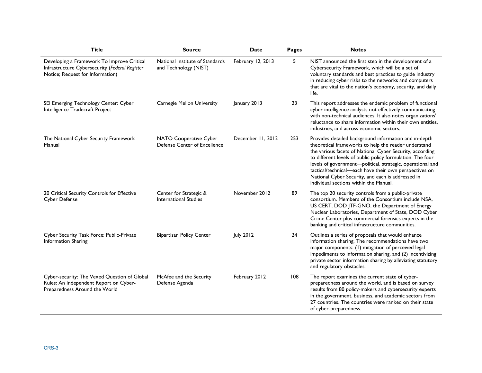| <b>Title</b>                                                                                                                     | <b>Source</b>                                            | <b>Date</b>       | Pages | <b>Notes</b>                                                                                                                                                                                                                                                                                                                                                                                                                                                   |
|----------------------------------------------------------------------------------------------------------------------------------|----------------------------------------------------------|-------------------|-------|----------------------------------------------------------------------------------------------------------------------------------------------------------------------------------------------------------------------------------------------------------------------------------------------------------------------------------------------------------------------------------------------------------------------------------------------------------------|
| Developing a Framework To Improve Critical<br>Infrastructure Cybersecurity (Federal Register<br>Notice; Request for Information) | National Institute of Standards<br>and Technology (NIST) | February 12, 2013 | 5.    | NIST announced the first step in the development of a<br>Cybersecurity Framework, which will be a set of<br>voluntary standards and best practices to guide industry<br>in reducing cyber risks to the networks and computers<br>that are vital to the nation's economy, security, and daily<br>life.                                                                                                                                                          |
| SEI Emerging Technology Center: Cyber<br>Intelligence Tradecraft Project                                                         | Carnegie Mellon University                               | January 2013      | 23    | This report addresses the endemic problem of functional<br>cyber intelligence analysts not effectively communicating<br>with non-technical audiences. It also notes organizations'<br>reluctance to share information within their own entities,<br>industries, and across economic sectors.                                                                                                                                                                   |
| The National Cyber Security Framework<br>Manual                                                                                  | NATO Cooperative Cyber<br>Defense Center of Excellence   | December 11, 2012 | 253   | Provides detailed background information and in-depth<br>theoretical frameworks to help the reader understand<br>the various facets of National Cyber Security, according<br>to different levels of public policy formulation. The four<br>levels of government-political, strategic, operational and<br>tactical/technical-each have their own perspectives on<br>National Cyber Security, and each is addressed in<br>individual sections within the Manual. |
| 20 Critical Security Controls for Effective<br>Cyber Defense                                                                     | Center for Strategic &<br><b>International Studies</b>   | November 2012     | 89    | The top 20 security controls from a public-private<br>consortium. Members of the Consortium include NSA,<br>US CERT, DOD JTF-GNO, the Department of Energy<br>Nuclear Laboratories, Department of State, DOD Cyber<br>Crime Center plus commercial forensics experts in the<br>banking and critical infrastructure communities.                                                                                                                                |
| Cyber Security Task Force: Public-Private<br>Information Sharing                                                                 | <b>Bipartisan Policy Center</b>                          | July 2012         | 24    | Outlines a series of proposals that would enhance<br>information sharing. The recommendations have two<br>major components: (1) mitigation of perceived legal<br>impediments to information sharing, and (2) incentivizing<br>private sector information sharing by alleviating statutory<br>and regulatory obstacles.                                                                                                                                         |
| Cyber-security: The Vexed Question of Global<br>Rules: An Independent Report on Cyber-<br>Preparedness Around the World          | McAfee and the Security<br>Defense Agenda                | February 2012     | 108   | The report examines the current state of cyber-<br>preparedness around the world, and is based on survey<br>results from 80 policy-makers and cybersecurity experts<br>in the government, business, and academic sectors from<br>27 countries. The countries were ranked on their state<br>of cyber-preparedness.                                                                                                                                              |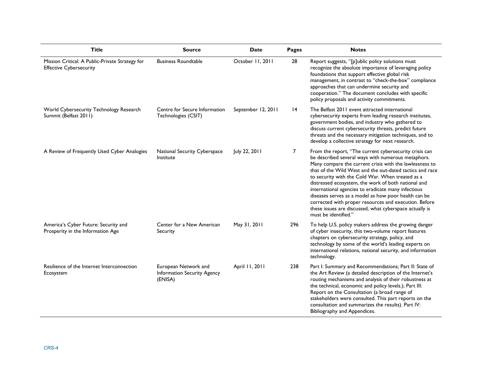| <b>Title</b>                                                                      | <b>Source</b>                                                  | <b>Date</b>        | Pages           | <b>Notes</b>                                                                                                                                                                                                                                                                                                                                                                                                                                                                                                                                                                                              |
|-----------------------------------------------------------------------------------|----------------------------------------------------------------|--------------------|-----------------|-----------------------------------------------------------------------------------------------------------------------------------------------------------------------------------------------------------------------------------------------------------------------------------------------------------------------------------------------------------------------------------------------------------------------------------------------------------------------------------------------------------------------------------------------------------------------------------------------------------|
| Mission Critical: A Public-Private Strategy for<br><b>Effective Cybersecurity</b> | <b>Business Roundtable</b>                                     | October 11, 2011   | 28              | Report suggests, "[p]ublic policy solutions must<br>recognize the absolute importance of leveraging policy<br>foundations that support effective global risk<br>management, in contrast to "check-the-box" compliance<br>approaches that can undermine security and<br>cooperation." The document concludes with specific<br>policy proposals and activity commitments.                                                                                                                                                                                                                                   |
| World Cybersecurity Technology Research<br>Summit (Belfast 2011)                  | Centre for Secure Information<br>Technologies (CSIT)           | September 12, 2011 | $\overline{14}$ | The Belfast 2011 event attracted international<br>cybersecurity experts from leading research institutes,<br>government bodies, and industry who gathered to<br>discuss current cybersecurity threats, predict future<br>threats and the necessary mitigation techniques, and to<br>develop a collective strategy for next research.                                                                                                                                                                                                                                                                      |
| A Review of Frequently Used Cyber Analogies                                       | National Security Cyberspace<br>Institute                      | July 22, 2011      | $\overline{7}$  | From the report, "The current cybersecurity crisis can<br>be described several ways with numerous metaphors.<br>Many compare the current crisis with the lawlessness to<br>that of the Wild West and the out-dated tactics and race<br>to security with the Cold War. When treated as a<br>distressed ecosystem, the work of both national and<br>international agencies to eradicate many infectious<br>diseases serves as a model as how poor health can be<br>corrected with proper resources and execution. Before<br>these issues are discussed, what cyberspace actually is<br>must be identified." |
| America's Cyber Future: Security and<br>Prosperity in the Information Age         | Center for a New American<br>Security                          | May 31, 2011       | 296             | To help U.S. policy makers address the growing danger<br>of cyber insecurity, this two-volume report features<br>chapters on cybersecurity strategy, policy, and<br>technology by some of the world's leading experts on<br>international relations, national security, and information<br>technology.                                                                                                                                                                                                                                                                                                    |
| Resilience of the Internet Interconnection<br>Ecosystem                           | European Network and<br>Information Security Agency<br>(ENISA) | April 11, 2011     | 238             | Part I: Summary and Recommendations; Part II: State of<br>the Art Review (a detailed description of the Internet's<br>routing mechanisms and analysis of their robustness at<br>the technical, economic and policy levels.); Part III:<br>Report on the Consultation (a broad range of<br>stakeholders were consulted. This part reports on the<br>consultation and summarizes the results). Part IV:<br>Bibliography and Appendices.                                                                                                                                                                     |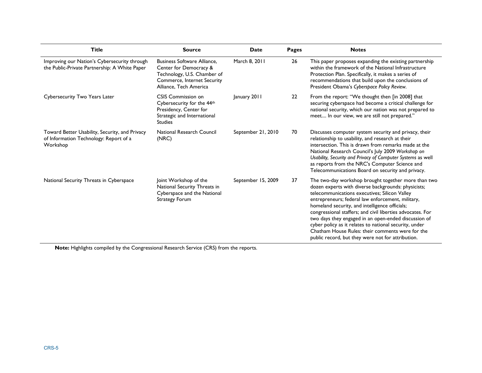| <b>Title</b>                                                                                         | <b>Source</b>                                                                                                                                        | <b>Date</b>        | <b>Pages</b>      | <b>Notes</b>                                                                                                                                                                                                                                                                                                                                                                                                                                                                                                                                                |
|------------------------------------------------------------------------------------------------------|------------------------------------------------------------------------------------------------------------------------------------------------------|--------------------|-------------------|-------------------------------------------------------------------------------------------------------------------------------------------------------------------------------------------------------------------------------------------------------------------------------------------------------------------------------------------------------------------------------------------------------------------------------------------------------------------------------------------------------------------------------------------------------------|
| Improving our Nation's Cybersecurity through<br>the Public-Private Partnership: A White Paper        | <b>Business Software Alliance.</b><br>Center for Democracy &<br>Technology, U.S. Chamber of<br>Commerce, Internet Security<br>Alliance, Tech America | March 8, 2011      | 26                | This paper proposes expanding the existing partnership<br>within the framework of the National Infrastructure<br>Protection Plan. Specifically, it makes a series of<br>recommendations that build upon the conclusions of<br>President Obama's Cyberspace Policy Review.                                                                                                                                                                                                                                                                                   |
| Cybersecurity Two Years Later                                                                        | CSIS Commission on<br>Cybersecurity for the 44th<br>Presidency, Center for<br>Strategic and International<br><b>Studies</b>                          | January 2011       | $22 \overline{ }$ | From the report: "We thought then [in 2008] that<br>securing cyberspace had become a critical challenge for<br>national security, which our nation was not prepared to<br>meet In our view, we are still not prepared."                                                                                                                                                                                                                                                                                                                                     |
| Toward Better Usability, Security, and Privacy<br>of Information Technology: Report of a<br>Workshop | National Research Council<br>(NRC)                                                                                                                   | September 21, 2010 | 70                | Discusses computer system security and privacy, their<br>relationship to usability, and research at their<br>intersection. This is drawn from remarks made at the<br>National Research Council's July 2009 Workshop on<br>Usability, Security and Privacy of Computer Systems as well<br>as reports from the NRC's Computer Science and<br>Telecommunications Board on security and privacy.                                                                                                                                                                |
| National Security Threats in Cyberspace                                                              | Joint Workshop of the<br>National Security Threats in<br>Cyberspace and the National<br>Strategy Forum                                               | September 15, 2009 | 37                | The two-day workshop brought together more than two<br>dozen experts with diverse backgrounds: physicists;<br>telecommunications executives; Silicon Valley<br>entrepreneurs; federal law enforcement, military,<br>homeland security, and intelligence officials;<br>congressional staffers; and civil liberties advocates. For<br>two days they engaged in an open-ended discussion of<br>cyber policy as it relates to national security, under<br>Chatham House Rules: their comments were for the<br>public record, but they were not for attribution. |

**Note:** Highlights compiled by the Congressional Research Service (CRS) from the reports.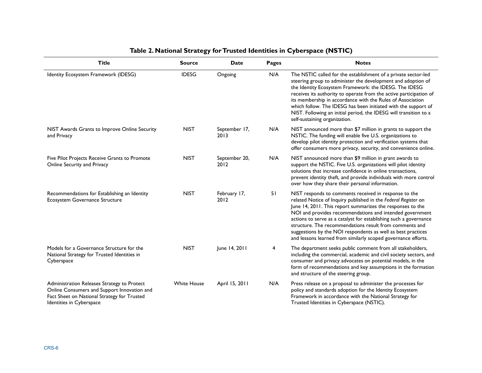| <b>Title</b>                                                                                                                                                          | <b>Source</b>      | Date                  | Pages | <b>Notes</b>                                                                                                                                                                                                                                                                                                                                                                                                                                                                                                       |
|-----------------------------------------------------------------------------------------------------------------------------------------------------------------------|--------------------|-----------------------|-------|--------------------------------------------------------------------------------------------------------------------------------------------------------------------------------------------------------------------------------------------------------------------------------------------------------------------------------------------------------------------------------------------------------------------------------------------------------------------------------------------------------------------|
| Identity Ecosystem Framework (IDESG)                                                                                                                                  | <b>IDESG</b>       | Ongoing               | N/A   | The NSTIC called for the establishment of a private sector-led<br>steering group to administer the development and adoption of<br>the Identity Ecosystem Framework: the IDESG. The IDESG<br>receives its authority to operate from the active participation of<br>its membership in accordance with the Rules of Association<br>which follow. The IDESG has been initiated with the support of<br>NIST. Following an initial period, the IDESG will transition to a<br>self-sustaining organization.               |
| NIST Awards Grants to Improve Online Security<br>and Privacy                                                                                                          | <b>NIST</b>        | September 17,<br>2013 | N/A   | NIST announced more than \$7 million in grants to support the<br>NSTIC. The funding will enable five U.S. organizations to<br>develop pilot identity protection and verification systems that<br>offer consumers more privacy, security, and convenience online.                                                                                                                                                                                                                                                   |
| Five Pilot Projects Receive Grants to Promote<br>Online Security and Privacy                                                                                          | <b>NIST</b>        | September 20,<br>2012 | N/A   | NIST announced more than \$9 million in grant awards to<br>support the NSTIC. Five U.S. organizations will pilot identity<br>solutions that increase confidence in online transactions,<br>prevent identity theft, and provide individuals with more control<br>over how they share their personal information.                                                                                                                                                                                                    |
| Recommendations for Establishing an Identity<br>Ecosystem Governance Structure                                                                                        | <b>NIST</b>        | February 17,<br>2012  | 51    | NIST responds to comments received in response to the<br>related Notice of Inquiry published in the Federal Register on<br>June 14, 2011. This report summarizes the responses to the<br>NOI and provides recommendations and intended government<br>actions to serve as a catalyst for establishing such a governance<br>structure. The recommendations result from comments and<br>suggestions by the NOI respondents as well as best practices<br>and lessons learned from similarly scoped governance efforts. |
| Models for a Governance Structure for the<br>National Strategy for Trusted Identities in<br>Cyberspace                                                                | <b>NIST</b>        | June 14, 2011         | 4     | The department seeks public comment from all stakeholders,<br>including the commercial, academic and civil society sectors, and<br>consumer and privacy advocates on potential models, in the<br>form of recommendations and key assumptions in the formation<br>and structure of the steering group.                                                                                                                                                                                                              |
| Administration Releases Strategy to Protect<br>Online Consumers and Support Innovation and<br>Fact Sheet on National Strategy for Trusted<br>Identities in Cyberspace | <b>White House</b> | April 15, 2011        | N/A   | Press release on a proposal to administer the processes for<br>policy and standards adoption for the Identity Ecosystem<br>Framework in accordance with the National Strategy for<br>Trusted Identities in Cyberspace (NSTIC).                                                                                                                                                                                                                                                                                     |

#### **Table 2. National Strategy for Trusted Identities in Cyberspace (NSTIC)**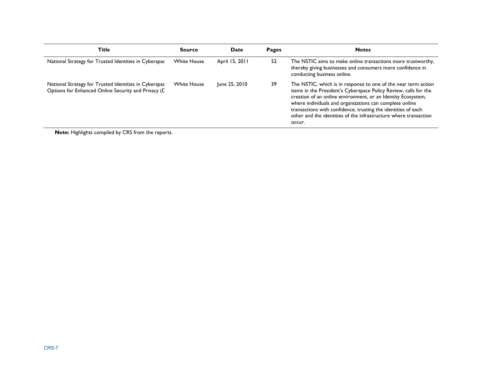| <b>Title</b>                                                                                                 | <b>Source</b>      | Date           | <b>Pages</b> | <b>Notes</b>                                                                                                                                                                                                                                                                                                                                                                                                 |
|--------------------------------------------------------------------------------------------------------------|--------------------|----------------|--------------|--------------------------------------------------------------------------------------------------------------------------------------------------------------------------------------------------------------------------------------------------------------------------------------------------------------------------------------------------------------------------------------------------------------|
| National Strategy for Trusted Identities in Cyberspac                                                        | <b>White House</b> | April 15, 2011 | 52           | The NSTIC aims to make online transactions more trustworthy,<br>thereby giving businesses and consumers more confidence in<br>conducting business online.                                                                                                                                                                                                                                                    |
| National Strategy for Trusted Identities in Cyberspac<br>Options for Enhanced Online Security and Privacy (L | <b>White House</b> | June 25, 2010  | 39           | The NSTIC, which is in response to one of the near term action<br>items in the President's Cyberspace Policy Review, calls for the<br>creation of an online environment, or an Identity Ecosystem,<br>where individuals and organizations can complete online<br>transactions with confidence, trusting the identities of each<br>other and the identities of the infrastructure where transaction<br>occur. |

**Note:** Highlights compiled by CRS from the reports.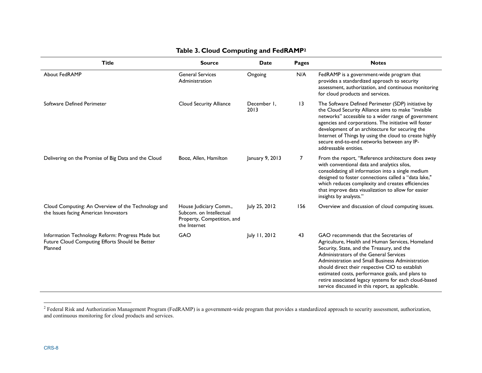| <b>Title</b>                                                                                                   | <b>Source</b>                                                                                   | <b>Date</b>         | <b>Pages</b>    | <b>Notes</b>                                                                                                                                                                                                                                                                                                                                                                                                                                               |
|----------------------------------------------------------------------------------------------------------------|-------------------------------------------------------------------------------------------------|---------------------|-----------------|------------------------------------------------------------------------------------------------------------------------------------------------------------------------------------------------------------------------------------------------------------------------------------------------------------------------------------------------------------------------------------------------------------------------------------------------------------|
| About FedRAMP                                                                                                  | <b>General Services</b><br>Administration                                                       | Ongoing             | N/A             | FedRAMP is a government-wide program that<br>provides a standardized approach to security<br>assessment, authorization, and continuous monitoring<br>for cloud products and services.                                                                                                                                                                                                                                                                      |
| Software Defined Perimeter                                                                                     | Cloud Security Alliance                                                                         | December 1.<br>2013 | $\overline{13}$ | The Software Defined Perimeter (SDP) initiative by<br>the Cloud Security Alliance aims to make "invisible<br>networks" accessible to a wider range of government<br>agencies and corporations. The initiative will foster<br>development of an architecture for securing the<br>Internet of Things by using the cloud to create highly<br>secure end-to-end networks between any IP-<br>addressable entities.                                              |
| Delivering on the Promise of Big Data and the Cloud                                                            | Booz, Allen, Hamilton                                                                           | January 9, 2013     | 7               | From the report, "Reference architecture does away<br>with conventional data and analytics silos,<br>consolidating all information into a single medium<br>designed to foster connections called a "data lake,"<br>which reduces complexity and creates efficiencies<br>that improve data visualization to allow for easier<br>insights by analysts."                                                                                                      |
| Cloud Computing: An Overview of the Technology and<br>the Issues facing American Innovators                    | House Judiciary Comm.,<br>Subcom, on Intellectual<br>Property, Competition, and<br>the Internet | July 25, 2012       | 156             | Overview and discussion of cloud computing issues.                                                                                                                                                                                                                                                                                                                                                                                                         |
| Information Technology Reform: Progress Made but<br>Future Cloud Computing Efforts Should be Better<br>Planned | <b>GAO</b>                                                                                      | July 11, 2012       | 43              | GAO recommends that the Secretaries of<br>Agriculture, Health and Human Services, Homeland<br>Security, State, and the Treasury, and the<br>Administrators of the General Services<br>Administration and Small Business Administration<br>should direct their respective CIO to establish<br>estimated costs, performance goals, and plans to<br>retire associated legacy systems for each cloud-based<br>service discussed in this report, as applicable. |

#### **Table 3. Cloud Computing and FedRAMP2**

 $^2$  Federal Risk and Authorization Management Program (FedRAMP) is a government-wide program that provides a standardized approach to security assessment, authorization, and continuous monitoring for cloud products and services.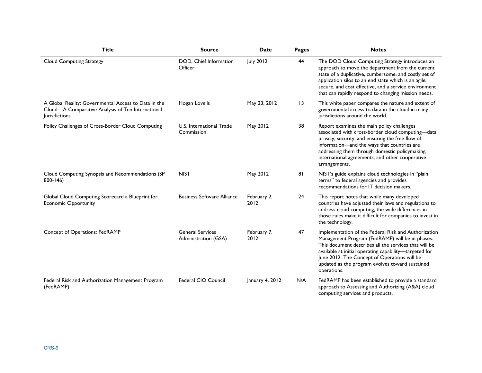| <b>Title</b>                                                                                                                      | <b>Source</b>                                   | <b>Date</b>         | Pages           | <b>Notes</b>                                                                                                                                                                                                                                                                                                                                 |
|-----------------------------------------------------------------------------------------------------------------------------------|-------------------------------------------------|---------------------|-----------------|----------------------------------------------------------------------------------------------------------------------------------------------------------------------------------------------------------------------------------------------------------------------------------------------------------------------------------------------|
| <b>Cloud Computing Strategy</b>                                                                                                   | DOD, Chief Information<br>Officer               | <b>July 2012</b>    | 44              | The DOD Cloud Computing Strategy introduces an<br>approach to move the department from the current<br>state of a duplicative, cumbersome, and costly set of<br>application silos to an end state which is an agile,<br>secure, and cost effective, and a service environment<br>that can rapidly respond to changing mission needs.          |
| A Global Reality: Governmental Access to Data in the<br>Cloud-A Comparative Analysis of Ten International<br><b>Jurisdictions</b> | Hogan Lovells                                   | May 23, 2012        | $\overline{13}$ | This white paper compares the nature and extent of<br>governmental access to data in the cloud in many<br>jurisdictions around the world.                                                                                                                                                                                                    |
| Policy Challenges of Cross-Border Cloud Computing                                                                                 | U.S. International Trade<br>Commission          | May 2012            | 38              | Report examines the main policy challenges<br>associated with cross-border cloud computing-data<br>privacy, security, and ensuring the free flow of<br>information-and the ways that countries are<br>addressing them through domestic policymaking,<br>international agreements, and other cooperative<br>arrangements.                     |
| Cloud Computing Synopsis and Recommendations (SP<br>$800 - 146$                                                                   | <b>NIST</b>                                     | May 2012            | 81              | NIST's guide explains cloud technologies in "plain<br>terms" to federal agencies and provides<br>recommendations for IT decision makers.                                                                                                                                                                                                     |
| Global Cloud Computing Scorecard a Blueprint for<br><b>Economic Opportunity</b>                                                   | <b>Business Software Alliance</b>               | February 2,<br>2012 | 24              | This report notes that while many developed<br>countries have adjusted their laws and regulations to<br>address cloud computing, the wide differences in<br>those rules make it difficult for companies to invest in<br>the technology.                                                                                                      |
| Concept of Operations: FedRAMP                                                                                                    | <b>General Services</b><br>Administration (GSA) | February 7,<br>2012 | 47              | Implementation of the Federal Risk and Authorization<br>Management Program (FedRAMP) will be in phases.<br>This document describes all the services that will be<br>available at initial operating capability-targeted for<br>June 2012. The Concept of Operations will be<br>updated as the program evolves toward sustained<br>operations. |
| Federal Risk and Authorization Management Program<br>(FedRAMP)                                                                    | Federal CIO Council                             | January 4, 2012     | N/A             | FedRAMP has been established to provide a standard<br>approach to Assessing and Authorizing (A&A) cloud<br>computing services and products.                                                                                                                                                                                                  |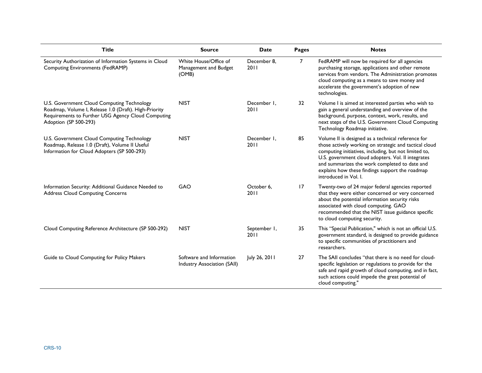| <b>Title</b>                                                                                                                                                                       | <b>Source</b>                                           | <b>Date</b>          | Pages          | <b>Notes</b>                                                                                                                                                                                                                                                                                                                                             |
|------------------------------------------------------------------------------------------------------------------------------------------------------------------------------------|---------------------------------------------------------|----------------------|----------------|----------------------------------------------------------------------------------------------------------------------------------------------------------------------------------------------------------------------------------------------------------------------------------------------------------------------------------------------------------|
| Security Authorization of Information Systems in Cloud<br>Computing Environments (FedRAMP)                                                                                         | White House/Office of<br>Management and Budget<br>(OMB) | December 8.<br>2011  | $\overline{7}$ | FedRAMP will now be required for all agencies<br>purchasing storage, applications and other remote<br>services from vendors. The Administration promotes<br>cloud computing as a means to save money and<br>accelerate the government's adoption of new<br>technologies.                                                                                 |
| U.S. Government Cloud Computing Technology<br>Roadmap, Volume I, Release 1.0 (Draft). High-Priority<br>Requirements to Further USG Agency Cloud Computing<br>Adoption (SP 500-293) | <b>NIST</b>                                             | December I.<br>2011  | 32             | Volume I is aimed at interested parties who wish to<br>gain a general understanding and overview of the<br>background, purpose, context, work, results, and<br>next steps of the U.S. Government Cloud Computing<br>Technology Roadmap initiative.                                                                                                       |
| U.S. Government Cloud Computing Technology<br>Roadmap, Release 1.0 (Draft), Volume II Useful<br>Information for Cloud Adopters (SP 500-293)                                        | <b>NIST</b>                                             | December I.<br>2011  | 85             | Volume II is designed as a technical reference for<br>those actively working on strategic and tactical cloud<br>computing initiatives, including, but not limited to,<br>U.S. government cloud adopters. Vol. Il integrates<br>and summarizes the work completed to date and<br>explains how these findings support the roadmap<br>introduced in Vol. I. |
| Information Security: Additional Guidance Needed to<br><b>Address Cloud Computing Concerns</b>                                                                                     | <b>GAO</b>                                              | October 6,<br>2011   | 17             | Twenty-two of 24 major federal agencies reported<br>that they were either concerned or very concerned<br>about the potential information security risks<br>associated with cloud computing. GAO<br>recommended that the NIST issue guidance specific<br>to cloud computing security.                                                                     |
| Cloud Computing Reference Architecture (SP 500-292)                                                                                                                                | <b>NIST</b>                                             | September I,<br>2011 | 35             | This "Special Publication," which is not an official U.S.<br>government standard, is designed to provide guidance<br>to specific communities of practitioners and<br>researchers.                                                                                                                                                                        |
| Guide to Cloud Computing for Policy Makers                                                                                                                                         | Software and Information<br>Industry Association (SAII) | July 26, 2011        | 27             | The SAII concludes "that there is no need for cloud-<br>specific legislation or regulations to provide for the<br>safe and rapid growth of cloud computing, and in fact,<br>such actions could impede the great potential of<br>cloud computing."                                                                                                        |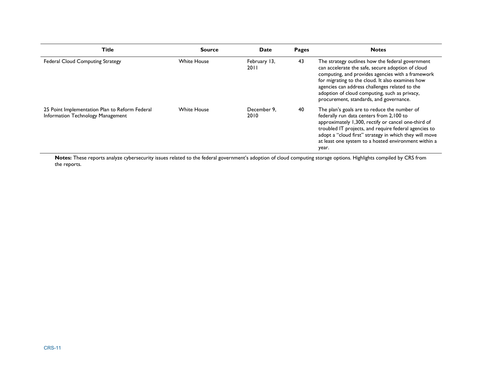| <b>Title</b>                                                                        | <b>Source</b>      | <b>Date</b>            | Pages | <b>Notes</b>                                                                                                                                                                                                                                                                                                                                                 |
|-------------------------------------------------------------------------------------|--------------------|------------------------|-------|--------------------------------------------------------------------------------------------------------------------------------------------------------------------------------------------------------------------------------------------------------------------------------------------------------------------------------------------------------------|
| <b>Federal Cloud Computing Strategy</b>                                             | <b>White House</b> | February 13,<br>20 I I | 43    | The strategy outlines how the federal government<br>can accelerate the safe, secure adoption of cloud<br>computing, and provides agencies with a framework<br>for migrating to the cloud. It also examines how<br>agencies can address challenges related to the<br>adoption of cloud computing, such as privacy,<br>procurement, standards, and governance. |
| 25 Point Implementation Plan to Reform Federal<br>Information Technology Management | <b>White House</b> | December 9.<br>2010    | 40    | The plan's goals are to reduce the number of<br>federally run data centers from 2,100 to<br>approximately 1,300, rectify or cancel one-third of<br>troubled IT projects, and require federal agencies to<br>adopt a "cloud first" strategy in which they will move<br>at least one system to a hosted environment within a<br>year.                          |

**Notes:** These reports analyze cybersecurity issues related to the federal government's adoption of cloud computing storage options. Highlights compiled by CRS from the reports.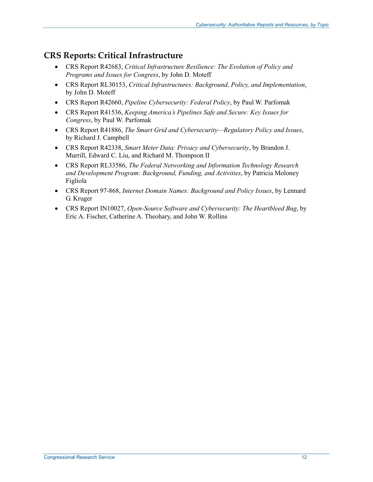#### **CRS Reports: Critical Infrastructure**

- CRS Report R42683, *Critical Infrastructure Resilience: The Evolution of Policy and Programs and Issues for Congress*, by John D. Moteff
- CRS Report RL30153, *Critical Infrastructures: Background, Policy, and Implementation*, by John D. Moteff
- CRS Report R42660, *Pipeline Cybersecurity: Federal Policy*, by Paul W. Parfomak
- CRS Report R41536, *Keeping America's Pipelines Safe and Secure: Key Issues for Congress*, by Paul W. Parfomak
- CRS Report R41886, *The Smart Grid and Cybersecurity—Regulatory Policy and Issues*, by Richard J. Campbell
- CRS Report R42338, *Smart Meter Data: Privacy and Cybersecurity*, by Brandon J. Murrill, Edward C. Liu, and Richard M. Thompson II
- CRS Report RL33586, *The Federal Networking and Information Technology Research and Development Program: Background, Funding, and Activities*, by Patricia Moloney Figliola
- CRS Report 97-868, *Internet Domain Names: Background and Policy Issues*, by Lennard G. Kruger
- CRS Report IN10027, *Open-Source Software and Cybersecurity: The Heartbleed Bug*, by Eric A. Fischer, Catherine A. Theohary, and John W. Rollins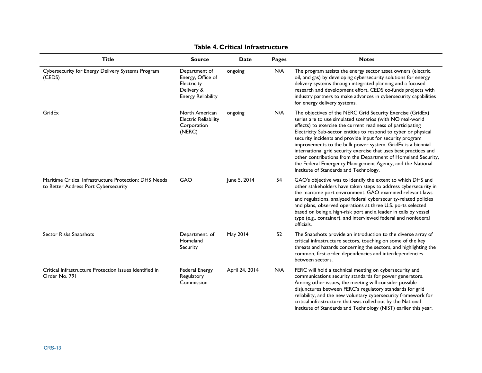| <b>Title</b>                                                                                   | <b>Source</b>                                                                                | <b>Date</b>    | <b>Pages</b> | <b>Notes</b>                                                                                                                                                                                                                                                                                                                                                                                                                                                                                                                                                                                                                       |
|------------------------------------------------------------------------------------------------|----------------------------------------------------------------------------------------------|----------------|--------------|------------------------------------------------------------------------------------------------------------------------------------------------------------------------------------------------------------------------------------------------------------------------------------------------------------------------------------------------------------------------------------------------------------------------------------------------------------------------------------------------------------------------------------------------------------------------------------------------------------------------------------|
| Cybersecurity for Energy Delivery Systems Program<br>(CEDS)                                    | Department of<br>Energy, Office of<br>Electricity<br>Delivery &<br><b>Energy Reliability</b> | ongoing        | N/A          | The program assists the energy sector asset owners (electric,<br>oil, and gas) by developing cybersecurity solutions for energy<br>delivery systems through integrated planning and a focused<br>research and development effort. CEDS co-funds projects with<br>industry partners to make advances in cybersecurity capabilities<br>for energy delivery systems.                                                                                                                                                                                                                                                                  |
| GridEx                                                                                         | North American<br><b>Electric Reliability</b><br>Corporation<br>(NERC)                       | ongoing        | N/A          | The objectives of the NERC Grid Security Exercise (GridEx)<br>series are to use simulated scenarios (with NO real-world<br>effects) to exercise the current readiness of participating<br>Electricity Sub-sector entities to respond to cyber or physical<br>security incidents and provide input for security program<br>improvements to the bulk power system. GridEx is a biennial<br>international grid security exercise that uses best practices and<br>other contributions from the Department of Homeland Security,<br>the Federal Emergency Management Agency, and the National<br>Institute of Standards and Technology. |
| Maritime Critical Infrastructure Protection: DHS Needs<br>to Better Address Port Cybersecurity | GAO                                                                                          | June 5, 2014   | 54           | GAO's objective was to identify the extent to which DHS and<br>other stakeholders have taken steps to address cybersecurity in<br>the maritime port environment. GAO examined relevant laws<br>and regulations, analyzed federal cybersecurity-related policies<br>and plans, observed operations at three U.S. ports selected<br>based on being a high-risk port and a leader in calls by vessel<br>type (e.g., container), and interviewed federal and nonfederal<br>officials.                                                                                                                                                  |
| Sector Risks Snapshots                                                                         | Department. of<br>Homeland<br>Security                                                       | May 2014       | 52           | The Snapshots provide an introduction to the diverse array of<br>critical infrastructure sectors, touching on some of the key<br>threats and hazards concerning the sectors, and highlighting the<br>common, first-order dependencies and interdependencies<br>between sectors.                                                                                                                                                                                                                                                                                                                                                    |
| Critical Infrastructure Protection Issues Identified in<br>Order No. 791                       | <b>Federal Energy</b><br>Regulatory<br>Commission                                            | April 24, 2014 | N/A          | FERC will hold a technical meeting on cybersecurity and<br>communications security standards for power generators.<br>Among other issues, the meeting will consider possible<br>disjunctures between FERC's regulatory standards for grid<br>reliability, and the new voluntary cybersecurity framework for<br>critical infrastructure that was rolled out by the National                                                                                                                                                                                                                                                         |

Institute of Standards and Technology (NIST) earlier this year.

#### **Table 4. Critical Infrastructure**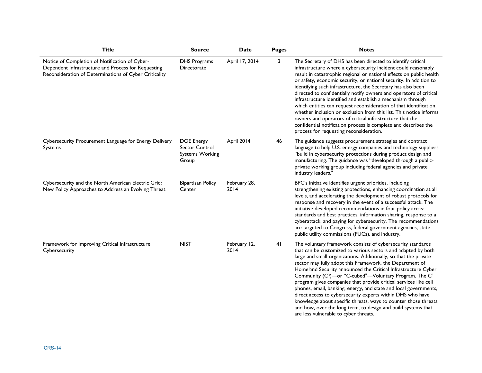| <b>Title</b>                                                                                                                                                    | <b>Source</b>                                                          | <b>Date</b>          | <b>Pages</b> | <b>Notes</b>                                                                                                                                                                                                                                                                                                                                                                                                                                                                                                                                                                                                                                                                                                                                                                                           |
|-----------------------------------------------------------------------------------------------------------------------------------------------------------------|------------------------------------------------------------------------|----------------------|--------------|--------------------------------------------------------------------------------------------------------------------------------------------------------------------------------------------------------------------------------------------------------------------------------------------------------------------------------------------------------------------------------------------------------------------------------------------------------------------------------------------------------------------------------------------------------------------------------------------------------------------------------------------------------------------------------------------------------------------------------------------------------------------------------------------------------|
| Notice of Completion of Notification of Cyber-<br>Dependent Infrastructure and Process for Requesting<br>Reconsideration of Determinations of Cyber Criticality | <b>DHS Programs</b><br>Directorate                                     | April 17, 2014       | 3            | The Secretary of DHS has been directed to identify critical<br>infrastructure where a cybersecurity incident could reasonably<br>result in catastrophic regional or national effects on public health<br>or safety, economic security, or national security. In addition to<br>identifying such infrastructure, the Secretary has also been<br>directed to confidentially notify owners and operators of critical<br>infrastructure identified and establish a mechanism through<br>which entities can request reconsideration of that identification,<br>whether inclusion or exclusion from this list. This notice informs<br>owners and operators of critical infrastructure that the<br>confidential notification process is complete and describes the<br>process for requesting reconsideration. |
| Cybersecurity Procurement Language for Energy Delivery<br>Systems                                                                                               | <b>DOE Energy</b><br>Sector Control<br><b>Systems Working</b><br>Group | April 2014           | 46           | The guidance suggests procurement strategies and contract<br>language to help U.S. energy companies and technology suppliers<br>"build in cybersecurity protections during product design and<br>manufacturing. The guidance was "developed through a public-<br>private working group including federal agencies and private<br>industry leaders."                                                                                                                                                                                                                                                                                                                                                                                                                                                    |
| Cybersecurity and the North American Electric Grid:<br>New Policy Approaches to Address an Evolving Threat                                                      | <b>Bipartisan Policy</b><br>Center                                     | February 28,<br>2014 |              | BPC's initiative identifies urgent priorities, including<br>strengthening existing protections, enhancing coordination at all<br>levels, and accelerating the development of robust protocols for<br>response and recovery in the event of a successful attack. The<br>initiative developed recommendations in four policy areas:<br>standards and best practices, information sharing, response to a<br>cyberattack, and paying for cybersecurity. The recommendations<br>are targeted to Congress, federal government agencies, state<br>public utility commissions (PUCs), and industry.                                                                                                                                                                                                            |
| Framework for Improving Critical Infrastructure<br>Cybersecurity                                                                                                | <b>NIST</b>                                                            | February 12,<br>2014 | 41           | The voluntary framework consists of cybersecurity standards<br>that can be customized to various sectors and adapted by both<br>large and small organizations. Additionally, so that the private<br>sector may fully adopt this Framework, the Department of<br>Homeland Security announced the Critical Infrastructure Cyber<br>Community (C <sup>3</sup> )-or "C-cubed"-Voluntary Program. The C <sup>3</sup><br>program gives companies that provide critical services like cell<br>phones, email, banking, energy, and state and local governments,<br>direct access to cybersecurity experts within DHS who have<br>knowledge about specific threats, ways to counter those threats,<br>and how, over the long term, to design and build systems that<br>are less vulnerable to cyber threats.    |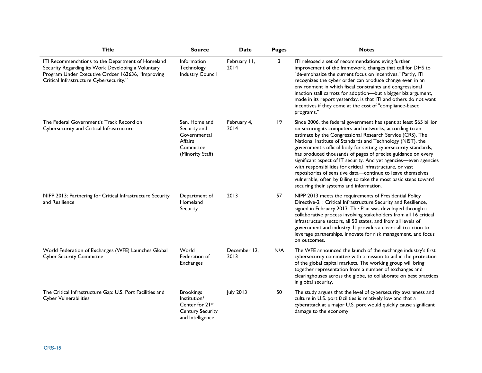| <b>Title</b>                                                                                                                                                                                            | <b>Source</b>                                                                                      | <b>Date</b>          | Pages | <b>Notes</b>                                                                                                                                                                                                                                                                                                                                                                                                                                                                                                                                                                                                                                                                                                 |
|---------------------------------------------------------------------------------------------------------------------------------------------------------------------------------------------------------|----------------------------------------------------------------------------------------------------|----------------------|-------|--------------------------------------------------------------------------------------------------------------------------------------------------------------------------------------------------------------------------------------------------------------------------------------------------------------------------------------------------------------------------------------------------------------------------------------------------------------------------------------------------------------------------------------------------------------------------------------------------------------------------------------------------------------------------------------------------------------|
| ITI Recommendations to the Department of Homeland<br>Security Regarding its Work Developing a Voluntary<br>Program Under Executive Ordcer 163636, "Improving<br>Critical Infrastructure Cybersecurity." | Information<br>Technology<br><b>Industry Council</b>                                               | February II,<br>2014 | 3     | ITI released a set of recommendations eying further<br>improvement of the framework, changes that call for DHS to<br>"de-emphasize the current focus on incentives." Partly, ITI<br>recognizes the cyber order can produce change even in an<br>environment in which fiscal constraints and congressional<br>inaction stall carrots for adoption-but a bigger biz argument,<br>made in its report yesterday, is that ITI and others do not want<br>incentives if they come at the cost of "compliance-based<br>programs."                                                                                                                                                                                    |
| The Federal Government's Track Record on<br>Cybersecurity and Critical Infrastructure                                                                                                                   | Sen. Homeland<br>Security and<br>Governmental<br><b>Affairs</b><br>Committee<br>(Minority Staff)   | February 4,<br>2014  | 19    | Since 2006, the federal government has spent at least \$65 billion<br>on securing its computers and networks, according to an<br>estimate by the Congressional Research Service (CRS). The<br>National Institute of Standards and Technology (NIST), the<br>government's official body for setting cybersecurity standards,<br>has produced thousands of pages of precise guidance on every<br>significant aspect of IT security. And yet agencies-even agencies<br>with responsibilities for critical infrastructure, or vast<br>repositories of sensitive data-continue to leave themselves<br>vulnerable, often by failing to take the most basic steps toward<br>securing their systems and information. |
| NIPP 2013: Partnering for Critical Infrastructure Security<br>and Resilience                                                                                                                            | Department of<br>Homeland<br>Security                                                              | 2013                 | 57    | NIPP 2013 meets the requirements of Presidential Policy<br>Directive-21: Critical Infrastructure Security and Resilience,<br>signed in February 2013. The Plan was developed through a<br>collaborative process involving stakeholders from all 16 critical<br>infrastructure sectors, all 50 states, and from all levels of<br>government and industry. It provides a clear call to action to<br>leverage partnerships, innovate for risk management, and focus<br>on outcomes.                                                                                                                                                                                                                             |
| World Federation of Exchanges (WFE) Launches Global<br><b>Cyber Security Committee</b>                                                                                                                  | World<br>Federation of<br><b>Exchanges</b>                                                         | December 12,<br>2013 | N/A   | The WFE announced the launch of the exchange industry's first<br>cybersecurity committee with a mission to aid in the protection<br>of the global capital markets. The working group will bring<br>together representation from a number of exchanges and<br>clearinghouses across the globe, to collaborate on best practices<br>in global security.                                                                                                                                                                                                                                                                                                                                                        |
| The Critical Infrastructure Gap: U.S. Port Facilities and<br><b>Cyber Vulnerabilities</b>                                                                                                               | <b>Brookings</b><br>Institution/<br>Center for 21st<br><b>Century Security</b><br>and Intelligence | July 2013            | 50    | The study argues that the level of cybersecurity awareness and<br>culture in U.S. port facilities is relatively low and that a<br>cyberattack at a major U.S. port would quickly cause significant<br>damage to the economy.                                                                                                                                                                                                                                                                                                                                                                                                                                                                                 |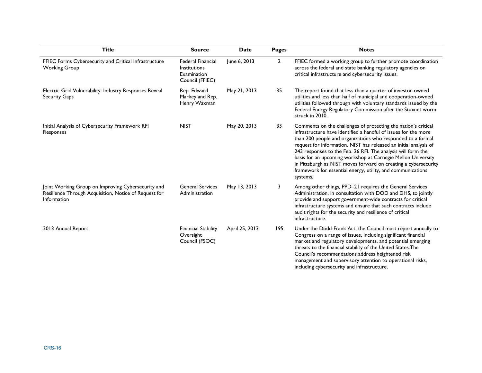| <b>Title</b>                                                                                                               | <b>Source</b>                                                                     | <b>Date</b>    | Pages        | <b>Notes</b>                                                                                                                                                                                                                                                                                                                                                                                                                                                                                                                                        |
|----------------------------------------------------------------------------------------------------------------------------|-----------------------------------------------------------------------------------|----------------|--------------|-----------------------------------------------------------------------------------------------------------------------------------------------------------------------------------------------------------------------------------------------------------------------------------------------------------------------------------------------------------------------------------------------------------------------------------------------------------------------------------------------------------------------------------------------------|
| FFIEC Forms Cybersecurity and Critical Infrastructure<br><b>Working Group</b>                                              | <b>Federal Financial</b><br><b>Institutions</b><br>Examination<br>Council (FFIEC) | June 6, 2013   | $\mathbf{2}$ | FFIEC formed a working group to further promote coordination<br>across the federal and state banking regulatory agencies on<br>critical infrastructure and cybersecurity issues.                                                                                                                                                                                                                                                                                                                                                                    |
| Electric Grid Vulnerability: Industry Responses Reveal<br><b>Security Gaps</b>                                             | Rep. Edward<br>Markey and Rep.<br>Henry Waxman                                    | May 21, 2013   | 35           | The report found that less than a quarter of investor-owned<br>utilities and less than half of municipal and cooperation-owned<br>utilities followed through with voluntary standards issued by the<br>Federal Energy Regulatory Commission after the Stuxnet worm<br>struck in 2010.                                                                                                                                                                                                                                                               |
| Initial Analysis of Cybersecurity Framework RFI<br>Responses                                                               | <b>NIST</b>                                                                       | May 20, 2013   | 33           | Comments on the challenges of protecting the nation's critical<br>infrastructure have identified a handful of issues for the more<br>than 200 people and organizations who responded to a formal<br>request for information. NIST has released an initial analysis of<br>243 responses to the Feb. 26 RFI. The analysis will form the<br>basis for an upcoming workshop at Carnegie Mellon University<br>in Pittsburgh as NIST moves forward on creating a cybersecurity<br>framework for essential energy, utility, and communications<br>systems. |
| Joint Working Group on Improving Cybersecurity and<br>Resilience Through Acquisition, Notice of Request for<br>Information | <b>General Services</b><br>Administration                                         | May 13, 2013   | 3            | Among other things, PPD-21 requires the General Services<br>Administration, in consultation with DOD and DHS, to jointly<br>provide and support government-wide contracts for critical<br>infrastructure systems and ensure that such contracts include<br>audit rights for the security and resilience of critical<br>infrastructure.                                                                                                                                                                                                              |
| 2013 Annual Report                                                                                                         | <b>Financial Stability</b><br>Oversight<br>Council (FSOC)                         | April 25, 2013 | 195          | Under the Dodd-Frank Act, the Council must report annually to<br>Congress on a range of issues, including significant financial<br>market and regulatory developments, and potential emerging<br>threats to the financial stability of the United States. The<br>Council's recommendations address heightened risk<br>management and supervisory attention to operational risks,<br>including cybersecurity and infrastructure.                                                                                                                     |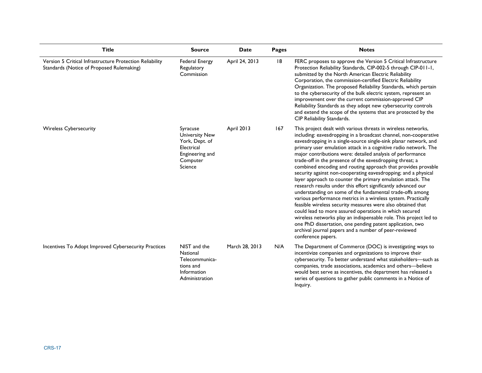| <b>Title</b>                                                                                          | <b>Source</b>                                                                                               | <b>Date</b>    | <b>Pages</b> | <b>Notes</b>                                                                                                                                                                                                                                                                                                                                                                                                                                                                                                                                                                                                                                                                                                                                                                                                                                                                                                                                                                                                                                                                                                                                  |
|-------------------------------------------------------------------------------------------------------|-------------------------------------------------------------------------------------------------------------|----------------|--------------|-----------------------------------------------------------------------------------------------------------------------------------------------------------------------------------------------------------------------------------------------------------------------------------------------------------------------------------------------------------------------------------------------------------------------------------------------------------------------------------------------------------------------------------------------------------------------------------------------------------------------------------------------------------------------------------------------------------------------------------------------------------------------------------------------------------------------------------------------------------------------------------------------------------------------------------------------------------------------------------------------------------------------------------------------------------------------------------------------------------------------------------------------|
| Version 5 Critical Infrastructure Protection Reliability<br>Standards (Notice of Proposed Rulemaking) | <b>Federal Energy</b><br>Regulatory<br>Commission                                                           | April 24, 2013 | 8            | FERC proposes to approve the Version 5 Critical Infrastructure<br>Protection Reliability Standards, CIP-002-5 through CIP-011-1,<br>submitted by the North American Electric Reliability<br>Corporation, the commission-certified Electric Reliability<br>Organization. The proposed Reliability Standards, which pertain<br>to the cybersecurity of the bulk electric system, represent an<br>improvement over the current commission-approved CIP<br>Reliability Standards as they adopt new cybersecurity controls<br>and extend the scope of the systems that are protected by the<br>CIP Reliability Standards.                                                                                                                                                                                                                                                                                                                                                                                                                                                                                                                          |
| <b>Wireless Cybersecurity</b>                                                                         | Syracuse<br><b>University New</b><br>York, Dept. of<br>Electrical<br>Engineering and<br>Computer<br>Science | April 2013     | 167          | This project dealt with various threats in wireless networks,<br>including: eavesdropping in a broadcast channel, non-cooperative<br>eavesdropping in a single-source single-sink planar network, and<br>primary user emulation attack in a cognitive radio network. The<br>major contributions were: detailed analysis of performance<br>trade-off in the presence of the eavesdropping threat; a<br>combined encoding and routing approach that provides provable<br>security against non-cooperating eavesdropping; and a physical<br>layer approach to counter the primary emulation attack. The<br>research results under this effort significantly advanced our<br>understanding on some of the fundamental trade-offs among<br>various performance metrics in a wireless system. Practically<br>feasible wireless security measures were also obtained that<br>could lead to more assured operations in which secured<br>wireless networks play an indispensable role. This project led to<br>one PhD dissertation, one pending patent application, two<br>archival journal papers and a number of peer-reviewed<br>conference papers. |
| Incentives To Adopt Improved Cybersecurity Practices                                                  | NIST and the<br>National<br>Telecommunica-<br>tions and<br>Information<br>Administration                    | March 28, 2013 | N/A          | The Department of Commerce (DOC) is investigating ways to<br>incentivize companies and organizations to improve their<br>cybersecurity. To better understand what stakeholders-such as<br>companies, trade associations, academics and others-believe<br>would best serve as incentives, the department has released a<br>series of questions to gather public comments in a Notice of<br>Inquiry.                                                                                                                                                                                                                                                                                                                                                                                                                                                                                                                                                                                                                                                                                                                                            |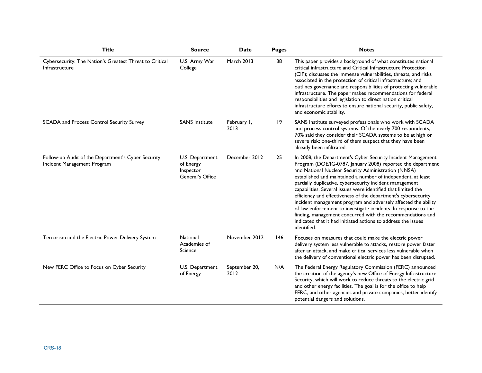| <b>Title</b>                                                                      | <b>Source</b>                                                 | <b>Date</b>           | Pages       | <b>Notes</b>                                                                                                                                                                                                                                                                                                                                                                                                                                                                                                                                                                                                                                                                                                                         |
|-----------------------------------------------------------------------------------|---------------------------------------------------------------|-----------------------|-------------|--------------------------------------------------------------------------------------------------------------------------------------------------------------------------------------------------------------------------------------------------------------------------------------------------------------------------------------------------------------------------------------------------------------------------------------------------------------------------------------------------------------------------------------------------------------------------------------------------------------------------------------------------------------------------------------------------------------------------------------|
| Cybersecurity: The Nation's Greatest Threat to Critical<br>Infrastructure         | U.S. Army War<br>College                                      | March 2013            | 38          | This paper provides a background of what constitutes national<br>critical infrastructure and Critical Infrastructure Protection<br>(CIP); discusses the immense vulnerabilities, threats, and risks<br>associated in the protection of critical infrastructure; and<br>outlines governance and responsibilities of protecting vulnerable<br>infrastructure. The paper makes recommendations for federal<br>responsibilities and legislation to direct nation critical<br>infrastructure efforts to ensure national security, public safety,<br>and economic stability.                                                                                                                                                               |
| SCADA and Process Control Security Survey                                         | <b>SANS Institute</b>                                         | February I,<br>2013   | $ 9\rangle$ | SANS Institute surveyed professionals who work with SCADA<br>and process control systems. Of the nearly 700 respondents,<br>70% said they consider their SCADA systems to be at high or<br>severe risk; one-third of them suspect that they have been<br>already been infiltrated.                                                                                                                                                                                                                                                                                                                                                                                                                                                   |
| Follow-up Audit of the Department's Cyber Security<br>Incident Management Program | U.S. Department<br>of Energy<br>Inspector<br>General's Office | December 2012         | 25          | In 2008, the Department's Cyber Security Incident Management<br>Program (DOE/IG-0787, January 2008) reported the department<br>and National Nuclear Security Administration (NNSA)<br>established and maintained a number of independent, at least<br>partially duplicative, cybersecurity incident management<br>capabilities. Several issues were identified that limited the<br>efficiency and effectiveness of the department's cybersecurity<br>incident management program and adversely affected the ability<br>of law enforcement to investigate incidents. In response to the<br>finding, management concurred with the recommendations and<br>indicated that it had initiated actions to address the issues<br>identified. |
| Terrorism and the Electric Power Delivery System                                  | National<br>Academies of<br>Science                           | November 2012         | 146         | Focuses on measures that could make the electric power<br>delivery system less vulnerable to attacks, restore power faster<br>after an attack, and make critical services less vulnerable when<br>the delivery of conventional electric power has been disrupted.                                                                                                                                                                                                                                                                                                                                                                                                                                                                    |
| New FERC Office to Focus on Cyber Security                                        | U.S. Department<br>of Energy                                  | September 20,<br>2012 | N/A         | The Federal Energy Regulatory Commission (FERC) announced<br>the creation of the agency's new Office of Energy Infrastructure<br>Security, which will work to reduce threats to the electric grid<br>and other energy facilities. The goal is for the office to help<br>FERC, and other agencies and private companies, better identify<br>potential dangers and solutions.                                                                                                                                                                                                                                                                                                                                                          |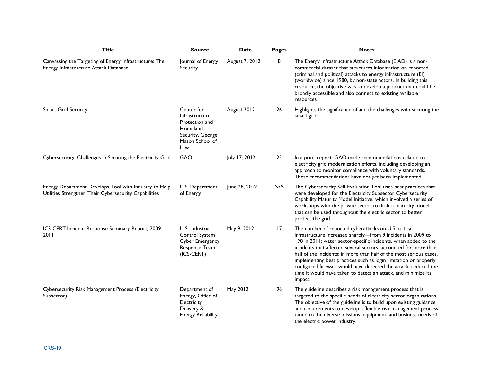| <b>Title</b>                                                                                                   | <b>Source</b>                                                                                            | <b>Date</b>    | Pages | <b>Notes</b>                                                                                                                                                                                                                                                                                                                                                                                                                                                                                                                                            |
|----------------------------------------------------------------------------------------------------------------|----------------------------------------------------------------------------------------------------------|----------------|-------|---------------------------------------------------------------------------------------------------------------------------------------------------------------------------------------------------------------------------------------------------------------------------------------------------------------------------------------------------------------------------------------------------------------------------------------------------------------------------------------------------------------------------------------------------------|
| Canvassing the Targeting of Energy Infrastructure: The<br>Energy Infrastructure Attack Database                | Journal of Energy<br>Security                                                                            | August 7, 2012 | 8     | The Energy Infrastructure Attack Database (EIAD) is a non-<br>commercial dataset that structures information on reported<br>(criminal and political) attacks to energy infrastructure (EI)<br>(worldwide) since 1980, by non-state actors. In building this<br>resource, the objective was to develop a product that could be<br>broadly accessible and also connect to existing available<br>resources.                                                                                                                                                |
| <b>Smart-Grid Security</b>                                                                                     | Center for<br>Infrastructure<br>Protection and<br>Homeland<br>Security, George<br>Mason School of<br>Law | August 2012    | 26    | Highlights the significance of and the challenges with securing the<br>smart grid.                                                                                                                                                                                                                                                                                                                                                                                                                                                                      |
| Cybersecurity: Challenges in Securing the Electricity Grid                                                     | GAO                                                                                                      | July 17, 2012  | 25    | In a prior report, GAO made recommendations related to<br>electricity grid modernization efforts, including developing an<br>approach to monitor compliance with voluntary standards.<br>These recommendations have not yet been implemented.                                                                                                                                                                                                                                                                                                           |
| Energy Department Develops Tool with Industry to Help<br>Utilities Strengthen Their Cybersecurity Capabilities | U.S. Department<br>of Energy                                                                             | June 28, 2012  | N/A   | The Cybersecurity Self-Evaluation Tool uses best practices that<br>were developed for the Electricity Subsector Cybersecurity<br>Capability Maturity Model Initiative, which involved a series of<br>workshops with the private sector to draft a maturity model<br>that can be used throughout the electric sector to better<br>protect the grid.                                                                                                                                                                                                      |
| ICS-CERT Incident Response Summary Report, 2009-<br>2011                                                       | U.S. Industrial<br>Control System<br><b>Cyber Emergency</b><br>Response Team<br>(ICS-CERT)               | May 9, 2012    | 17    | The number of reported cyberattacks on U.S. critical<br>infrastructure increased sharply-from 9 incidents in 2009 to<br>198 in 2011; water sector-specific incidents, when added to the<br>incidents that affected several sectors, accounted for more than<br>half of the incidents; in more than half of the most serious cases,<br>implementing best practices such as login limitation or properly<br>configured firewall, would have deterred the attack, reduced the<br>time it would have taken to detect an attack, and minimize its<br>impact. |
| Cybersecurity Risk Management Process (Electricity<br>Subsector)                                               | Department of<br>Energy, Office of<br>Electricity<br>Delivery &<br><b>Energy Reliability</b>             | May 2012       | 96    | The guideline describes a risk management process that is<br>targeted to the specific needs of electricity sector organizations.<br>The objective of the guideline is to build upon existing guidance<br>and requirements to develop a flexible risk management process<br>tuned to the diverse missions, equipment, and business needs of<br>the electric power industry.                                                                                                                                                                              |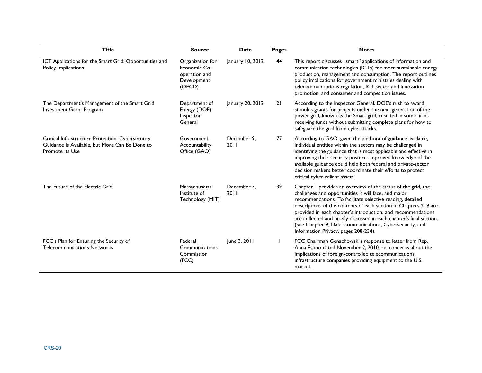| <b>Title</b>                                                                                                           | <b>Source</b>                                                              | Date                | <b>Pages</b> | <b>Notes</b>                                                                                                                                                                                                                                                                                                                                                                                                                                                                                       |
|------------------------------------------------------------------------------------------------------------------------|----------------------------------------------------------------------------|---------------------|--------------|----------------------------------------------------------------------------------------------------------------------------------------------------------------------------------------------------------------------------------------------------------------------------------------------------------------------------------------------------------------------------------------------------------------------------------------------------------------------------------------------------|
| ICT Applications for the Smart Grid: Opportunities and<br>Policy Implications                                          | Organization for<br>Economic Co-<br>operation and<br>Development<br>(OECD) | January 10, 2012    | 44           | This report discusses "smart" applications of information and<br>communication technologies (ICTs) for more sustainable energy<br>production, management and consumption. The report outlines<br>policy implications for government ministries dealing with<br>telecommunications regulation, ICT sector and innovation<br>promotion, and consumer and competition issues.                                                                                                                         |
| The Department's Management of the Smart Grid<br>Investment Grant Program                                              | Department of<br>Energy (DOE)<br>Inspector<br>General                      | January 20, 2012    | 21           | According to the Inspector General, DOE's rush to award<br>stimulus grants for projects under the next generation of the<br>power grid, known as the Smart grid, resulted in some firms<br>receiving funds without submitting complete plans for how to<br>safeguard the grid from cyberattacks.                                                                                                                                                                                                   |
| Critical Infrastructure Protection: Cybersecurity<br>Guidance Is Available, but More Can Be Done to<br>Promote Its Use | Government<br>Accountability<br>Office (GAO)                               | December 9.<br>2011 | 77           | According to GAO, given the plethora of guidance available,<br>individual entities within the sectors may be challenged in<br>identifying the guidance that is most applicable and effective in<br>improving their security posture. Improved knowledge of the<br>available guidance could help both federal and private-sector<br>decision makers better coordinate their efforts to protect<br>critical cyber-reliant assets.                                                                    |
| The Future of the Electric Grid                                                                                        | Massachusetts<br>Institute of<br>Technology (MIT)                          | December 5.<br>2011 | 39           | Chapter I provides an overview of the status of the grid, the<br>challenges and opportunities it will face, and major<br>recommendations. To facilitate selective reading, detailed<br>descriptions of the contents of each section in Chapters 2-9 are<br>provided in each chapter's introduction, and recommendations<br>are collected and briefly discussed in each chapter's final section.<br>(See Chapter 9, Data Communications, Cybersecurity, and<br>Information Privacy, pages 208-234). |
| FCC's Plan for Ensuring the Security of<br><b>Telecommunications Networks</b>                                          | Federal<br>Communications<br>Commission<br>(FCC)                           | June 3, 2011        |              | FCC Chairman Genachowski's response to letter from Rep.<br>Anna Eshoo dated November 2, 2010, re: concerns about the<br>implications of foreign-controlled telecommunications<br>infrastructure companies providing equipment to the U.S.<br>market.                                                                                                                                                                                                                                               |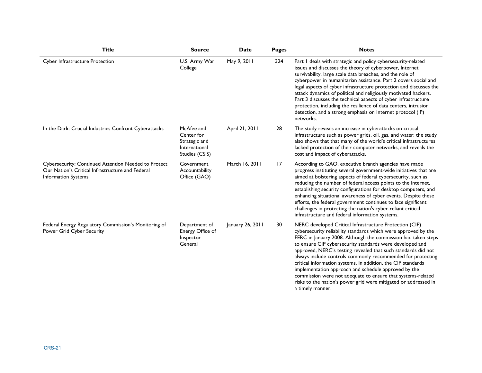| <b>Title</b>                                                                                                                           | <b>Source</b>                                                                | Date             | Pages | <b>Notes</b>                                                                                                                                                                                                                                                                                                                                                                                                                                                                                                                                                                                                                                                         |
|----------------------------------------------------------------------------------------------------------------------------------------|------------------------------------------------------------------------------|------------------|-------|----------------------------------------------------------------------------------------------------------------------------------------------------------------------------------------------------------------------------------------------------------------------------------------------------------------------------------------------------------------------------------------------------------------------------------------------------------------------------------------------------------------------------------------------------------------------------------------------------------------------------------------------------------------------|
| Cyber Infrastructure Protection                                                                                                        | U.S. Army War<br>College                                                     | May 9, 2011      | 324   | Part I deals with strategic and policy cybersecurity-related<br>issues and discusses the theory of cyberpower, Internet<br>survivability, large scale data breaches, and the role of<br>cyberpower in humanitarian assistance. Part 2 covers social and<br>legal aspects of cyber infrastructure protection and discusses the<br>attack dynamics of political and religiously motivated hackers.<br>Part 3 discusses the technical aspects of cyber infrastructure<br>protection, including the resilience of data centers, intrusion<br>detection, and a strong emphasis on Internet protocol (IP)<br>networks.                                                     |
| In the Dark: Crucial Industries Confront Cyberattacks                                                                                  | McAfee and<br>Center for<br>Strategic and<br>International<br>Studies (CSIS) | April 21, 2011   | 28    | The study reveals an increase in cyberattacks on critical<br>infrastructure such as power grids, oil, gas, and water; the study<br>also shows that that many of the world's critical infrastructures<br>lacked protection of their computer networks, and reveals the<br>cost and impact of cyberattacks.                                                                                                                                                                                                                                                                                                                                                            |
| Cybersecurity: Continued Attention Needed to Protect<br>Our Nation's Critical Infrastructure and Federal<br><b>Information Systems</b> | Government<br>Accountability<br>Office (GAO)                                 | March 16, 2011   | 17    | According to GAO, executive branch agencies have made<br>progress instituting several government-wide initiatives that are<br>aimed at bolstering aspects of federal cybersecurity, such as<br>reducing the number of federal access points to the Internet,<br>establishing security configurations for desktop computers, and<br>enhancing situational awareness of cyber events. Despite these<br>efforts, the federal government continues to face significant<br>challenges in protecting the nation's cyber-reliant critical<br>infrastructure and federal information systems.                                                                                |
| Federal Energy Regulatory Commission's Monitoring of<br>Power Grid Cyber Security                                                      | Department of<br>Energy Office of<br>Inspector<br>General                    | January 26, 2011 | 30    | NERC developed Critical Infrastructure Protection (CIP)<br>cybersecurity reliability standards which were approved by the<br>FERC in January 2008. Although the commission had taken steps<br>to ensure CIP cybersecurity standards were developed and<br>approved, NERC's testing revealed that such standards did not<br>always include controls commonly recommended for protecting<br>critical information systems. In addition, the CIP standards<br>implementation approach and schedule approved by the<br>commission were not adequate to ensure that systems-related<br>risks to the nation's power grid were mitigated or addressed in<br>a timely manner. |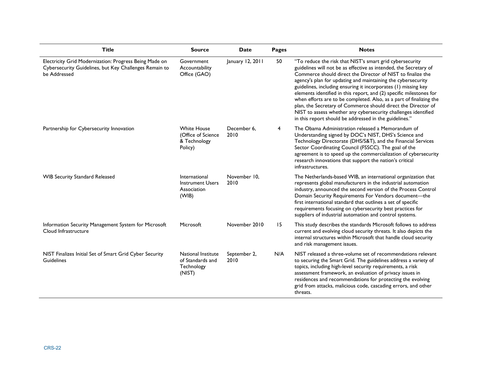| <b>Title</b>                                                                                                                     | <b>Source</b>                                                       | Date                 | <b>Pages</b> | <b>Notes</b>                                                                                                                                                                                                                                                                                                                                                                                                                                                                                                                                                                                                                                                              |
|----------------------------------------------------------------------------------------------------------------------------------|---------------------------------------------------------------------|----------------------|--------------|---------------------------------------------------------------------------------------------------------------------------------------------------------------------------------------------------------------------------------------------------------------------------------------------------------------------------------------------------------------------------------------------------------------------------------------------------------------------------------------------------------------------------------------------------------------------------------------------------------------------------------------------------------------------------|
| Electricity Grid Modernization: Progress Being Made on<br>Cybersecurity Guidelines, but Key Challenges Remain to<br>be Addressed | Government<br>Accountability<br>Office (GAO)                        | January 12, 2011     | 50           | "To reduce the risk that NIST's smart grid cybersecurity<br>guidelines will not be as effective as intended, the Secretary of<br>Commerce should direct the Director of NIST to finalize the<br>agency's plan for updating and maintaining the cybersecurity<br>guidelines, including ensuring it incorporates (1) missing key<br>elements identified in this report, and (2) specific milestones for<br>when efforts are to be completed. Also, as a part of finalizing the<br>plan, the Secretary of Commerce should direct the Director of<br>NIST to assess whether any cybersecurity challenges identified<br>in this report should be addressed in the guidelines." |
| Partnership for Cybersecurity Innovation                                                                                         | <b>White House</b><br>(Office of Science<br>& Technology<br>Policy) | December 6.<br>2010  | 4            | The Obama Administration released a Memorandum of<br>Understanding signed by DOC's NIST, DHS's Science and<br>Technology Directorate (DHS/S&T), and the Financial Services<br>Sector Coordinating Council (FSSCC). The goal of the<br>agreement is to speed up the commercialization of cybersecurity<br>research innovations that support the nation's critical<br>infrastructures.                                                                                                                                                                                                                                                                                      |
| <b>WIB Security Standard Released</b>                                                                                            | International<br><b>Instrument Users</b><br>Association<br>(WIB)    | November 10.<br>2010 |              | The Netherlands-based WIB, an international organization that<br>represents global manufacturers in the industrial automation<br>industry, announced the second version of the Process Control<br>Domain Security Requirements For Vendors document-the<br>first international standard that outlines a set of specific<br>requirements focusing on cybersecurity best practices for<br>suppliers of industrial automation and control systems.                                                                                                                                                                                                                           |
| Information Security Management System for Microsoft<br>Cloud Infrastructure                                                     | Microsoft                                                           | November 2010        | 15           | This study describes the standards Microsoft follows to address<br>current and evolving cloud security threats. It also depicts the<br>internal structures within Microsoft that handle cloud security<br>and risk management issues.                                                                                                                                                                                                                                                                                                                                                                                                                                     |
| NIST Finalizes Initial Set of Smart Grid Cyber Security<br>Guidelines                                                            | National Institute<br>of Standards and<br>Technology<br>(NIST)      | September 2,<br>2010 | N/A          | NIST released a three-volume set of recommendations relevant<br>to securing the Smart Grid. The guidelines address a variety of<br>topics, including high-level security requirements, a risk<br>assessment framework, an evaluation of privacy issues in<br>residences and recommendations for protecting the evolving<br>grid from attacks, malicious code, cascading errors, and other<br>threats.                                                                                                                                                                                                                                                                     |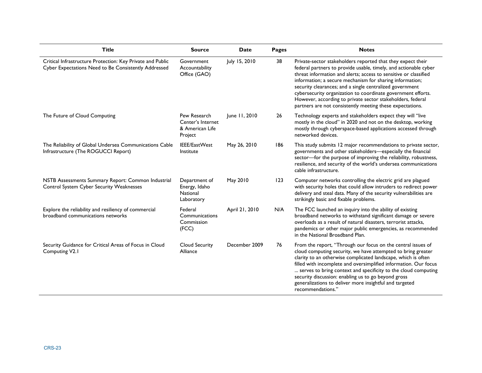| <b>Title</b>                                                                                                       | <b>Source</b>                                                   | <b>Date</b>    | Pages | <b>Notes</b>                                                                                                                                                                                                                                                                                                                                                                                                                                                                                                           |
|--------------------------------------------------------------------------------------------------------------------|-----------------------------------------------------------------|----------------|-------|------------------------------------------------------------------------------------------------------------------------------------------------------------------------------------------------------------------------------------------------------------------------------------------------------------------------------------------------------------------------------------------------------------------------------------------------------------------------------------------------------------------------|
| Critical Infrastructure Protection: Key Private and Public<br>Cyber Expectations Need to Be Consistently Addressed | Government<br>Accountability<br>Office (GAO)                    | July 15, 2010  | 38    | Private-sector stakeholders reported that they expect their<br>federal partners to provide usable, timely, and actionable cyber<br>threat information and alerts; access to sensitive or classified<br>information; a secure mechanism for sharing information;<br>security clearances; and a single centralized government<br>cybersecurity organization to coordinate government efforts.<br>However, according to private sector stakeholders, federal<br>partners are not consistently meeting these expectations. |
| The Future of Cloud Computing                                                                                      | Pew Research<br>Center's Internet<br>& American Life<br>Project | June 11, 2010  | 26    | Technology experts and stakeholders expect they will "live<br>mostly in the cloud" in 2020 and not on the desktop, working<br>mostly through cyberspace-based applications accessed through<br>networked devices.                                                                                                                                                                                                                                                                                                      |
| The Reliability of Global Undersea Communications Cable<br>Infrastructure (The ROGUCCI Report)                     | IEEE/EastWest<br>Institute                                      | May 26, 2010   | 186   | This study submits 12 major recommendations to private sector,<br>governments and other stakeholders-especially the financial<br>sector-for the purpose of improving the reliability, robustness,<br>resilience, and security of the world's undersea communications<br>cable infrastructure.                                                                                                                                                                                                                          |
| NSTB Assessments Summary Report: Common Industrial<br>Control System Cyber Security Weaknesses                     | Department of<br>Energy, Idaho<br>National<br>Laboratory        | May 2010       | 123   | Computer networks controlling the electric grid are plagued<br>with security holes that could allow intruders to redirect power<br>delivery and steal data. Many of the security vulnerabilities are<br>strikingly basic and fixable problems.                                                                                                                                                                                                                                                                         |
| Explore the reliability and resiliency of commercial<br>broadband communications networks                          | Federal<br>Communications<br>Commission<br>(FCC)                | April 21, 2010 | N/A   | The FCC launched an inquiry into the ability of existing<br>broadband networks to withstand significant damage or severe<br>overloads as a result of natural disasters, terrorist attacks,<br>pandemics or other major public emergencies, as recommended<br>in the National Broadband Plan.                                                                                                                                                                                                                           |
| Security Guidance for Critical Areas of Focus in Cloud<br>Computing V2.1                                           | <b>Cloud Security</b><br>Alliance                               | December 2009  | 76    | From the report, "Through our focus on the central issues of<br>cloud computing security, we have attempted to bring greater<br>clarity to an otherwise complicated landscape, which is often<br>filled with incomplete and oversimplified information. Our focus<br>serves to bring context and specificity to the cloud computing<br>security discussion: enabling us to go beyond gross<br>generalizations to deliver more insightful and targeted<br>recommendations."                                             |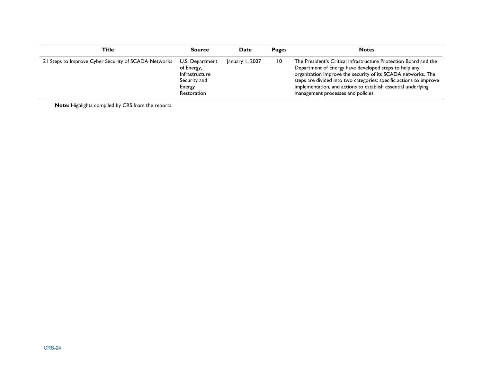| Title                                                | <b>Source</b>                                                                            | Date            | <b>Pages</b>    | <b>Notes</b>                                                                                                                                                                                                                                                                                                                                                           |
|------------------------------------------------------|------------------------------------------------------------------------------------------|-----------------|-----------------|------------------------------------------------------------------------------------------------------------------------------------------------------------------------------------------------------------------------------------------------------------------------------------------------------------------------------------------------------------------------|
| 21 Steps to Improve Cyber Security of SCADA Networks | U.S. Department<br>of Energy,<br>Infrastructure<br>Security and<br>Energy<br>Restoration | January 1, 2007 | $\overline{10}$ | The President's Critical Infrastructure Protection Board and the<br>Department of Energy have developed steps to help any<br>organization improve the security of its SCADA networks. The<br>steps are divided into two categories: specific actions to improve<br>implementation, and actions to establish essential underlying<br>management processes and policies. |

**Note:** Highlights compiled by CRS from the reports.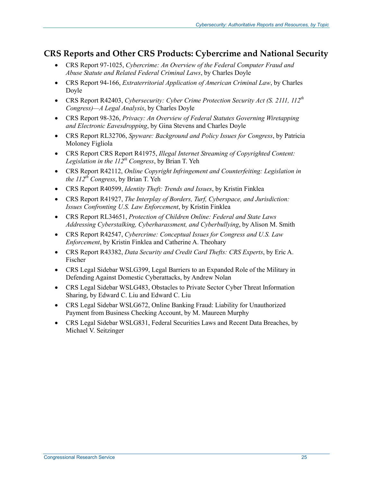### **CRS Reports and Other CRS Products: Cybercrime and National Security**

- CRS Report 97-1025, *Cybercrime: An Overview of the Federal Computer Fraud and Abuse Statute and Related Federal Criminal Laws*, by Charles Doyle
- CRS Report 94-166, *Extraterritorial Application of American Criminal Law*, by Charles Doyle
- CRS Report R42403, *Cybersecurity: Cyber Crime Protection Security Act (S. 2111, 112th Congress)—A Legal Analysis*, by Charles Doyle
- CRS Report 98-326, *Privacy: An Overview of Federal Statutes Governing Wiretapping and Electronic Eavesdropping*, by Gina Stevens and Charles Doyle
- CRS Report RL32706, *Spyware: Background and Policy Issues for Congress*, by Patricia Moloney Figliola
- CRS Report CRS Report R41975, *Illegal Internet Streaming of Copyrighted Content:*  Legislation in the  $II<sup>2</sup>th$  Congress, by Brian T. Yeh
- CRS Report R42112, *Online Copyright Infringement and Counterfeiting: Legislation in the 112th Congress*, by Brian T. Yeh
- CRS Report R40599, *Identity Theft: Trends and Issues*, by Kristin Finklea
- CRS Report R41927, *The Interplay of Borders, Turf, Cyberspace, and Jurisdiction: Issues Confronting U.S. Law Enforcement*, by Kristin Finklea
- CRS Report RL34651, *Protection of Children Online: Federal and State Laws Addressing Cyberstalking, Cyberharassment, and Cyberbullying*, by Alison M. Smith
- CRS Report R42547, *Cybercrime: Conceptual Issues for Congress and U.S. Law Enforcement*, by Kristin Finklea and Catherine A. Theohary
- CRS Report R43382, *Data Security and Credit Card Thefts: CRS Experts*, by Eric A. Fischer
- CRS Legal Sidebar WSLG399, Legal Barriers to an Expanded Role of the Military in Defending Against Domestic Cyberattacks, by Andrew Nolan
- CRS Legal Sidebar WSLG483, Obstacles to Private Sector Cyber Threat Information Sharing, by Edward C. Liu and Edward C. Liu
- CRS Legal Sidebar WSLG672, Online Banking Fraud: Liability for Unauthorized Payment from Business Checking Account, by M. Maureen Murphy
- CRS Legal Sidebar WSLG831, Federal Securities Laws and Recent Data Breaches, by Michael V. Seitzinger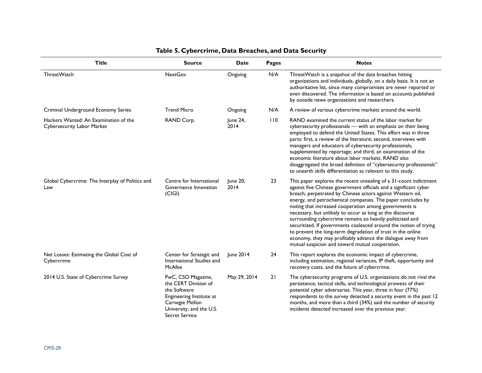| <b>Title</b>                                                        | Source                                                                                                                                                         | <b>Date</b>      | <b>Pages</b> | <b>Notes</b>                                                                                                                                                                                                                                                                                                                                                                                                                                                                                                                                                                                                                                                                                                  |
|---------------------------------------------------------------------|----------------------------------------------------------------------------------------------------------------------------------------------------------------|------------------|--------------|---------------------------------------------------------------------------------------------------------------------------------------------------------------------------------------------------------------------------------------------------------------------------------------------------------------------------------------------------------------------------------------------------------------------------------------------------------------------------------------------------------------------------------------------------------------------------------------------------------------------------------------------------------------------------------------------------------------|
| ThreatWatch                                                         | <b>NextGov</b>                                                                                                                                                 | Ongoing          | N/A          | ThreatWatch is a snapshot of the data breaches hitting<br>organizations and individuals, globally, on a daily basis. It is not an<br>authoritative list, since many compromises are never reported or<br>even discovered. The information is based on accounts published<br>by outside news organizations and researchers.                                                                                                                                                                                                                                                                                                                                                                                    |
| Criminal Underground Economy Series                                 | <b>Trend Micro</b>                                                                                                                                             | Ongoing          | N/A          | A review of various cybercrime markets around the world.                                                                                                                                                                                                                                                                                                                                                                                                                                                                                                                                                                                                                                                      |
| Hackers Wanted: An Examination of the<br>Cybersecurity Labor Market | RAND Corp.                                                                                                                                                     | June 24,<br>2014 | 110          | RAND examined the current status of the labor market for<br>cybersecurity professionals - with an emphasis on their being<br>employed to defend the United States. This effort was in three<br>parts: first, a review of the literature; second, interviews with<br>managers and educators of cybersecurity professionals,<br>supplemented by reportage; and third, an examination of the<br>economic literature about labor markets. RAND also<br>disaggregated the broad definition of "cybersecurity professionals"<br>to unearth skills differentiation as relevant to this study.                                                                                                                        |
| Global Cybercrime: The Interplay of Politics and<br>Law             | Centre for International<br>Governance Innovation<br>(C G )                                                                                                    | June 20,<br>2014 | 23           | This paper explores the recent unsealing of a 31-count indictment<br>against five Chinese government officials and a significant cyber<br>breach, perpetrated by Chinese actors against Western oil,<br>energy, and petrochemical companies. The paper concludes by<br>noting that increased cooperation among governments is<br>necessary, but unlikely to occur as long as the discourse<br>surrounding cybercrime remains so heavily politicized and<br>securitized. If governments coalesced around the notion of trying<br>to prevent the long-term degradation of trust in the online<br>economy, they may profitably advance the dialogue away from<br>mutual suspicion and toward mutual cooperation. |
| Net Losses: Estimating the Global Cost of<br>Cybercrime             | Center for Strategic and<br>International Studies and<br>McAfee                                                                                                | June 2014        | 24           | This report explores the economic impact of cybercrime,<br>including estimation, regional variances, IP theft, opportunity and<br>recovery costs, and the future of cybercrime.                                                                                                                                                                                                                                                                                                                                                                                                                                                                                                                               |
| 2014 U.S. State of Cybercrime Survey                                | PwC, CSO Magazine,<br>the CERT Division of<br>the Software<br>Engineering Institute at<br>Carnegie Mellon<br>University, and the U.S.<br><b>Secret Service</b> | May 29, 2014     | 21           | The cybersecurity programs of U.S. organizations do not rival the<br>persistence, tactical skills, and technological prowess of their<br>potential cyber adversaries. This year, three in four (77%)<br>respondents to the survey detected a security event in the past 12<br>months, and more than a third (34%) said the number of security<br>incidents detected increased over the previous year.                                                                                                                                                                                                                                                                                                         |

#### **Table 5. Cybercrime, Data Breaches, and Data Security**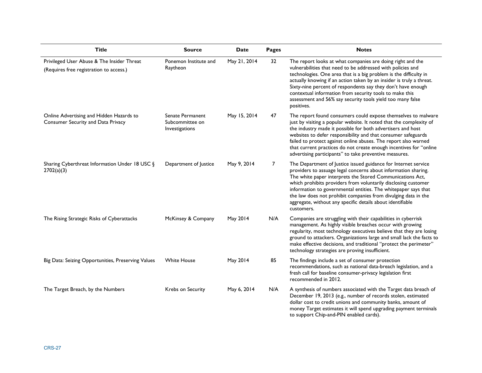| <b>Title</b>                                                                          | <b>Source</b>                                         | <b>Date</b>  | Pages | <b>Notes</b>                                                                                                                                                                                                                                                                                                                                                                                                                                                                    |
|---------------------------------------------------------------------------------------|-------------------------------------------------------|--------------|-------|---------------------------------------------------------------------------------------------------------------------------------------------------------------------------------------------------------------------------------------------------------------------------------------------------------------------------------------------------------------------------------------------------------------------------------------------------------------------------------|
| Privileged User Abuse & The Insider Threat<br>(Requires free registration to access.) | Ponemon Institute and<br>Raytheon                     | May 21, 2014 | 32    | The report looks at what companies are doing right and the<br>vulnerabilities that need to be addressed with policies and<br>technologies. One area that is a big problem is the difficulty in<br>actually knowing if an action taken by an insider is truly a threat.<br>Sixty-nine percent of respondents say they don't have enough<br>contextual information from security tools to make this<br>assessment and 56% say security tools yield too many false<br>positives.   |
| Online Advertising and Hidden Hazards to<br>Consumer Security and Data Privacy        | Senate Permanent<br>Subcommittee on<br>Investigations | May 15, 2014 | 47    | The report found consumers could expose themselves to malware<br>just by visiting a popular website. It noted that the complexity of<br>the industry made it possible for both advertisers and host<br>websites to defer responsibility and that consumer safeguards<br>failed to protect against online abuses. The report also warned<br>that current practices do not create enough incentives for "online<br>advertising participants" to take preventive measures.         |
| Sharing Cyberthreat Information Under 18 USC §<br>2702(a)(3)                          | Department of Justice                                 | May 9, 2014  | 7     | The Department of Justice issued guidance for Internet service<br>providers to assuage legal concerns about information sharing.<br>The white paper interprets the Stored Communications Act,<br>which prohibits providers from voluntarily disclosing customer<br>information to governmental entities. The whitepaper says that<br>the law does not prohibit companies from divulging data in the<br>aggregate, without any specific details about identifiable<br>customers. |
| The Rising Strategic Risks of Cyberattacks                                            | McKinsey & Company                                    | May 2014     | N/A   | Companies are struggling with their capabilities in cyberrisk<br>management. As highly visible breaches occur with growing<br>regularity, most technology executives believe that they are losing<br>ground to attackers. Organizations large and small lack the facts to<br>make effective decisions, and traditional "protect the perimeter"<br>technology strategies are proving insufficient.                                                                               |
| Big Data: Seizing Opportunities, Preserving Values                                    | <b>White House</b>                                    | May 2014     | 85    | The findings include a set of consumer protection<br>recommendations, such as national data-breach legislation, and a<br>fresh call for baseline consumer-privacy legislation first<br>recommended in 2012.                                                                                                                                                                                                                                                                     |
| The Target Breach, by the Numbers                                                     | Krebs on Security                                     | May 6, 2014  | N/A   | A synthesis of numbers associated with the Target data breach of<br>December 19, 2013 (e.g., number of records stolen, estimated<br>dollar cost to credit unions and community banks, amount of<br>money Target estimates it will spend upgrading payment terminals<br>to support Chip-and-PIN enabled cards).                                                                                                                                                                  |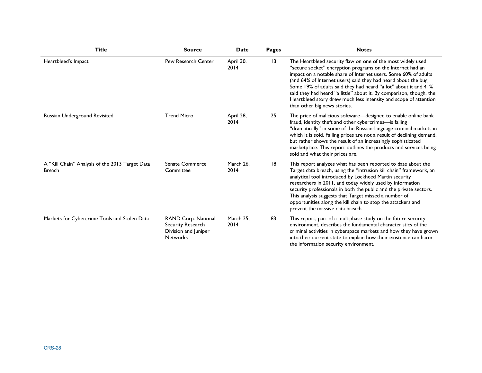| <b>Title</b>                                                     | <b>Source</b>                                                                       | Date              | <b>Pages</b> | <b>Notes</b>                                                                                                                                                                                                                                                                                                                                                                                                                                                                                                 |
|------------------------------------------------------------------|-------------------------------------------------------------------------------------|-------------------|--------------|--------------------------------------------------------------------------------------------------------------------------------------------------------------------------------------------------------------------------------------------------------------------------------------------------------------------------------------------------------------------------------------------------------------------------------------------------------------------------------------------------------------|
| Heartbleed's Impact                                              | Pew Research Center                                                                 | April 30,<br>2014 | 13           | The Heartbleed security flaw on one of the most widely used<br>"secure socket" encryption programs on the Internet had an<br>impact on a notable share of Internet users. Some 60% of adults<br>(and 64% of Internet users) said they had heard about the bug.<br>Some 19% of adults said they had heard "a lot" about it and 41%<br>said they had heard "a little" about it. By comparison, though, the<br>Heartbleed story drew much less intensity and scope of attention<br>than other big news stories. |
| Russian Underground Revisited                                    | <b>Trend Micro</b>                                                                  | April 28,<br>2014 | 25           | The price of malicious software-designed to enable online bank<br>fraud, identity theft and other cybercrimes-is falling<br>"dramatically" in some of the Russian-language criminal markets in<br>which it is sold. Falling prices are not a result of declining demand,<br>but rather shows the result of an increasingly sophisticated<br>marketplace. This report outlines the products and services being<br>sold and what their prices are.                                                             |
| A "Kill Chain" Analysis of the 2013 Target Data<br><b>Breach</b> | <b>Senate Commerce</b><br>Committee                                                 | March 26,<br>2014 | 18           | This report analyzes what has been reported to date about the<br>Target data breach, using the "intrusion kill chain" framework, an<br>analytical tool introduced by Lockheed Martin security<br>researchers in 2011, and today widely used by information<br>security professionals in both the public and the private sectors.<br>This analysis suggests that Target missed a number of<br>opportunities along the kill chain to stop the attackers and<br>prevent the massive data breach.                |
| Markets for Cybercrime Tools and Stolen Data                     | RAND Corp. National<br>Security Research<br>Division and Juniper<br><b>Networks</b> | March 25,<br>2014 | 83           | This report, part of a multiphase study on the future security<br>environment, describes the fundamental characteristics of the<br>criminal activities in cyberspace markets and how they have grown<br>into their current state to explain how their existence can harm<br>the information security environment.                                                                                                                                                                                            |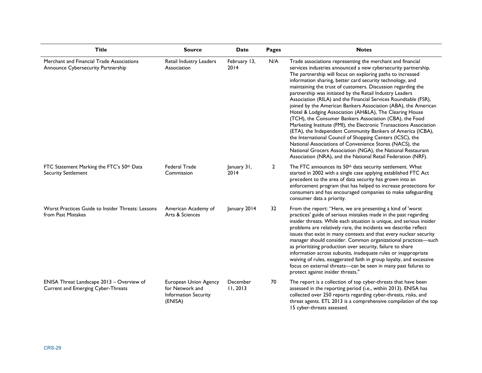| <b>Title</b>                                                                    | <b>Source</b>                                                                      | <b>Date</b>          | <b>Pages</b>   | <b>Notes</b>                                                                                                                                                                                                                                                                                                                                                                                                                                                                                                                                                                                                                                                                                                                                                                                                                                                                                                                                                                                                                               |
|---------------------------------------------------------------------------------|------------------------------------------------------------------------------------|----------------------|----------------|--------------------------------------------------------------------------------------------------------------------------------------------------------------------------------------------------------------------------------------------------------------------------------------------------------------------------------------------------------------------------------------------------------------------------------------------------------------------------------------------------------------------------------------------------------------------------------------------------------------------------------------------------------------------------------------------------------------------------------------------------------------------------------------------------------------------------------------------------------------------------------------------------------------------------------------------------------------------------------------------------------------------------------------------|
| Merchant and Financial Trade Associations<br>Announce Cybersecurity Partnership | Retail Industry Leaders<br>Association                                             | February 13,<br>2014 | N/A            | Trade associations representing the merchant and financial<br>services industries announced a new cybersecurity partnership.<br>The partnership will focus on exploring paths to increased<br>information sharing, better card security technology, and<br>maintaining the trust of customers. Discussion regarding the<br>partnership was initiated by the Retail Industry Leaders<br>Association (RILA) and the Financial Services Roundtable (FSR),<br>joined by the American Bankers Association (ABA), the American<br>Hotel & Lodging Association (AH&LA), The Clearing House<br>(TCH), the Consumer Bankers Association (CBA), the Food<br>Marketing Institute (FMI), the Electronic Transactions Association<br>(ETA), the Independent Community Bankers of America (ICBA),<br>the International Council of Shopping Centers (ICSC), the<br>National Associations of Convenience Stores (NACS), the<br>National Grocers Association (NGA), the National Restaurant<br>Association (NRA), and the National Retail Federation (NRF). |
| FTC Statement Marking the FTC's 50th Data<br><b>Security Settlement</b>         | <b>Federal Trade</b><br>Commission                                                 | January 31,<br>2014  | $\overline{2}$ | The FTC announces its 50 <sup>th</sup> data security settlement. What<br>started in 2002 with a single case applying established FTC Act<br>precedent to the area of data security has grown into an<br>enforcement program that has helped to increase protections for<br>consumers and has encouraged companies to make safeguarding<br>consumer data a priority.                                                                                                                                                                                                                                                                                                                                                                                                                                                                                                                                                                                                                                                                        |
| Worst Practices Guide to Insider Threats: Lessons<br>from Past Mistakes         | American Academy of<br>Arts & Sciences                                             | January 2014         | 32             | From the report: "Here, we are presenting a kind of 'worst<br>practices' guide of serious mistakes made in the past regarding<br>insider threats. While each situation is unique, and serious insider<br>problems are relatively rare, the incidents we describe reflect<br>issues that exist in many contexts and that every nuclear security<br>manager should consider. Common organizational practices-such<br>as prioritizing production over security, failure to share<br>information across subunits, inadequate rules or inappropriate<br>waiving of rules, exaggerated faith in group loyalty, and excessive<br>focus on external threats-can be seen in many past failures to<br>protect against insider threats."                                                                                                                                                                                                                                                                                                              |
| ENISA Threat Landscape 2013 - Overview of<br>Current and Emerging Cyber-Threats | European Union Agency<br>for Network and<br><b>Information Security</b><br>(ENISA) | December<br>11,2013  | 70             | The report is a collection of top cyber-threats that have been<br>assessed in the reporting period (i.e., within 2013). ENISA has<br>collected over 250 reports regarding cyber-threats, risks, and<br>threat agents. ETL 2013 is a comprehensive compilation of the top<br>15 cyber-threats assessed.                                                                                                                                                                                                                                                                                                                                                                                                                                                                                                                                                                                                                                                                                                                                     |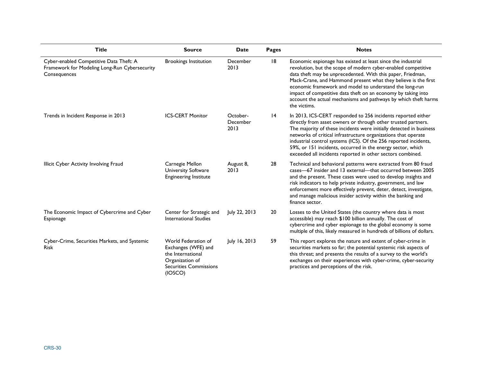| <b>Title</b>                                                                                             | <b>Source</b>                                                                                                                  | <b>Date</b>                  | Pages           | <b>Notes</b>                                                                                                                                                                                                                                                                                                                                                                                                                                                                  |
|----------------------------------------------------------------------------------------------------------|--------------------------------------------------------------------------------------------------------------------------------|------------------------------|-----------------|-------------------------------------------------------------------------------------------------------------------------------------------------------------------------------------------------------------------------------------------------------------------------------------------------------------------------------------------------------------------------------------------------------------------------------------------------------------------------------|
| Cyber-enabled Competitive Data Theft: A<br>Framework for Modeling Long-Run Cybersecurity<br>Consequences | <b>Brookings Institution</b>                                                                                                   | December<br>2013             | 18              | Economic espionage has existed at least since the industrial<br>revolution, but the scope of modern cyber-enabled competitive<br>data theft may be unprecedented. With this paper, Friedman,<br>Mack-Crane, and Hammond present what they believe is the first<br>economic framework and model to understand the long-run<br>impact of competitive data theft on an economy by taking into<br>account the actual mechanisms and pathways by which theft harms<br>the victims. |
| Trends in Incident Response in 2013                                                                      | <b>ICS-CERT Monitor</b>                                                                                                        | October-<br>December<br>2013 | $\overline{14}$ | In 2013, ICS-CERT responded to 256 incidents reported either<br>directly from asset owners or through other trusted partners.<br>The majority of these incidents were initially detected in business<br>networks of critical infrastructure organizations that operate<br>industrial control systems (ICS). Of the 256 reported incidents,<br>59%, or 151 incidents, occurred in the energy sector, which<br>exceeded all incidents reported in other sectors combined.       |
| Illicit Cyber Activity Involving Fraud                                                                   | Carnegie Mellon<br>University Software<br><b>Engineering Institute</b>                                                         | August 8,<br>2013            | 28              | Technical and behavioral patterns were extracted from 80 fraud<br>cases-67 insider and 13 external-that occurred between 2005<br>and the present. These cases were used to develop insights and<br>risk indicators to help private industry, government, and law<br>enforcement more effectively prevent, deter, detect, investigate,<br>and manage malicious insider activity within the banking and<br>finance sector.                                                      |
| The Economic Impact of Cybercrime and Cyber<br>Espionage                                                 | Center for Strategic and<br>International Studies                                                                              | July 22, 2013                | 20              | Losses to the United States (the country where data is most<br>accessible) may reach \$100 billion annually. The cost of<br>cybercrime and cyber espionage to the global economy is some<br>multiple of this, likely measured in hundreds of billions of dollars.                                                                                                                                                                                                             |
| Cyber-Crime, Securities Markets, and Systemic<br><b>Risk</b>                                             | World Federation of<br>Exchanges (WFE) and<br>the International<br>Organization of<br><b>Securities Commissions</b><br>(IOSCO) | July 16, 2013                | 59              | This report explores the nature and extent of cyber-crime in<br>securities markets so far; the potential systemic risk aspects of<br>this threat; and presents the results of a survey to the world's<br>exchanges on their experiences with cyber-crime, cyber-security<br>practices and perceptions of the risk.                                                                                                                                                            |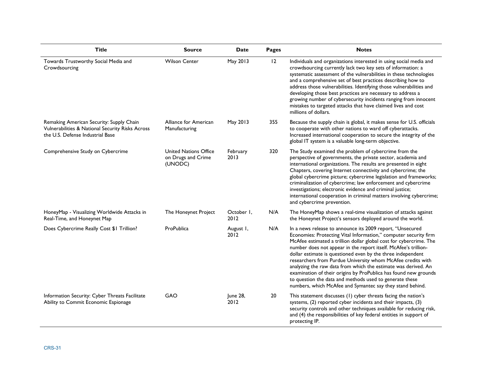| <b>Title</b>                                                                                                                     | <b>Source</b>                                          | <b>Date</b>        | Pages | <b>Notes</b>                                                                                                                                                                                                                                                                                                                                                                                                                                                                                                                                                                                                                                                       |
|----------------------------------------------------------------------------------------------------------------------------------|--------------------------------------------------------|--------------------|-------|--------------------------------------------------------------------------------------------------------------------------------------------------------------------------------------------------------------------------------------------------------------------------------------------------------------------------------------------------------------------------------------------------------------------------------------------------------------------------------------------------------------------------------------------------------------------------------------------------------------------------------------------------------------------|
| Towards Trustworthy Social Media and<br>Crowdsourcing                                                                            | <b>Wilson Center</b>                                   | May 2013           | 12    | Individuals and organizations interested in using social media and<br>crowdsourcing currently lack two key sets of information: a<br>systematic assessment of the vulnerabilities in these technologies<br>and a comprehensive set of best practices describing how to<br>address those vulnerabilities. Identifying those vulnerabilities and<br>developing those best practices are necessary to address a<br>growing number of cybersecurity incidents ranging from innocent<br>mistakes to targeted attacks that have claimed lives and cost<br>millions of dollars.                                                                                           |
| Remaking American Security: Supply Chain<br>Vulnerabilities & National Security Risks Across<br>the U.S. Defense Industrial Base | Alliance for American<br>Manufacturing                 | May 2013           | 355   | Because the supply chain is global, it makes sense for U.S. officials<br>to cooperate with other nations to ward off cyberattacks.<br>Increased international cooperation to secure the integrity of the<br>global IT system is a valuable long-term objective.                                                                                                                                                                                                                                                                                                                                                                                                    |
| Comprehensive Study on Cybercrime                                                                                                | United Nations Office<br>on Drugs and Crime<br>(UNODC) | February<br>2013   | 320   | The Study examined the problem of cybercrime from the<br>perspective of governments, the private sector, academia and<br>international organizations. The results are presented in eight<br>Chapters, covering Internet connectivity and cybercrime; the<br>global cybercrime picture; cybercrime legislation and frameworks;<br>criminalization of cybercrime; law enforcement and cybercrime<br>investigations; electronic evidence and criminal justice;<br>international cooperation in criminal matters involving cybercrime;<br>and cybercrime prevention.                                                                                                   |
| HoneyMap - Visualizing Worldwide Attacks in<br>Real-Time, and Honeynet Map                                                       | The Honeynet Project                                   | October I.<br>2012 | N/A   | The HoneyMap shows a real-time visualization of attacks against<br>the Honeynet Project's sensors deployed around the world.                                                                                                                                                                                                                                                                                                                                                                                                                                                                                                                                       |
| Does Cybercrime Really Cost \$1 Trillion?                                                                                        | ProPublica                                             | August I,<br>2012  | N/A   | In a news release to announce its 2009 report, "Unsecured<br>Economies: Protecting Vital Information," computer security firm<br>McAfee estimated a trillion dollar global cost for cybercrime. The<br>number does not appear in the report itself. McAfee's trillion-<br>dollar estimate is questioned even by the three independent<br>researchers from Purdue University whom McAfee credits with<br>analyzing the raw data from which the estimate was derived. An<br>examination of their origins by ProPublica has found new grounds<br>to question the data and methods used to generate these<br>numbers, which McAfee and Symantec say they stand behind. |
| Information Security: Cyber Threats Facilitate<br>Ability to Commit Economic Espionage                                           | GAO                                                    | June 28,<br>2012   | 20    | This statement discusses (1) cyber threats facing the nation's<br>systems, (2) reported cyber incidents and their impacts, (3)<br>security controls and other techniques available for reducing risk,<br>and (4) the responsibilities of key federal entities in support of<br>protecting IP.                                                                                                                                                                                                                                                                                                                                                                      |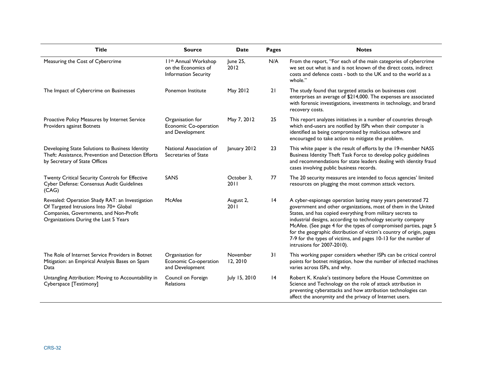| <b>Title</b>                                                                                                                                                                 | <b>Source</b>                                                                           | <b>Date</b>          | Pages           | <b>Notes</b>                                                                                                                                                                                                                                                                                                                                                                                                                                                                                              |
|------------------------------------------------------------------------------------------------------------------------------------------------------------------------------|-----------------------------------------------------------------------------------------|----------------------|-----------------|-----------------------------------------------------------------------------------------------------------------------------------------------------------------------------------------------------------------------------------------------------------------------------------------------------------------------------------------------------------------------------------------------------------------------------------------------------------------------------------------------------------|
| Measuring the Cost of Cybercrime                                                                                                                                             | I I <sup>th</sup> Annual Workshop<br>on the Economics of<br><b>Information Security</b> | June 25,<br>2012     | N/A             | From the report, "For each of the main categories of cybercrime<br>we set out what is and is not known of the direct costs, indirect<br>costs and defence costs - both to the UK and to the world as a<br>whole."                                                                                                                                                                                                                                                                                         |
| The Impact of Cybercrime on Businesses                                                                                                                                       | Ponemon Institute                                                                       | May 2012             | 21              | The study found that targeted attacks on businesses cost<br>enterprises an average of \$214,000. The expenses are associated<br>with forensic investigations, investments in technology, and brand<br>recovery costs.                                                                                                                                                                                                                                                                                     |
| Proactive Policy Measures by Internet Service<br>Providers against Botnets                                                                                                   | Organisation for<br>Economic Co-operation<br>and Development                            | May 7, 2012          | 25              | This report analyzes initiatives in a number of countries through<br>which end-users are notified by ISPs when their computer is<br>identified as being compromised by malicious software and<br>encouraged to take action to mitigate the problem.                                                                                                                                                                                                                                                       |
| Developing State Solutions to Business Identity<br>Theft: Assistance, Prevention and Detection Efforts<br>by Secretary of State Offices                                      | National Association of<br>Secretaries of State                                         | January 2012         | 23              | This white paper is the result of efforts by the 19-member NASS<br>Business Identity Theft Task Force to develop policy guidelines<br>and recommendations for state leaders dealing with identity fraud<br>cases involving public business records.                                                                                                                                                                                                                                                       |
| Twenty Critical Security Controls for Effective<br>Cyber Defense: Consensus Audit Guidelines<br>(CAG)                                                                        | SANS                                                                                    | October 3,<br>2011   | 77              | The 20 security measures are intended to focus agencies' limited<br>resources on plugging the most common attack vectors.                                                                                                                                                                                                                                                                                                                                                                                 |
| Revealed: Operation Shady RAT: an Investigation<br>Of Targeted Intrusions Into 70+ Global<br>Companies, Governments, and Non-Profit<br>Organizations During the Last 5 Years | McAfee                                                                                  | August 2,<br>2011    | 4               | A cyber-espionage operation lasting many years penetrated 72<br>government and other organizations, most of them in the United<br>States, and has copied everything from military secrets to<br>industrial designs, according to technology security company<br>McAfee. (See page 4 for the types of compromised parties, page 5<br>for the geographic distribution of victim's country of origin, pages<br>7-9 for the types of victims, and pages 10-13 for the number of<br>intrusions for 2007-2010). |
| The Role of Internet Service Providers in Botnet<br>Mitigation: an Empirical Analysis Bases on Spam<br>Data                                                                  | Organisation for<br>Economic Co-operation<br>and Development                            | November<br>12, 2010 | 31              | This working paper considers whether ISPs can be critical control<br>points for botnet mitigation, how the number of infected machines<br>varies across ISPs, and why.                                                                                                                                                                                                                                                                                                                                    |
| Untangling Attribution: Moving to Accountability in<br>Cyberspace [Testimony]                                                                                                | Council on Foreign<br><b>Relations</b>                                                  | July 15, 2010        | $\overline{14}$ | Robert K. Knake's testimony before the House Committee on<br>Science and Technology on the role of attack attribution in<br>preventing cyberattacks and how attribution technologies can<br>affect the anonymity and the privacy of Internet users.                                                                                                                                                                                                                                                       |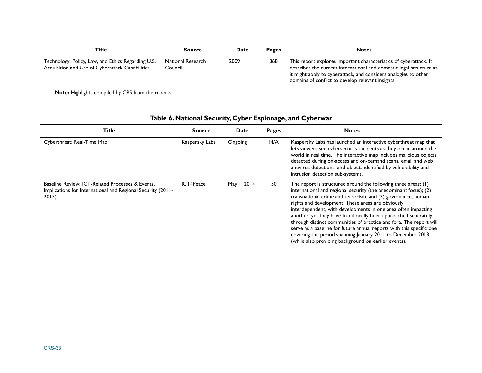| Title                                                                                                 | Source                       | <b>Date</b> | <b>Pages</b> | <b>Notes</b>                                                                                                                                                                                                                                                     |
|-------------------------------------------------------------------------------------------------------|------------------------------|-------------|--------------|------------------------------------------------------------------------------------------------------------------------------------------------------------------------------------------------------------------------------------------------------------------|
| Technology, Policy, Law, and Ethics Regarding U.S.<br>Acquisition and Use of Cyberattack Capabilities | National Research<br>Council | 2009        | 368          | This report explores important characteristics of cyberattack. It<br>describes the current international and domestic legal structure as<br>it might apply to cyberattack, and considers analogies to other<br>domains of conflict to develop relevant insights. |

**Note:** Highlights compiled by CRS from the reports.

### **Table 6. National Security, Cyber Espionage, and Cyberwar**

| <b>Title</b>                                                                                                             | <b>Source</b>    | Date        | Pages | <b>Notes</b>                                                                                                                                                                                                                                                                                                                                                                                                                                                                                                                                                                                                                                                    |
|--------------------------------------------------------------------------------------------------------------------------|------------------|-------------|-------|-----------------------------------------------------------------------------------------------------------------------------------------------------------------------------------------------------------------------------------------------------------------------------------------------------------------------------------------------------------------------------------------------------------------------------------------------------------------------------------------------------------------------------------------------------------------------------------------------------------------------------------------------------------------|
| Cyberthreat: Real-Time Map                                                                                               | Kaspersky Labs   | Ongoing     | N/A   | Kaspersky Labs has launched an interactive cyberthreat map that<br>lets viewers see cybersecurity incidents as they occur around the<br>world in real time. The interactive map includes malicious objects<br>detected during on-access and on-demand scans, email and web<br>antivirus detections, and objects identified by vulnerability and<br>intrusion detection sub-systems.                                                                                                                                                                                                                                                                             |
| Baseline Review: ICT-Related Processes & Events.<br>Implications for International and Regional Security (2011-<br>2013) | <b>ICT4Peace</b> | May 1, 2014 | 50    | The report is structured around the following three areas: (1)<br>international and regional security (the predominant focus); (2)<br>transnational crime and terrorism; and (3) governance, human<br>rights and development. These areas are obviously<br>interdependent, with developments in one area often impacting<br>another, yet they have traditionally been approached separately<br>through distinct communities of practice and fora. The report will<br>serve as a baseline for future annual reports with this specific one<br>covering the period spanning January 2011 to December 2013<br>(while also providing background on earlier events). |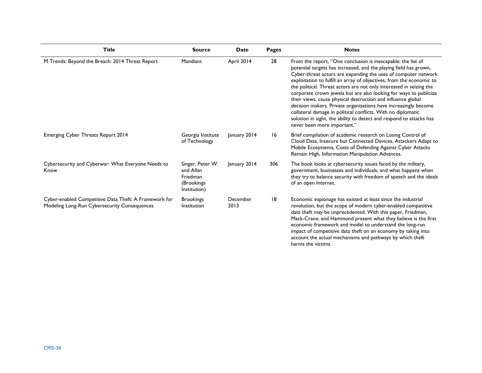| <b>Title</b>                                                                                          | <b>Source</b>                                                           | Date             | Pages | <b>Notes</b>                                                                                                                                                                                                                                                                                                                                                                                                                                                                                                                                                                                                                                                                                                                     |
|-------------------------------------------------------------------------------------------------------|-------------------------------------------------------------------------|------------------|-------|----------------------------------------------------------------------------------------------------------------------------------------------------------------------------------------------------------------------------------------------------------------------------------------------------------------------------------------------------------------------------------------------------------------------------------------------------------------------------------------------------------------------------------------------------------------------------------------------------------------------------------------------------------------------------------------------------------------------------------|
| M Trends: Beyond the Breach: 2014 Threat Report                                                       | Mandiant                                                                | April 2014       | 28    | From the report, "One conclusion is inescapable: the list of<br>potential targets has increased, and the playing field has grown,<br>Cyber-threat actors are expanding the uses of computer network<br>exploitation to fulfill an array of objectives, from the economic to<br>the political. Threat actors are not only interested in seizing the<br>corporate crown jewels but are also looking for ways to publicize<br>their views, cause physical destruction and influence global<br>decision makers. Private organizations have increasingly become<br>collateral damage in political conflicts. With no diplomatic<br>solution in sight, the ability to detect and respond to attacks has<br>never been more important." |
| Emerging Cyber Threats Report 2014                                                                    | Georgia Institute<br>of Technology                                      | January 2014     | 16    | Brief compilation of academic research on Losing Control of<br>Cloud Data, Insecure but Connected Devices, Attackers Adapt to<br>Mobile Ecosystems, Costs of Defending Against Cyber Attacks<br>Remain High, Information Manipulation Advances.                                                                                                                                                                                                                                                                                                                                                                                                                                                                                  |
| Cybersecurity and Cyberwar: What Everyone Needs to<br>Know                                            | Singer, Peter W.<br>and Allan<br>Friedman<br>(Brookings<br>Institution) | January 2014     | 306   | The book looks at cybersecurity issues faced by the military,<br>government, businesses and individuals, and what happens when<br>they try to balance security with freedom of speech and the ideals<br>of an open Internet.                                                                                                                                                                                                                                                                                                                                                                                                                                                                                                     |
| Cyber-enabled Competitive Data Theft: A Framework for<br>Modeling Long-Run Cybersecurity Consequences | <b>Brookings</b><br>Institution                                         | December<br>2013 | 18    | Economic espionage has existed at least since the industrial<br>revolution, but the scope of modern cyber-enabled competitive<br>data theft may be unprecedented. With this paper, Friedman,<br>Mack-Crane, and Hammond present what they believe is the first<br>economic framework and model to understand the long-run<br>impact of competitive data theft on an economy by taking into<br>account the actual mechanisms and pathways by which theft<br>harms the victims.                                                                                                                                                                                                                                                    |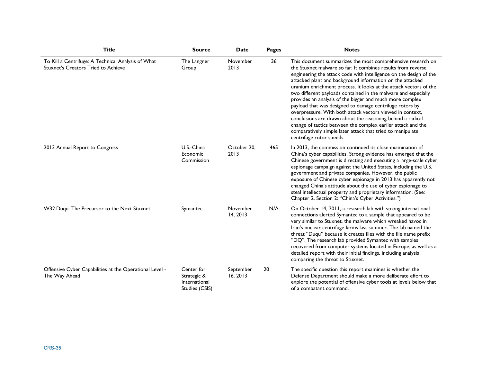| <b>Title</b>                                                                              | <b>Source</b>                                                | <b>Date</b>           | <b>Pages</b> | <b>Notes</b>                                                                                                                                                                                                                                                                                                                                                                                                                                                                                                                                                                                                                                                                                                                                                                                                       |
|-------------------------------------------------------------------------------------------|--------------------------------------------------------------|-----------------------|--------------|--------------------------------------------------------------------------------------------------------------------------------------------------------------------------------------------------------------------------------------------------------------------------------------------------------------------------------------------------------------------------------------------------------------------------------------------------------------------------------------------------------------------------------------------------------------------------------------------------------------------------------------------------------------------------------------------------------------------------------------------------------------------------------------------------------------------|
| To Kill a Centrifuge: A Technical Analysis of What<br>Stuxnet's Creators Tried to Achieve | The Langner<br>Group                                         | November<br>2013      | 36           | This document summarizes the most comprehensive research on<br>the Stuxnet malware so far: It combines results from reverse<br>engineering the attack code with intelligence on the design of the<br>attacked plant and background information on the attacked<br>uranium enrichment process. It looks at the attack vectors of the<br>two different payloads contained in the malware and especially<br>provides an analysis of the bigger and much more complex<br>payload that was designed to damage centrifuge rotors by<br>overpressure. With both attack vectors viewed in context,<br>conclusions are drawn about the reasoning behind a radical<br>change of tactics between the complex earlier attack and the<br>comparatively simple later attack that tried to manipulate<br>centrifuge rotor speeds. |
| 2013 Annual Report to Congress                                                            | U.S.-China<br>Economic<br>Commission                         | October 20,<br>2013   | 465          | In 2013, the commission continued its close examination of<br>China's cyber capabilities. Strong evidence has emerged that the<br>Chinese government is directing and executing a large-scale cyber<br>espionage campaign against the United States, including the U.S.<br>government and private companies. However, the public<br>exposure of Chinese cyber espionage in 2013 has apparently not<br>changed China's attitude about the use of cyber espionage to<br>steal intellectual property and proprietary information. (See:<br>Chapter 2, Section 2: "China's Cyber Activities.")                                                                                                                                                                                                                         |
| W32.Duqu: The Precursor to the Next Stuxnet                                               | Symantec                                                     | November<br>14, 2013  | N/A          | On October 14, 2011, a research lab with strong international<br>connections alerted Symantec to a sample that appeared to be<br>very similar to Stuxnet, the malware which wreaked havoc in<br>Iran's nuclear centrifuge farms last summer. The lab named the<br>threat "Duqu" because it creates files with the file name prefix<br>"DQ". The research lab provided Symantec with samples<br>recovered from computer systems located in Europe, as well as a<br>detailed report with their initial findings, including analysis<br>comparing the threat to Stuxnet.                                                                                                                                                                                                                                              |
| Offensive Cyber Capabilities at the Operational Level -<br>The Way Ahead                  | Center for<br>Strategic &<br>International<br>Studies (CSIS) | September<br>16, 2013 | 20           | The specific question this report examines is whether the<br>Defense Department should make a more deliberate effort to<br>explore the potential of offensive cyber tools at levels below that<br>of a combatant command.                                                                                                                                                                                                                                                                                                                                                                                                                                                                                                                                                                                          |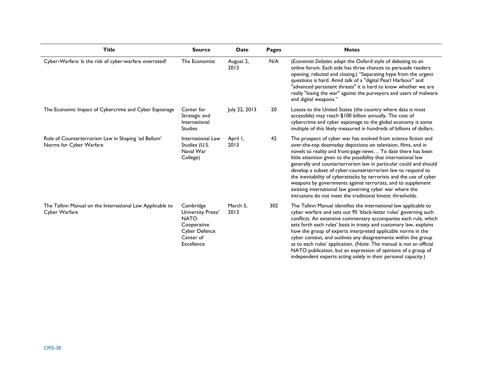| <b>Title</b>                                                                   | <b>Source</b>                                                                                                   | <b>Date</b>       | <b>Pages</b> | <b>Notes</b>                                                                                                                                                                                                                                                                                                                                                                                                                                                                                                                                                                                                                                                               |
|--------------------------------------------------------------------------------|-----------------------------------------------------------------------------------------------------------------|-------------------|--------------|----------------------------------------------------------------------------------------------------------------------------------------------------------------------------------------------------------------------------------------------------------------------------------------------------------------------------------------------------------------------------------------------------------------------------------------------------------------------------------------------------------------------------------------------------------------------------------------------------------------------------------------------------------------------------|
| Cyber-Warfare: Is the risk of cyber-warfare overrated?                         | The Economist                                                                                                   | August 2,<br>2013 | N/A          | (Economist Debates adapt the Oxford style of debating to an<br>online forum. Each side has three chances to persuade readers:<br>opening, rebuttal and closing.) "Separating hype from the urgent<br>questions is hard. Amid talk of a "digital Pearl Harbour" and<br>"advanced persistent threats" it is hard to know whether we are<br>really "losing the war" against the purveyors and users of malware<br>and digital weapons."                                                                                                                                                                                                                                       |
| The Economic Impact of Cybercrime and Cyber Espionage                          | Center for<br>Strategic and<br>International<br><b>Studies</b>                                                  | July 22, 2013     | 20           | Losses to the United States (the country where data is most<br>accessible) may reach \$100 billion annually. The cost of<br>cybercrime and cyber espionage to the global economy is some<br>multiple of this likely measured in hundreds of billions of dollars.                                                                                                                                                                                                                                                                                                                                                                                                           |
| Role of Counterterrorism Law in Shaping 'ad Bellum'<br>Norms for Cyber Warfare | International Law<br>Studies (U.S.<br>Naval War<br>College)                                                     | April I,<br>2013  | 42           | The prospect of cyber war has evolved from science fiction and<br>over-the-top doomsday depictions on television, films, and in<br>novels to reality and front-page news To date there has been<br>little attention given to the possibility that international law<br>generally and counterterrorism law in particular could and should<br>develop a subset of cyber-counterterrorism law to respond to<br>the inevitability of cyberattacks by terrorists and the use of cyber<br>weapons by governments against terrorists, and to supplement<br>existing international law governing cyber war where the<br>intrusions do not meet the traditional kinetic thresholds. |
| The Tallinn Manual on the International Law Applicable to<br>Cyber Warfare     | Cambridge<br>University Press/<br><b>NATO</b><br>Cooperative<br><b>Cyber Defence</b><br>Center of<br>Excellence | March 5,<br>2013  | 302          | The Tallinn Manual identifies the international law applicable to<br>cyber warfare and sets out 95 'black-letter rules' governing such<br>conflicts. An extensive commentary accompanies each rule, which<br>sets forth each rules' basis in treaty and customary law, explains<br>how the group of experts interpreted applicable norms in the<br>cyber context, and outlines any disagreements within the group<br>as to each rules' application. (Note: The manual is not an official<br>NATO publication, but an expression of opinions of a group of<br>independent experts acting solely in their personal capacity.)                                                |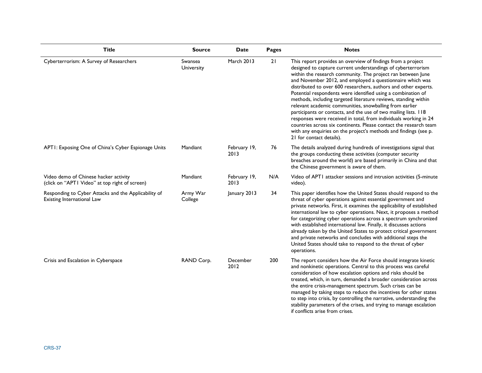| <b>Title</b>                                                                            | <b>Source</b>         | <b>Date</b>          | Pages | <b>Notes</b>                                                                                                                                                                                                                                                                                                                                                                                                                                                                                                                                                                                                                                                                                                                                                                                                                         |
|-----------------------------------------------------------------------------------------|-----------------------|----------------------|-------|--------------------------------------------------------------------------------------------------------------------------------------------------------------------------------------------------------------------------------------------------------------------------------------------------------------------------------------------------------------------------------------------------------------------------------------------------------------------------------------------------------------------------------------------------------------------------------------------------------------------------------------------------------------------------------------------------------------------------------------------------------------------------------------------------------------------------------------|
| Cyberterrorism: A Survey of Researchers                                                 | Swansea<br>University | March 2013           | 21    | This report provides an overview of findings from a project<br>designed to capture current understandings of cyberterrorism<br>within the research community. The project ran between June<br>and November 2012, and employed a questionnaire which was<br>distributed to over 600 researchers, authors and other experts.<br>Potential respondents were identified using a combination of<br>methods, including targeted literature reviews, standing within<br>relevant academic communities, snowballing from earlier<br>participants or contacts, and the use of two mailing lists. 118<br>responses were received in total, from individuals working in 24<br>countries across six continents. Please contact the research team<br>with any enquiries on the project's methods and findings (see p.<br>21 for contact details). |
| APTI: Exposing One of China's Cyber Espionage Units                                     | Mandiant              | February 19,<br>2013 | 76    | The details analyzed during hundreds of investigations signal that<br>the groups conducting these activities (computer security<br>breaches around the world) are based primarily in China and that<br>the Chinese government is aware of them.                                                                                                                                                                                                                                                                                                                                                                                                                                                                                                                                                                                      |
| Video demo of Chinese hacker activity<br>(click on "APTI Video" at top right of screen) | Mandiant              | February 19,<br>2013 | N/A   | Video of APT1 attacker sessions and intrusion activities (5-minute<br>video).                                                                                                                                                                                                                                                                                                                                                                                                                                                                                                                                                                                                                                                                                                                                                        |
| Responding to Cyber Attacks and the Applicability of<br>Existing International Law      | Army War<br>College   | January 2013         | 34    | This paper identifies how the United States should respond to the<br>threat of cyber operations against essential government and<br>private networks. First, it examines the applicability of established<br>international law to cyber operations. Next, it proposes a method<br>for categorizing cyber operations across a spectrum synchronized<br>with established international law. Finally, it discusses actions<br>already taken by the United States to protect critical government<br>and private networks and concludes with additional steps the<br>United States should take to respond to the threat of cyber<br>operations.                                                                                                                                                                                           |
| Crisis and Escalation in Cyberspace                                                     | RAND Corp.            | December<br>2012     | 200   | The report considers how the Air Force should integrate kinetic<br>and nonkinetic operations. Central to this process was careful<br>consideration of how escalation options and risks should be<br>treated, which, in turn, demanded a broader consideration across<br>the entire crisis-management spectrum. Such crises can be<br>managed by taking steps to reduce the incentives for other states<br>to step into crisis, by controlling the narrative, understanding the<br>stability parameters of the crises, and trying to manage escalation<br>if conflicts arise from crises.                                                                                                                                                                                                                                             |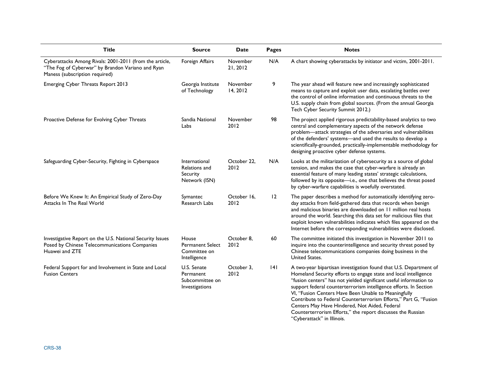| <b>Title</b>                                                                                                                                   | <b>Source</b>                                                      | Date                 | <b>Pages</b> | <b>Notes</b>                                                                                                                                                                                                                                                                                                                                                                                                                                                                                                                                               |
|------------------------------------------------------------------------------------------------------------------------------------------------|--------------------------------------------------------------------|----------------------|--------------|------------------------------------------------------------------------------------------------------------------------------------------------------------------------------------------------------------------------------------------------------------------------------------------------------------------------------------------------------------------------------------------------------------------------------------------------------------------------------------------------------------------------------------------------------------|
| Cyberattacks Among Rivals: 2001-2011 (from the article,<br>"The Fog of Cyberwar" by Brandon Variano and Ryan<br>Maness (subscription required) | Foreign Affairs                                                    | November<br>21, 2012 | N/A          | A chart showing cyberattacks by initiator and victim, 2001-2011.                                                                                                                                                                                                                                                                                                                                                                                                                                                                                           |
| Emerging Cyber Threats Report 2013                                                                                                             | Georgia Institute<br>of Technology                                 | November<br>14, 2012 | 9            | The year ahead will feature new and increasingly sophisticated<br>means to capture and exploit user data, escalating battles over<br>the control of online information and continuous threats to the<br>U.S. supply chain from global sources. (From the annual Georgia<br>Tech Cyber Security Summit 2012.)                                                                                                                                                                                                                                               |
| Proactive Defense for Evolving Cyber Threats                                                                                                   | Sandia National<br>Labs                                            | November<br>2012     | 98           | The project applied rigorous predictability-based analytics to two<br>central and complementary aspects of the network defense<br>problem-attack strategies of the adversaries and vulnerabilities<br>of the defenders' systems-and used the results to develop a<br>scientifically-grounded, practically-implementable methodology for<br>designing proactive cyber defense systems.                                                                                                                                                                      |
| Safeguarding Cyber-Security, Fighting in Cyberspace                                                                                            | International<br>Relations and<br><b>Security</b><br>Network (ISN) | October 22,<br>2012  | N/A          | Looks at the militarization of cybersecurity as a source of global<br>tension, and makes the case that cyber-warfare is already an<br>essential feature of many leading states' strategic calculations,<br>followed by its opposite-i.e., one that believes the threat posed<br>by cyber-warfare capabilities is woefully overstated.                                                                                                                                                                                                                      |
| Before We Knew It: An Empirical Study of Zero-Day<br>Attacks In The Real World                                                                 | Symantec<br>Research Labs                                          | October 16,<br>2012  | 12           | The paper describes a method for automatically identifying zero-<br>day attacks from field-gathered data that records when benign<br>and malicious binaries are downloaded on 11 million real hosts<br>around the world. Searching this data set for malicious files that<br>exploit known vulnerabilities indicates which files appeared on the<br>Internet before the corresponding vulnerabilities were disclosed.                                                                                                                                      |
| Investigative Report on the U.S. National Security Issues<br>Posed by Chinese Telecommunications Companies<br>Huawei and ZTE                   | House<br><b>Permanent Select</b><br>Committee on<br>Intelligence   | October 8,<br>2012   | 60           | The committee initiated this investigation in November 2011 to<br>inquire into the counterintelligence and security threat posed by<br>Chinese telecommunications companies doing business in the<br>United States.                                                                                                                                                                                                                                                                                                                                        |
| Federal Support for and Involvement in State and Local<br><b>Fusion Centers</b>                                                                | U.S. Senate<br>Permanent<br>Subcommittee on<br>Investigations      | October 3,<br>2012   | 4            | A two-year bipartisan investigation found that U.S. Department of<br>Homeland Security efforts to engage state and local intelligence<br>"fusion centers" has not yielded significant useful information to<br>support federal counterterrorism intelligence efforts. In Section<br>VI, "Fusion Centers Have Been Unable to Meaningfully<br>Contribute to Federal Counterterrorism Efforts," Part G, "Fusion<br>Centers May Have Hindered, Not Aided, Federal<br>Counterterrorism Efforts," the report discusses the Russian<br>"Cyberattack" in Illinois. |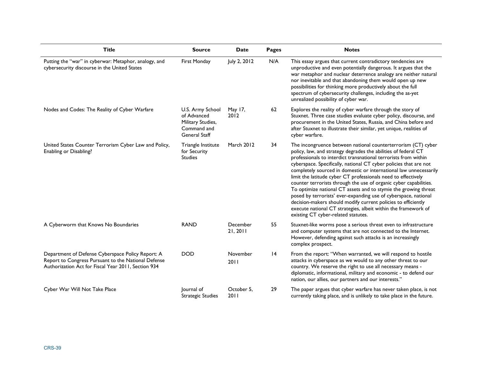| <b>Title</b>                                                                                                                                                    | <b>Source</b>                                                                               | <b>Date</b>          | <b>Pages</b> | <b>Notes</b>                                                                                                                                                                                                                                                                                                                                                                                                                                                                                                                                                                                                                                                                                                                                                                                       |
|-----------------------------------------------------------------------------------------------------------------------------------------------------------------|---------------------------------------------------------------------------------------------|----------------------|--------------|----------------------------------------------------------------------------------------------------------------------------------------------------------------------------------------------------------------------------------------------------------------------------------------------------------------------------------------------------------------------------------------------------------------------------------------------------------------------------------------------------------------------------------------------------------------------------------------------------------------------------------------------------------------------------------------------------------------------------------------------------------------------------------------------------|
| Putting the "war" in cyberwar: Metaphor, analogy, and<br>cybersecurity discourse in the United States                                                           | First Monday                                                                                | July 2, 2012         | N/A          | This essay argues that current contradictory tendencies are<br>unproductive and even potentially dangerous. It argues that the<br>war metaphor and nuclear deterrence analogy are neither natural<br>nor inevitable and that abandoning them would open up new<br>possibilities for thinking more productively about the full<br>spectrum of cybersecurity challenges, including the as-yet<br>unrealized possibility of cyber war.                                                                                                                                                                                                                                                                                                                                                                |
| Nodes and Codes: The Reality of Cyber Warfare                                                                                                                   | U.S. Army School<br>of Advanced<br>Military Studies,<br>Command and<br><b>General Staff</b> | May 17,<br>2012      | 62           | Explores the reality of cyber warfare through the story of<br>Stuxnet. Three case studies evaluate cyber policy, discourse, and<br>procurement in the United States, Russia, and China before and<br>after Stuxnet to illustrate their similar, yet unique, realities of<br>cyber warfare.                                                                                                                                                                                                                                                                                                                                                                                                                                                                                                         |
| United States Counter Terrorism Cyber Law and Policy,<br>Enabling or Disabling?                                                                                 | Triangle Institute<br>for Security<br><b>Studies</b>                                        | March 2012           | 34           | The incongruence between national counterterrorism (CT) cyber<br>policy, law, and strategy degrades the abilities of federal CT<br>professionals to interdict transnational terrorists from within<br>cyberspace. Specifically, national CT cyber policies that are not<br>completely sourced in domestic or international law unnecessarily<br>limit the latitude cyber CT professionals need to effectively<br>counter terrorists through the use of organic cyber capabilities.<br>To optimize national CT assets and to stymie the growing threat<br>posed by terrorists' ever-expanding use of cyberspace, national<br>decision-makers should modify current policies to efficiently<br>execute national CT strategies, albeit within the framework of<br>existing CT cyber-related statutes. |
| A Cyberworm that Knows No Boundaries                                                                                                                            | <b>RAND</b>                                                                                 | December<br>21, 2011 | 55           | Stuxnet-like worms pose a serious threat even to infrastructure<br>and computer systems that are not connected to the Internet.<br>However, defending against such attacks is an increasingly<br>complex prospect.                                                                                                                                                                                                                                                                                                                                                                                                                                                                                                                                                                                 |
| Department of Defense Cyberspace Policy Report: A<br>Report to Congress Pursuant to the National Defense<br>Authorization Act for Fiscal Year 2011, Section 934 | <b>DOD</b>                                                                                  | November<br>2011     | 4            | From the report: "When warranted, we will respond to hostile<br>attacks in cyberspace as we would to any other threat to our<br>country. We reserve the right to use all necessary means -<br>diplomatic, informational, military and economic - to defend our<br>nation, our allies, our partners and our interests."                                                                                                                                                                                                                                                                                                                                                                                                                                                                             |
| Cyber War Will Not Take Place                                                                                                                                   | Journal of<br><b>Strategic Studies</b>                                                      | October 5,<br>2011   | 29           | The paper argues that cyber warfare has never taken place, is not<br>currently taking place, and is unlikely to take place in the future.                                                                                                                                                                                                                                                                                                                                                                                                                                                                                                                                                                                                                                                          |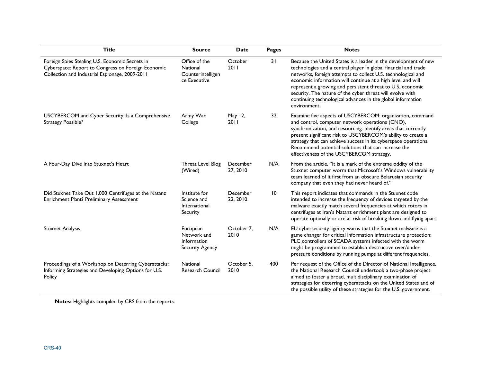| <b>Title</b>                                                                                                                                            | <b>Source</b>                                                    | <b>Date</b>          | <b>Pages</b>    | <b>Notes</b>                                                                                                                                                                                                                                                                                                                                                                                                                                                                |
|---------------------------------------------------------------------------------------------------------------------------------------------------------|------------------------------------------------------------------|----------------------|-----------------|-----------------------------------------------------------------------------------------------------------------------------------------------------------------------------------------------------------------------------------------------------------------------------------------------------------------------------------------------------------------------------------------------------------------------------------------------------------------------------|
| Foreign Spies Stealing U.S. Economic Secrets in<br>Cyberspace: Report to Congress on Foreign Economic<br>Collection and Industrial Espionage, 2009-2011 | Office of the<br>National<br>Counterintelligen<br>ce Executive   | October<br>2011      | 31              | Because the United States is a leader in the development of new<br>technologies and a central player in global financial and trade<br>networks, foreign attempts to collect U.S. technological and<br>economic information will continue at a high level and will<br>represent a growing and persistent threat to U.S. economic<br>security. The nature of the cyber threat will evolve with<br>continuing technological advances in the global information<br>environment. |
| USCYBERCOM and Cyber Security: Is a Comprehensive<br>Strategy Possible?                                                                                 | Army War<br>College                                              | May 12,<br>2011      | 32              | Examine five aspects of USCYBERCOM: organization, command<br>and control, computer network operations (CNO),<br>synchronization, and resourcing. Identify areas that currently<br>present significant risk to USCYBERCOM's ability to create a<br>strategy that can achieve success in its cyberspace operations.<br>Recommend potential solutions that can increase the<br>effectiveness of the USCYBERCOM strategy.                                                       |
| A Four-Day Dive Into Stuxnet's Heart                                                                                                                    | Threat Level Blog<br>(Wired)                                     | December<br>27, 2010 | N/A             | From the article, "It is a mark of the extreme oddity of the<br>Stuxnet computer worm that Microsoft's Windows vulnerability<br>team learned of it first from an obscure Belarusian security<br>company that even they had never heard of."                                                                                                                                                                                                                                 |
| Did Stuxnet Take Out 1,000 Centrifuges at the Natanz<br>Enrichment Plant? Preliminary Assessment                                                        | Institute for<br>Science and<br>International<br>Security        | December<br>22, 2010 | $\overline{10}$ | This report indicates that commands in the Stuxnet code<br>intended to increase the frequency of devices targeted by the<br>malware exactly match several frequencies at which rotors in<br>centrifuges at Iran's Natanz enrichment plant are designed to<br>operate optimally or are at risk of breaking down and flying apart.                                                                                                                                            |
| <b>Stuxnet Analysis</b>                                                                                                                                 | European<br>Network and<br>Information<br><b>Security Agency</b> | October 7,<br>2010   | N/A             | EU cybersecurity agency warns that the Stuxnet malware is a<br>game changer for critical information infrastructure protection;<br>PLC controllers of SCADA systems infected with the worm<br>might be programmed to establish destructive over/under<br>pressure conditions by running pumps at different frequencies.                                                                                                                                                     |
| Proceedings of a Workshop on Deterring Cyberattacks:<br>Informing Strategies and Developing Options for U.S.<br>Policy                                  | National<br>Research Council                                     | October 5.<br>2010   | 400             | Per request of the Office of the Director of National Intelligence,<br>the National Research Council undertook a two-phase project<br>aimed to foster a broad, multidisciplinary examination of<br>strategies for deterring cyberattacks on the United States and of<br>the possible utility of these strategies for the U.S. government.                                                                                                                                   |

**Notes:** Highlights compiled by CRS from the reports.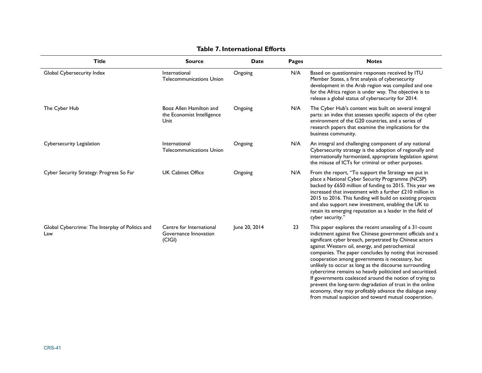| <b>Title</b>                                            | <b>Source</b>                                                 | Date          | Pages | <b>Notes</b>                                                                                                                                                                                                                                                                                                                                                                                                                                                                                                                                                                                                                                                                                                     |
|---------------------------------------------------------|---------------------------------------------------------------|---------------|-------|------------------------------------------------------------------------------------------------------------------------------------------------------------------------------------------------------------------------------------------------------------------------------------------------------------------------------------------------------------------------------------------------------------------------------------------------------------------------------------------------------------------------------------------------------------------------------------------------------------------------------------------------------------------------------------------------------------------|
| Global Cybersecurity Index                              | International<br><b>Telecommunications Union</b>              | Ongoing       | N/A   | Based on questionnaire responses received by ITU<br>Member States, a first analysis of cybersecurity<br>development in the Arab region was compiled and one<br>for the Africa region is under way. The objective is to<br>release a global status of cybersecurity for 2014.                                                                                                                                                                                                                                                                                                                                                                                                                                     |
| The Cyber Hub                                           | Booz Allen Hamilton and<br>the Economist Intelligence<br>Unit | Ongoing       | N/A   | The Cyber Hub's content was built on several integral<br>parts: an index that assesses specific aspects of the cyber<br>environment of the G20 countries, and a series of<br>research papers that examine the implications for the<br>business community.                                                                                                                                                                                                                                                                                                                                                                                                                                                        |
| Cybersecurity Legislation                               | International<br><b>Telecommunications Union</b>              | Ongoing       | N/A   | An integral and challenging component of any national<br>Cybersecurity strategy is the adoption of regionally and<br>internationally harmonized, appropriate legislation against<br>the misuse of ICTs for criminal or other purposes.                                                                                                                                                                                                                                                                                                                                                                                                                                                                           |
| Cyber Security Strategy: Progress So Far                | <b>UK Cabinet Office</b>                                      | Ongoing       | N/A   | From the report, "To support the Strategy we put in<br>place a National Cyber Security Programme (NCSP)<br>backed by £650 million of funding to 2015. This year we<br>increased that investment with a further £210 million in<br>2015 to 2016. This funding will build on existing projects<br>and also support new investment, enabling the UK to<br>retain its emerging reputation as a leader in the field of<br>cyber security."                                                                                                                                                                                                                                                                            |
| Global Cybercrime: The Interplay of Politics and<br>Law | Centre for International<br>Governance Innovation<br>(C G )   | June 20, 2014 | 23    | This paper explores the recent unsealing of a 31-count<br>indictment against five Chinese government officials and a<br>significant cyber breach, perpetrated by Chinese actors<br>against Western oil, energy, and petrochemical<br>companies. The paper concludes by noting that increased<br>cooperation among governments is necessary, but<br>unlikely to occur as long as the discourse surrounding<br>cybercrime remains so heavily politicized and securitized.<br>If governments coalesced around the notion of trying to<br>prevent the long-term degradation of trust in the online<br>economy, they may profitably advance the dialogue away<br>from mutual suspicion and toward mutual cooperation. |

#### **Table 7. International Efforts**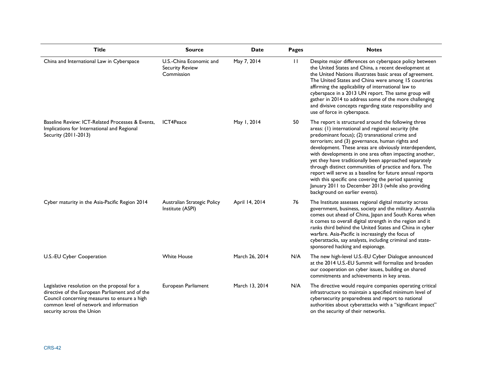| <b>Title</b>                                                                                                                                                                                                            | <b>Source</b>                                                   | <b>Date</b>    | Pages        | <b>Notes</b>                                                                                                                                                                                                                                                                                                                                                                                                                                                                                                                                                                                                                                                          |
|-------------------------------------------------------------------------------------------------------------------------------------------------------------------------------------------------------------------------|-----------------------------------------------------------------|----------------|--------------|-----------------------------------------------------------------------------------------------------------------------------------------------------------------------------------------------------------------------------------------------------------------------------------------------------------------------------------------------------------------------------------------------------------------------------------------------------------------------------------------------------------------------------------------------------------------------------------------------------------------------------------------------------------------------|
| China and International Law in Cyberspace                                                                                                                                                                               | U.S.-China Economic and<br><b>Security Review</b><br>Commission | May 7, 2014    | $\mathbf{H}$ | Despite major differences on cyberspace policy between<br>the United States and China, a recent development at<br>the United Nations illustrates basic areas of agreement.<br>The United States and China were among 15 countries<br>affirming the applicability of international law to<br>cyberspace in a 2013 UN report. The same group will<br>gather in 2014 to address some of the more challenging<br>and divisive concepts regarding state responsibility and<br>use of force in cyberspace.                                                                                                                                                                  |
| Baseline Review: ICT-Related Processes & Events.<br>Implications for International and Regional<br>Security (2011-2013)                                                                                                 | ICT4Peace                                                       | May 1, 2014    | 50           | The report is structured around the following three<br>areas: (1) international and regional security (the<br>predominant focus); (2) transnational crime and<br>terrorism; and (3) governance, human rights and<br>development. These areas are obviously interdependent,<br>with developments in one area often impacting another,<br>yet they have traditionally been approached separately<br>through distinct communities of practice and fora. The<br>report will serve as a baseline for future annual reports<br>with this specific one covering the period spanning<br>January 2011 to December 2013 (while also providing<br>background on earlier events). |
| Cyber maturity in the Asia-Pacific Region 2014                                                                                                                                                                          | Australian Strategic Policy<br>Institute (ASPI)                 | April 14, 2014 | 76           | The Institute assesses regional digital maturity across<br>government, business, society and the military. Australia<br>comes out ahead of China, Japan and South Korea when<br>it comes to overall digital strength in the region and it<br>ranks third behind the United States and China in cyber<br>warfare. Asia-Pacific is increasingly the focus of<br>cyberattacks, say analysts, including criminal and state-<br>sponsored hacking and espionage.                                                                                                                                                                                                           |
| U.S.-EU Cyber Cooperation                                                                                                                                                                                               | <b>White House</b>                                              | March 26, 2014 | N/A          | The new high-level U.S.-EU Cyber Dialogue announced<br>at the 2014 U.S.-EU Summit will formalize and broaden<br>our cooperation on cyber issues, building on shared<br>commitments and achievements in key areas.                                                                                                                                                                                                                                                                                                                                                                                                                                                     |
| Legislative resolution on the proposal for a<br>directive of the European Parliament and of the<br>Council concerning measures to ensure a high<br>common level of network and information<br>security across the Union | European Parliament                                             | March 13, 2014 | N/A          | The directive would require companies operating critical<br>infrastructure to maintain a specified minimum level of<br>cybersecurity preparedness and report to national<br>authorities about cyberattacks with a "significant impact"<br>on the security of their networks.                                                                                                                                                                                                                                                                                                                                                                                          |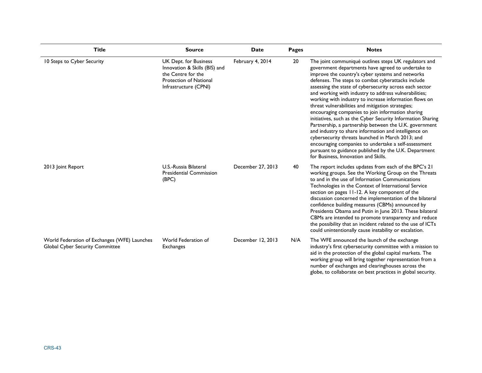| <b>Title</b>                                                                    | <b>Source</b>                                                                                                                          | <b>Date</b>       | Pages | <b>Notes</b>                                                                                                                                                                                                                                                                                                                                                                                                                                                                                                                                                                                                                                                                                                                                                                                                                                                                                                  |
|---------------------------------------------------------------------------------|----------------------------------------------------------------------------------------------------------------------------------------|-------------------|-------|---------------------------------------------------------------------------------------------------------------------------------------------------------------------------------------------------------------------------------------------------------------------------------------------------------------------------------------------------------------------------------------------------------------------------------------------------------------------------------------------------------------------------------------------------------------------------------------------------------------------------------------------------------------------------------------------------------------------------------------------------------------------------------------------------------------------------------------------------------------------------------------------------------------|
| 10 Steps to Cyber Security                                                      | UK Dept. for Business<br>Innovation & Skills (BIS) and<br>the Centre for the<br><b>Protection of National</b><br>Infrastructure (CPNI) | February 4, 2014  | 20    | The joint communiqué outlines steps UK regulators and<br>government departments have agreed to undertake to<br>improve the country's cyber systems and networks<br>defenses. The steps to combat cyberattacks include<br>assessing the state of cybersecurity across each sector<br>and working with industry to address vulnerabilities;<br>working with industry to increase information flows on<br>threat vulnerabilities and mitigation strategies;<br>encouraging companies to join information sharing<br>initiatives, such as the Cyber Security Information Sharing<br>Partnership, a partnership between the U.K. government<br>and industry to share information and intelligence on<br>cybersecurity threats launched in March 2013; and<br>encouraging companies to undertake a self-assessment<br>pursuant to guidance published by the U.K. Department<br>for Business, Innovation and Skills. |
| 2013 Joint Report                                                               | U.S.-Russia Bilateral<br><b>Presidential Commission</b><br>(BPC)                                                                       | December 27, 2013 | 40    | The report includes updates from each of the BPC's 21<br>working groups. See the Working Group on the Threats<br>to and in the use of Information Communications<br>Technologies in the Context of International Service<br>section on pages 11-12. A key component of the<br>discussion concerned the implementation of the bilateral<br>confidence building measures (CBMs) announced by<br>Presidents Obama and Putin in June 2013. These bilateral<br>CBMs are intended to promote transparency and reduce<br>the possibility that an incident related to the use of ICTs<br>could unintentionally cause instability or escalation.                                                                                                                                                                                                                                                                       |
| World Federation of Exchanges (WFE) Launches<br>Global Cyber Security Committee | World Federation of<br><b>Exchanges</b>                                                                                                | December 12, 2013 | N/A   | The WFE announced the launch of the exchange<br>industry's first cybersecurity committee with a mission to<br>aid in the protection of the global capital markets. The<br>working group will bring together representation from a<br>number of exchanges and clearinghouses across the<br>globe, to collaborate on best practices in global security.                                                                                                                                                                                                                                                                                                                                                                                                                                                                                                                                                         |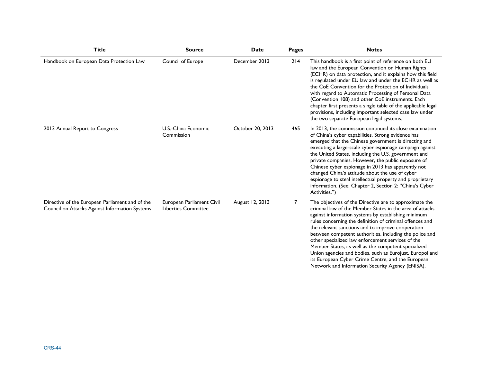| <b>Title</b>                                                                                      | <b>Source</b>                                           | <b>Date</b>      | <b>Pages</b> | <b>Notes</b>                                                                                                                                                                                                                                                                                                                                                                                                                                                                                                                                                                                                                           |
|---------------------------------------------------------------------------------------------------|---------------------------------------------------------|------------------|--------------|----------------------------------------------------------------------------------------------------------------------------------------------------------------------------------------------------------------------------------------------------------------------------------------------------------------------------------------------------------------------------------------------------------------------------------------------------------------------------------------------------------------------------------------------------------------------------------------------------------------------------------------|
| Handbook on European Data Protection Law                                                          | Council of Europe                                       | December 2013    | 214          | This handbook is a first point of reference on both EU<br>law and the European Convention on Human Rights<br>(ECHR) on data protection, and it explains how this field<br>is regulated under EU law and under the ECHR as well as<br>the CoE Convention for the Protection of Individuals<br>with regard to Automatic Processing of Personal Data<br>(Convention 108) and other CoE instruments. Each<br>chapter first presents a single table of the applicable legal<br>provisions, including important selected case law under<br>the two separate European legal systems.                                                          |
| 2013 Annual Report to Congress                                                                    | U.S.-China Economic<br>Commission                       | October 20, 2013 | 465          | In 2013, the commission continued its close examination<br>of China's cyber capabilities. Strong evidence has<br>emerged that the Chinese government is directing and<br>executing a large-scale cyber espionage campaign against<br>the United States, including the U.S. government and<br>private companies. However, the public exposure of<br>Chinese cyber espionage in 2013 has apparently not<br>changed China's attitude about the use of cyber<br>espionage to steal intellectual property and proprietary<br>information. (See: Chapter 2, Section 2: "China's Cyber<br>Activities.")                                       |
| Directive of the European Parliament and of the<br>Council on Attacks Against Information Systems | European Parliament Civil<br><b>Liberties Committee</b> | August 12, 2013  | 7            | The objectives of the Directive are to approximate the<br>criminal law of the Member States in the area of attacks<br>against information systems by establishing minimum<br>rules concerning the definition of criminal offences and<br>the relevant sanctions and to improve cooperation<br>between competent authorities, including the police and<br>other specialized law enforcement services of the<br>Member States, as well as the competent specialized<br>Union agencies and bodies, such as Eurojust, Europol and<br>its European Cyber Crime Centre, and the European<br>Network and Information Security Agency (ENISA). |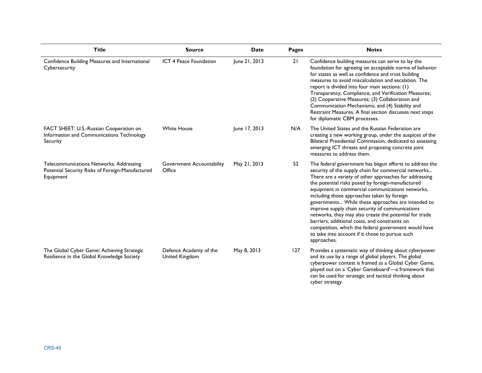| <b>Title</b>                                                                                             | <b>Source</b>                            | <b>Date</b>   | <b>Pages</b> | <b>Notes</b>                                                                                                                                                                                                                                                                                                                                                                                                                                                                                                                                                                                                                                                                     |
|----------------------------------------------------------------------------------------------------------|------------------------------------------|---------------|--------------|----------------------------------------------------------------------------------------------------------------------------------------------------------------------------------------------------------------------------------------------------------------------------------------------------------------------------------------------------------------------------------------------------------------------------------------------------------------------------------------------------------------------------------------------------------------------------------------------------------------------------------------------------------------------------------|
| Confidence Building Measures and International<br>Cybersecurity                                          | ICT 4 Peace Foundation                   | June 21, 2013 | 21           | Confidence building measures can serve to lay the<br>foundation for agreeing on acceptable norms of behavior<br>for states as well as confidence and trust building<br>measures to avoid miscalculation and escalation. The<br>report is divided into four main sections: (1)<br>Transparency, Compliance, and Verification Measures;<br>(2) Cooperative Measures; (3) Collaboration and<br>Communication Mechanisms; and (4) Stability and<br>Restraint Measures. A final section discusses next steps<br>for diplomatic CBM processes.                                                                                                                                         |
| FACT SHEET: U.S.-Russian Cooperation on<br>Information and Communications Technology<br>Security         | <b>White House</b>                       | June 17, 2013 | N/A          | The United States and the Russian Federation are<br>creating a new working group, under the auspices of the<br>Bilateral Presidential Commission, dedicated to assessing<br>emerging ICT threats and proposing concrete joint<br>measures to address them.                                                                                                                                                                                                                                                                                                                                                                                                                       |
| Telecommunications Networks: Addressing<br>Potential Security Risks of Foreign-Manufactured<br>Equipment | Government Accountability<br>Office      | May 21, 2013  | 52           | The federal government has begun efforts to address the<br>security of the supply chain for commercial networks<br>There are a variety of other approaches for addressing<br>the potential risks posed by foreign-manufactured<br>equipment in commercial communications networks,<br>including those approaches taken by foreign<br>governments While these approaches are intended to<br>improve supply chain security of communications<br>networks, they may also create the potential for trade<br>barriers, additional costs, and constraints on<br>competition, which the federal government would have<br>to take into account if it chose to pursue such<br>approaches. |
| The Global Cyber Game: Achieving Strategic<br>Resilience in the Global Knowledge Society                 | Defence Academy of the<br>United Kingdom | May 8, 2013   | 127          | Provides a systematic way of thinking about cyberpower<br>and its use by a range of global players. The global<br>cyberpower contest is framed as a Global Cyber Game,<br>played out on a 'Cyber Gameboard'-a framework that<br>can be used for strategic and tactical thinking about<br>$\sim$ hor ctrotogy                                                                                                                                                                                                                                                                                                                                                                     |

cyber strategy.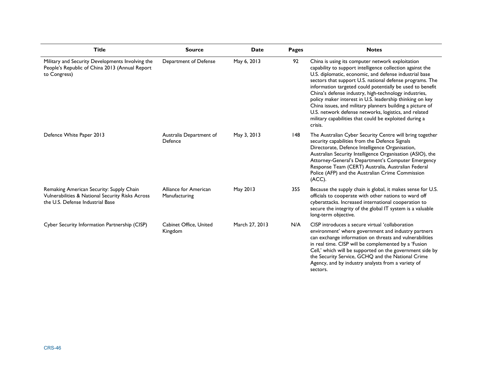| <b>Title</b>                                                                                                                     | <b>Source</b>                          | <b>Date</b>    | <b>Pages</b> | <b>Notes</b>                                                                                                                                                                                                                                                                                                                                                                                                                                                                                                                                                                                                     |
|----------------------------------------------------------------------------------------------------------------------------------|----------------------------------------|----------------|--------------|------------------------------------------------------------------------------------------------------------------------------------------------------------------------------------------------------------------------------------------------------------------------------------------------------------------------------------------------------------------------------------------------------------------------------------------------------------------------------------------------------------------------------------------------------------------------------------------------------------------|
| Military and Security Developments Involving the<br>People's Republic of China 2013 (Annual Report<br>to Congress)               | Department of Defense                  | May 6, 2013    | 92           | China is using its computer network exploitation<br>capability to support intelligence collection against the<br>U.S. diplomatic, economic, and defense industrial base<br>sectors that support U.S. national defense programs. The<br>information targeted could potentially be used to benefit<br>China's defense industry, high-technology industries,<br>policy maker interest in U.S. leadership thinking on key<br>China issues, and military planners building a picture of<br>U.S. network defense networks, logistics, and related<br>military capabilities that could be exploited during a<br>crisis. |
| Defence White Paper 2013                                                                                                         | Australia Department of<br>Defence     | May 3, 2013    | 148          | The Australian Cyber Security Centre will bring together<br>security capabilities from the Defence Signals<br>Directorate, Defence Intelligence Organisation,<br>Australian Security Intelligence Organisation (ASIO), the<br>Attorney-General's Department's Computer Emergency<br>Response Team (CERT) Australia, Australian Federal<br>Police (AFP) and the Australian Crime Commission<br>(ACC).                                                                                                                                                                                                             |
| Remaking American Security: Supply Chain<br>Vulnerabilities & National Security Risks Across<br>the U.S. Defense Industrial Base | Alliance for American<br>Manufacturing | May 2013       | 355          | Because the supply chain is global, it makes sense for U.S.<br>officials to cooperate with other nations to ward off<br>cyberattacks. Increased international cooperation to<br>secure the integrity of the global IT system is a valuable<br>long-term objective.                                                                                                                                                                                                                                                                                                                                               |
| Cyber Security Information Partnership (CISP)                                                                                    | Cabinet Office, United<br>Kingdom      | March 27, 2013 | N/A          | CISP introduces a secure virtual 'collaboration<br>environment' where government and industry partners<br>can exchange information on threats and vulnerabilities<br>in real time. CISP will be complemented by a 'Fusion<br>Cell,' which will be supported on the government side by<br>the Security Service, GCHQ and the National Crime<br>Agency, and by industry analysts from a variety of<br>sectors.                                                                                                                                                                                                     |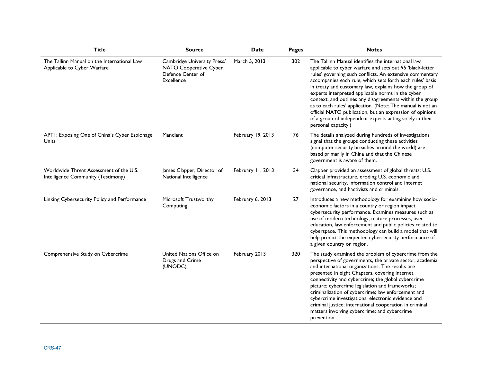| <b>Title</b>                                                                  | <b>Source</b>                                                                                   | Date              | Pages | <b>Notes</b>                                                                                                                                                                                                                                                                                                                                                                                                                                                                                                                                                                                                                      |
|-------------------------------------------------------------------------------|-------------------------------------------------------------------------------------------------|-------------------|-------|-----------------------------------------------------------------------------------------------------------------------------------------------------------------------------------------------------------------------------------------------------------------------------------------------------------------------------------------------------------------------------------------------------------------------------------------------------------------------------------------------------------------------------------------------------------------------------------------------------------------------------------|
| The Tallinn Manual on the International Law<br>Applicable to Cyber Warfare    | Cambridge University Press/<br>NATO Cooperative Cyber<br>Defence Center of<br><b>Excellence</b> | March 5, 2013     | 302   | The Tallinn Manual identifies the international law<br>applicable to cyber warfare and sets out 95 'black-letter<br>rules' governing such conflicts. An extensive commentary<br>accompanies each rule, which sets forth each rules' basis<br>in treaty and customary law, explains how the group of<br>experts interpreted applicable norms in the cyber<br>context, and outlines any disagreements within the group<br>as to each rules' application. (Note: The manual is not an<br>official NATO publication, but an expression of opinions<br>of a group of independent experts acting solely in their<br>personal capacity.) |
| APTI: Exposing One of China's Cyber Espionage<br>Units                        | Mandiant                                                                                        | February 19, 2013 | 76    | The details analyzed during hundreds of investigations<br>signal that the groups conducting these activities<br>(computer security breaches around the world) are<br>based primarily in China and that the Chinese<br>government is aware of them.                                                                                                                                                                                                                                                                                                                                                                                |
| Worldwide Threat Assessment of the U.S.<br>Intelligence Community (Testimony) | James Clapper, Director of<br>National Intelligence                                             | February 11, 2013 | 34    | Clapper provided an assessment of global threats: U.S.<br>critical infrastructure, eroding U.S. economic and<br>national security, information control and Internet<br>governance, and hactivists and criminals.                                                                                                                                                                                                                                                                                                                                                                                                                  |
| Linking Cybersecurity Policy and Performance                                  | Microsoft Trustworthy<br>Computing                                                              | February 6, 2013  | 27    | Introduces a new methodology for examining how socio-<br>economic factors in a country or region impact<br>cybersecurity performance. Examines measures such as<br>use of modern technology, mature processes, user<br>education, law enforcement and public policies related to<br>cyberspace. This methodology can build a model that will<br>help predict the expected cybersecurity performance of<br>a given country or region.                                                                                                                                                                                              |
| Comprehensive Study on Cybercrime                                             | United Nations Office on<br>Drugs and Crime<br>(UNODC)                                          | February 2013     | 320   | The study examined the problem of cybercrime from the<br>perspective of governments, the private sector, academia<br>and international organizations. The results are<br>presented in eight Chapters, covering Internet<br>connectivity and cybercrime; the global cybercrime<br>picture; cybercrime legislation and frameworks;<br>criminalization of cybercrime; law enforcement and<br>cybercrime investigations; electronic evidence and<br>criminal justice; international cooperation in criminal<br>matters involving cybercrime; and cybercrime<br>prevention.                                                            |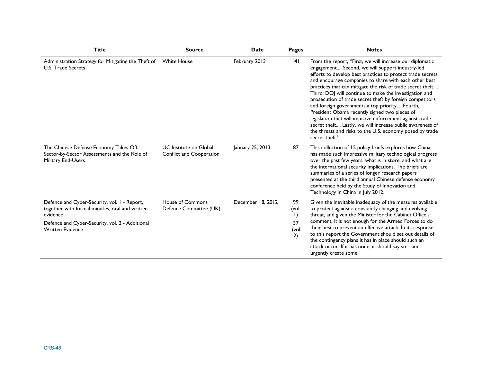| <b>Title</b>                                                                                                                                                                             | <b>Source</b>                                             | Date              | <b>Pages</b>                                     | <b>Notes</b>                                                                                                                                                                                                                                                                                                                                                                                                                                                                                                                                                                                                                                                                                                                    |
|------------------------------------------------------------------------------------------------------------------------------------------------------------------------------------------|-----------------------------------------------------------|-------------------|--------------------------------------------------|---------------------------------------------------------------------------------------------------------------------------------------------------------------------------------------------------------------------------------------------------------------------------------------------------------------------------------------------------------------------------------------------------------------------------------------------------------------------------------------------------------------------------------------------------------------------------------------------------------------------------------------------------------------------------------------------------------------------------------|
| Administration Strategy for Mitigating the Theft of<br><b>U.S. Trade Secrets</b>                                                                                                         | <b>White House</b>                                        | February 2013     | 4                                                | From the report, "First, we will increase our diplomatic<br>engagement Second, we will support industry-led<br>efforts to develop best practices to protect trade secrets<br>and encourage companies to share with each other best<br>practices that can mitigate the risk of trade secret theft<br>Third, DOJ will continue to make the investigation and<br>prosecution of trade secret theft by foreign competitors<br>and foreign governments a top priority Fourth,<br>President Obama recently signed two pieces of<br>legislation that will improve enforcement against trade<br>secret theft Lastly, we will increase public awareness of<br>the threats and risks to the U.S. economy posed by trade<br>secret theft." |
| The Chinese Defense Economy Takes Off:<br>Sector-by-Sector Assessments and the Role of<br>Military End-Users                                                                             | <b>UC</b> Institute on Global<br>Conflict and Cooperation | January 25, 2013  | 87                                               | This collection of 15 policy briefs explores how China<br>has made such impressive military technological progress<br>over the past few years, what is in store, and what are<br>the international security implications. The briefs are<br>summaries of a series of longer research papers<br>presented at the third annual Chinese defense economy<br>conference held by the Study of Innovation and<br>Technology in China in July 2012.                                                                                                                                                                                                                                                                                     |
| Defence and Cyber-Security, vol. 1 - Report,<br>together with formal minutes, oral and written<br>evidence<br>Defence and Cyber-Security, vol. 2 - Additional<br><b>Written Evidence</b> | House of Commons<br>Defence Committee (UK)                | December 18, 2012 | 99<br>(vol.<br>$\mathsf{I}$<br>37<br>(vol.<br>2) | Given the inevitable inadequacy of the measures available<br>to protect against a constantly changing and evolving<br>threat, and given the Minister for the Cabinet Office's<br>comment, it is not enough for the Armed Forces to do<br>their best to prevent an effective attack. In its response<br>to this report the Government should set out details of<br>the contingency plans it has in place should such an<br>attack occur. If it has none, it should say so-and<br>urgently create some.                                                                                                                                                                                                                           |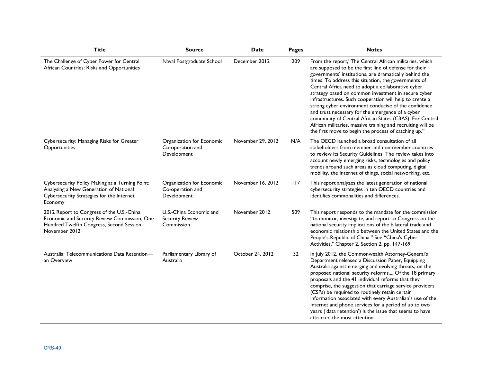| <b>Title</b>                                                                                                                                            | <b>Source</b>                                                   | Date              | <b>Pages</b> | <b>Notes</b>                                                                                                                                                                                                                                                                                                                                                                                                                                                                                                                                                                                                                                                                                              |
|---------------------------------------------------------------------------------------------------------------------------------------------------------|-----------------------------------------------------------------|-------------------|--------------|-----------------------------------------------------------------------------------------------------------------------------------------------------------------------------------------------------------------------------------------------------------------------------------------------------------------------------------------------------------------------------------------------------------------------------------------------------------------------------------------------------------------------------------------------------------------------------------------------------------------------------------------------------------------------------------------------------------|
| The Challenge of Cyber Power for Central<br>African Countries: Risks and Opportunities                                                                  | Naval Postgraduate School                                       | December 2012     | 209          | From the report, "The Central African militaries, which<br>are supposed to be the first line of defense for their<br>governments' institutions, are dramatically behind the<br>times. To address this situation, the governments of<br>Central Africa need to adopt a collaborative cyber<br>strategy based on common investment in secure cyber<br>infrastructures. Such cooperation will help to create a<br>strong cyber environment conducive of the confidence<br>and trust necessary for the emergence of a cyber<br>community of Central African States (C3AS). For Central<br>African militaries, massive training and recruiting will be<br>the first move to begin the process of catching up." |
| Cybersecurity: Managing Risks for Greater<br>Opportunities                                                                                              | Organization for Economic<br>Co-operation and<br>Development    | November 29, 2012 | N/A          | The OECD launched a broad consultation of all<br>stakeholders from member and non-member countries<br>to review its Security Guidelines. The review takes into<br>account newly emerging risks, technologies and policy<br>trends around such areas as cloud computing, digital<br>mobility, the Internet of things, social networking, etc.                                                                                                                                                                                                                                                                                                                                                              |
| Cybersecurity Policy Making at a Turning Point:<br>Analysing a New Generation of National<br>Cybersecurity Strategies for the Internet<br>Economy       | Organization for Economic<br>Co-operation and<br>Development    | November 16, 2012 | 117          | This report analyzes the latest generation of national<br>cybersecurity strategies in ten OECD countries and<br>identifies commonalities and differences.                                                                                                                                                                                                                                                                                                                                                                                                                                                                                                                                                 |
| 2012 Report to Congress of the U.S.-China<br>Economic and Security Review Commission, One<br>Hundred Twelfth Congress, Second Session,<br>November 2012 | U.S.-China Economic and<br><b>Security Review</b><br>Commission | November 2012     | 509          | This report responds to the mandate for the commission<br>"to monitor, investigate, and report to Congress on the<br>national security implications of the bilateral trade and<br>economic relationship between the United States and the<br>People's Republic of China." See "China's Cyber<br>Activities," Chapter 2, Section 2, pp. 147-169.                                                                                                                                                                                                                                                                                                                                                           |
| Australia: Telecommunications Data Retention-<br>an Overview                                                                                            | Parliamentary Library of<br>Australia                           | October 24, 2012  | 32           | In July 2012, the Commonwealth Attorney-General's<br>Department released a Discussion Paper, Equipping<br>Australia against emerging and evolving threats, on the<br>proposed national security reforms Of the 18 primary<br>proposals and the 41 individual reforms that they<br>comprise, the suggestion that carriage service providers<br>(CSPs) be required to routinely retain certain<br>information associated with every Australian's use of the<br>Internet and phone services for a period of up to two<br>years ('data retention') is the issue that seems to have<br>attracted the most attention.                                                                                           |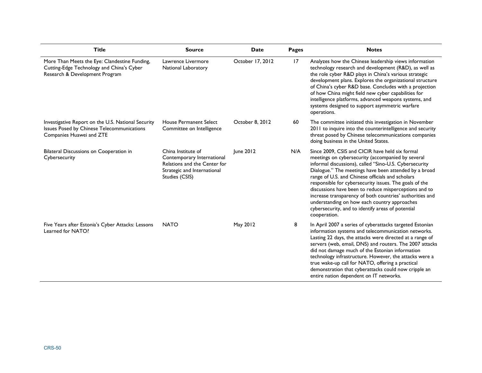| <b>Title</b>                                                                                                                 | <b>Source</b>                                                                                                                     | <b>Date</b>      | <b>Pages</b> | <b>Notes</b>                                                                                                                                                                                                                                                                                                                                                                                                                                                                                                                                                                    |
|------------------------------------------------------------------------------------------------------------------------------|-----------------------------------------------------------------------------------------------------------------------------------|------------------|--------------|---------------------------------------------------------------------------------------------------------------------------------------------------------------------------------------------------------------------------------------------------------------------------------------------------------------------------------------------------------------------------------------------------------------------------------------------------------------------------------------------------------------------------------------------------------------------------------|
| More Than Meets the Eye: Clandestine Funding,<br>Cutting-Edge Technology and China's Cyber<br>Research & Development Program | Lawrence Livermore<br>National Laboratory                                                                                         | October 17, 2012 | 17           | Analyzes how the Chinese leadership views information<br>technology research and development (R&D), as well as<br>the role cyber R&D plays in China's various strategic<br>development plans. Explores the organizational structure<br>of China's cyber R&D base. Concludes with a projection<br>of how China might field new cyber capabilities for<br>intelligence platforms, advanced weapons systems, and<br>systems designed to support asymmetric warfare<br>operations.                                                                                                  |
| Investigative Report on the U.S. National Security<br>Issues Posed by Chinese Telecommunications<br>Companies Huawei and ZTE | House Permanent Select<br>Committee on Intelligence                                                                               | October 8, 2012  | 60           | The committee initiated this investigation in November<br>2011 to inquire into the counterintelligence and security<br>threat posed by Chinese telecommunications companies<br>doing business in the United States.                                                                                                                                                                                                                                                                                                                                                             |
| Bilateral Discussions on Cooperation in<br>Cybersecurity                                                                     | China Institute of<br>Contemporary International<br>Relations and the Center for<br>Strategic and International<br>Studies (CSIS) | June 2012        | N/A          | Since 2009, CSIS and CICIR have held six formal<br>meetings on cybersecurity (accompanied by several<br>informal discussions), called "Sino-U.S. Cybersecurity<br>Dialogue." The meetings have been attended by a broad<br>range of U.S. and Chinese officials and scholars<br>responsible for cybersecurity issues. The goals of the<br>discussions have been to reduce misperceptions and to<br>increase transparency of both countries' authorities and<br>understanding on how each country approaches<br>cybersecurity, and to identify areas of potential<br>cooperation. |
| Five Years after Estonia's Cyber Attacks: Lessons<br>Learned for NATO?                                                       | <b>NATO</b>                                                                                                                       | May 2012         | 8            | In April 2007 a series of cyberattacks targeted Estonian<br>information systems and telecommunication networks.<br>Lasting 22 days, the attacks were directed at a range of<br>servers (web, email, DNS) and routers. The 2007 attacks<br>did not damage much of the Estonian information<br>technology infrastructure. However, the attacks were a<br>true wake-up call for NATO, offering a practical<br>demonstration that cyberattacks could now cripple an<br>entire nation dependent on IT networks.                                                                      |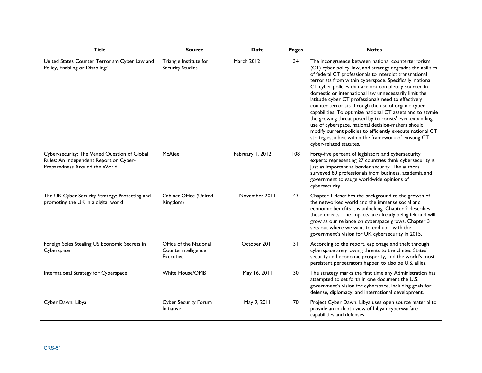| <b>Title</b>                                                                                                            | <b>Source</b>                                              | <b>Date</b>      | <b>Pages</b> | <b>Notes</b>                                                                                                                                                                                                                                                                                                                                                                                                                                                                                                                                                                                                                                                                                                                                                                                             |
|-------------------------------------------------------------------------------------------------------------------------|------------------------------------------------------------|------------------|--------------|----------------------------------------------------------------------------------------------------------------------------------------------------------------------------------------------------------------------------------------------------------------------------------------------------------------------------------------------------------------------------------------------------------------------------------------------------------------------------------------------------------------------------------------------------------------------------------------------------------------------------------------------------------------------------------------------------------------------------------------------------------------------------------------------------------|
| United States Counter Terrorism Cyber Law and<br>Policy, Enabling or Disabling?                                         | Triangle Institute for<br><b>Security Studies</b>          | March 2012       | 34           | The incongruence between national counterterrorism<br>(CT) cyber policy, law, and strategy degrades the abilities<br>of federal CT professionals to interdict transnational<br>terrorists from within cyberspace. Specifically, national<br>CT cyber policies that are not completely sourced in<br>domestic or international law unnecessarily limit the<br>latitude cyber CT professionals need to effectively<br>counter terrorists through the use of organic cyber<br>capabilities. To optimize national CT assets and to stymie<br>the growing threat posed by terrorists' ever-expanding<br>use of cyberspace, national decision-makers should<br>modify current policies to efficiently execute national CT<br>strategies, albeit within the framework of existing CT<br>cyber-related statutes. |
| Cyber-security: The Vexed Question of Global<br>Rules: An Independent Report on Cyber-<br>Preparedness Around the World | McAfee                                                     | February 1, 2012 | 108          | Forty-five percent of legislators and cybersecurity<br>experts representing 27 countries think cybersecurity is<br>just as important as border security. The authors<br>surveyed 80 professionals from business, academia and<br>government to gauge worldwide opinions of<br>cybersecurity.                                                                                                                                                                                                                                                                                                                                                                                                                                                                                                             |
| The UK Cyber Security Strategy: Protecting and<br>promoting the UK in a digital world                                   | Cabinet Office (United<br>Kingdom)                         | November 2011    | 43           | Chapter I describes the background to the growth of<br>the networked world and the immense social and<br>economic benefits it is unlocking. Chapter 2 describes<br>these threats. The impacts are already being felt and will<br>grow as our reliance on cyberspace grows. Chapter 3<br>sets out where we want to end up-with the<br>government's vision for UK cybersecurity in 2015.                                                                                                                                                                                                                                                                                                                                                                                                                   |
| Foreign Spies Stealing US Economic Secrets in<br>Cyberspace                                                             | Office of the National<br>Counterintelligence<br>Executive | October 2011     | 31           | According to the report, espionage and theft through<br>cyberspace are growing threats to the United States'<br>security and economic prosperity, and the world's most<br>persistent perpetrators happen to also be U.S. allies.                                                                                                                                                                                                                                                                                                                                                                                                                                                                                                                                                                         |
| International Strategy for Cyberspace                                                                                   | <b>White House/OMB</b>                                     | May 16, 2011     | 30           | The strategy marks the first time any Administration has<br>attempted to set forth in one document the U.S.<br>government's vision for cyberspace, including goals for<br>defense, diplomacy, and international development.                                                                                                                                                                                                                                                                                                                                                                                                                                                                                                                                                                             |
| Cyber Dawn: Libya                                                                                                       | Cyber Security Forum<br><b>Initiative</b>                  | May 9, 2011      | 70           | Project Cyber Dawn: Libya uses open source material to<br>provide an in-depth view of Libyan cyberwarfare<br>capabilities and defenses.                                                                                                                                                                                                                                                                                                                                                                                                                                                                                                                                                                                                                                                                  |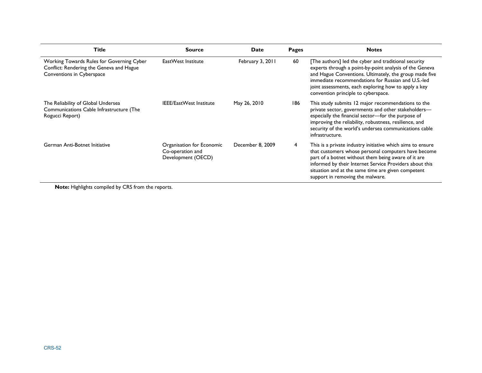| <b>Title</b>                                                                                                       | <b>Source</b>                                                       | Date             | Pages | <b>Notes</b>                                                                                                                                                                                                                                                                                                                   |
|--------------------------------------------------------------------------------------------------------------------|---------------------------------------------------------------------|------------------|-------|--------------------------------------------------------------------------------------------------------------------------------------------------------------------------------------------------------------------------------------------------------------------------------------------------------------------------------|
| Working Towards Rules for Governing Cyber<br>Conflict: Rendering the Geneva and Hague<br>Conventions in Cyberspace | EastWest Institute                                                  | February 3, 2011 | 60    | [The authors] led the cyber and traditional security<br>experts through a point-by-point analysis of the Geneva<br>and Hague Conventions. Ultimately, the group made five<br>immediate recommendations for Russian and U.S.-led<br>joint assessments, each exploring how to apply a key<br>convention principle to cyberspace. |
| The Reliability of Global Undersea<br>Communications Cable Infrastructure (The<br>Rogucci Report)                  | <b>IEEE/EastWest Institute</b>                                      | May 26, 2010     | 186   | This study submits 12 major recommendations to the<br>private sector, governments and other stakeholders-<br>especially the financial sector-for the purpose of<br>improving the reliability, robustness, resilience, and<br>security of the world's undersea communications cable<br>infrastructure.                          |
| German Anti-Botnet Initiative                                                                                      | Organisation for Economic<br>Co-operation and<br>Development (OECD) | December 8, 2009 | 4     | This is a private industry initiative which aims to ensure<br>that customers whose personal computers have become<br>part of a botnet without them being aware of it are<br>informed by their Internet Service Providers about this<br>situation and at the same time are given competent<br>support in removing the malware.  |

**Note:** Highlights compiled by CRS from the reports.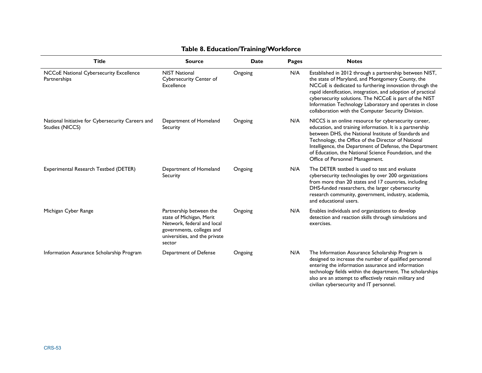| <b>Title</b>                                                         | <b>Source</b>                                                                                                                                             | <b>Date</b> | <b>Pages</b> | <b>Notes</b>                                                                                                                                                                                                                                                                                                                                                                                                       |
|----------------------------------------------------------------------|-----------------------------------------------------------------------------------------------------------------------------------------------------------|-------------|--------------|--------------------------------------------------------------------------------------------------------------------------------------------------------------------------------------------------------------------------------------------------------------------------------------------------------------------------------------------------------------------------------------------------------------------|
| NCCoE National Cybersecurity Excellence<br>Partnerships              | <b>NIST National</b><br>Cybersecurity Center of<br>Excellence                                                                                             | Ongoing     | N/A          | Established in 2012 through a partnership between NIST,<br>the state of Maryland, and Montgomery County, the<br>NCCoE is dedicated to furthering innovation through the<br>rapid identification, integration, and adoption of practical<br>cybersecurity solutions. The NCCoE is part of the NIST<br>Information Technology Laboratory and operates in close<br>collaboration with the Computer Security Division. |
| National Initiative for Cybersecurity Careers and<br>Studies (NICCS) | Department of Homeland<br>Security                                                                                                                        | Ongoing     | N/A          | NICCS is an online resource for cybersecurity career,<br>education, and training information. It is a partnership<br>between DHS, the National Institute of Standards and<br>Technology, the Office of the Director of National<br>Intelligence, the Department of Defense, the Department<br>of Education, the National Science Foundation, and the<br>Office of Personnel Management.                            |
| Experimental Research Testbed (DETER)                                | Department of Homeland<br>Security                                                                                                                        | Ongoing     | N/A          | The DETER testbed is used to test and evaluate<br>cybersecurity technologies by over 200 organizations<br>from more than 20 states and 17 countries, including<br>DHS-funded researchers, the larger cybersecurity<br>research community, government, industry, academia,<br>and educational users.                                                                                                                |
| Michigan Cyber Range                                                 | Partnership between the<br>state of Michigan, Merit<br>Network, federal and local<br>governments, colleges and<br>universities, and the private<br>sector | Ongoing     | N/A          | Enables individuals and organizations to develop<br>detection and reaction skills through simulations and<br>exercises.                                                                                                                                                                                                                                                                                            |
| Information Assurance Scholarship Program                            | Department of Defense                                                                                                                                     | Ongoing     | N/A          | The Information Assurance Scholarship Program is<br>designed to increase the number of qualified personnel<br>entering the information assurance and information<br>technology fields within the department. The scholarships<br>also are an attempt to effectively retain military and                                                                                                                            |

civilian cybersecurity and IT personnel.

## **Table 8. Education/Training/Workforce**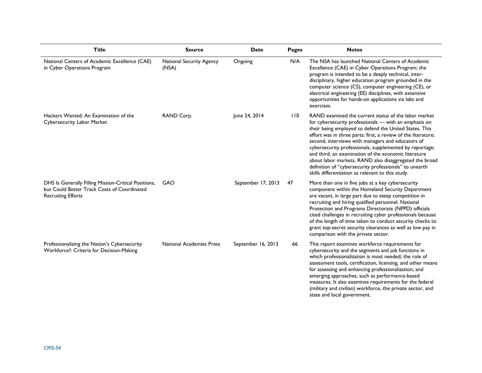| <b>Title</b>                                                                                                                     | <b>Source</b>                     | <b>Date</b>        | Pages | <b>Notes</b>                                                                                                                                                                                                                                                                                                                                                                                                                                                                                                                                                                              |
|----------------------------------------------------------------------------------------------------------------------------------|-----------------------------------|--------------------|-------|-------------------------------------------------------------------------------------------------------------------------------------------------------------------------------------------------------------------------------------------------------------------------------------------------------------------------------------------------------------------------------------------------------------------------------------------------------------------------------------------------------------------------------------------------------------------------------------------|
| National Centers of Academic Excellence (CAE)<br>in Cyber Operations Program                                                     | National Security Agency<br>(NSA) | Ongoing            | N/A   | The NSA has launched National Centers of Academic<br>Excellence (CAE) in Cyber Operations Program; the<br>program is intended to be a deeply technical, inter-<br>disciplinary, higher education program grounded in the<br>computer science (CS), computer engineering (CE), or<br>electrical engineering (EE) disciplines, with extensive<br>opportunities for hands-on applications via labs and<br>exercises.                                                                                                                                                                         |
| Hackers Wanted: An Examination of the<br>Cybersecurity Labor Market                                                              | RAND Corp.                        | June 24, 2014      | 110   | RAND examined the current status of the labor market<br>for cybersecurity professionals - with an emphasis on<br>their being employed to defend the United States. This<br>effort was in three parts: first, a review of the literature;<br>second, interviews with managers and educators of<br>cybersecurity professionals, supplemented by reportage;<br>and third, an examination of the economic literature<br>about labor markets. RAND also disaggregated the broad<br>definition of "cybersecurity professionals" to unearth<br>skills differentiation as relevant to this study. |
| DHS Is Generally Filling Mission-Critical Positions,<br>but Could Better Track Costs of Coordinated<br><b>Recruiting Efforts</b> | <b>GAO</b>                        | September 17, 2013 | 47    | More than one in five jobs at a key cybersecurity<br>component within the Homeland Security Department<br>are vacant, in large part due to steep competition in<br>recruiting and hiring qualified personnel. National<br>Protection and Programs Directorate (NPPD) officials<br>cited challenges in recruiting cyber professionals because<br>of the length of time taken to conduct security checks to<br>grant top-secret security clearances as well as low pay in<br>comparison with the private sector.                                                                            |
| Professionalizing the Nation's Cybersecurity<br>Workforce?: Criteria for Decision-Making                                         | <b>National Academies Press</b>   | September 16, 2013 | 66    | This report examines workforce requirements for<br>cybersecurity and the segments and job functions in<br>which professionalization is most needed; the role of<br>assessment tools, certification, licensing, and other means<br>for assessing and enhancing professionalization; and<br>emerging approaches, such as performance-based<br>measures. It also examines requirements for the federal<br>(military and civilian) workforce, the private sector, and<br>state and local government.                                                                                          |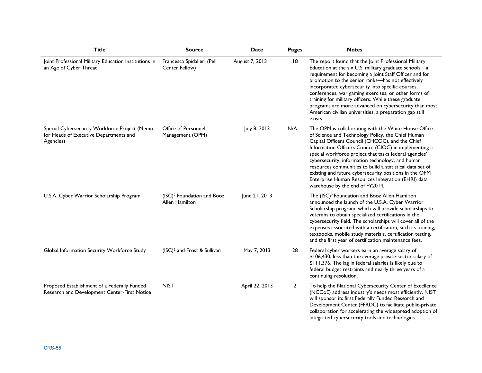| <b>Title</b>                                                                                         | <b>Source</b>                                            | <b>Date</b>    | Pages          | <b>Notes</b>                                                                                                                                                                                                                                                                                                                                                                                                                                                                                                                                       |
|------------------------------------------------------------------------------------------------------|----------------------------------------------------------|----------------|----------------|----------------------------------------------------------------------------------------------------------------------------------------------------------------------------------------------------------------------------------------------------------------------------------------------------------------------------------------------------------------------------------------------------------------------------------------------------------------------------------------------------------------------------------------------------|
| Joint Professional Military Education Institutions in<br>an Age of Cyber Threat                      | Francesca Spidalieri (Pell<br>Center Fellow)             | August 7, 2013 | 18             | The report found that the Joint Professional Military<br>Education at the six U.S. military graduate schools-a<br>requirement for becoming a Joint Staff Officer and for<br>promotion to the senior ranks-has not effectively<br>incorporated cybersecurity into specific courses,<br>conferences, war gaming exercises, or other forms of<br>training for military officers. While these graduate<br>programs are more advanced on cybersecurity than most<br>American civilian universities, a preparation gap still<br>exists.                  |
| Special Cybersecurity Workforce Project (Memo<br>for Heads of Executive Departments and<br>Agencies) | Office of Personnel<br>Management (OPM)                  | July 8, 2013   | N/A            | The OPM is collaborating with the White House Office<br>of Science and Technology Policy, the Chief Human<br>Capital Officers Council (CHCOC), and the Chief<br>Information Officers Council (CIOC) in implementing a<br>special workforce project that tasks federal agencies'<br>cybersecurity, information technology, and human<br>resources communities to build a statistical data set of<br>existing and future cybersecurity positions in the OPM<br>Enterprise Human Resources Integration (EHRI) data<br>warehouse by the end of FY2014. |
| U.S.A. Cyber Warrior Scholarship Program                                                             | (ISC) <sup>2</sup> Foundation and Booz<br>Allen Hamilton | June 21, 2013  |                | The (ISC) <sup>2</sup> Foundation and Booz Allen Hamilton<br>announced the launch of the U.S.A. Cyber Warrior<br>Scholarship program, which will provide scholarships to<br>veterans to obtain specialized certifications in the<br>cybersecurity field. The scholarships will cover all of the<br>expenses associated with a certification, such as training,<br>textbooks, mobile study materials, certification testing,<br>and the first year of certification maintenance fees.                                                               |
| Global Information Security Workforce Study                                                          | (ISC) <sup>2</sup> and Frost & Sullivan                  | May 7, 2013    | 28             | Federal cyber workers earn an average salary of<br>\$106,430, less than the average private-sector salary of<br>\$111,376. The lag in federal salaries is likely due to<br>federal budget restraints and nearly three years of a<br>continuing resolution.                                                                                                                                                                                                                                                                                         |
| Proposed Establishment of a Federally Funded<br>Research and Development Center-First Notice         | <b>NIST</b>                                              | April 22, 2013 | $\overline{2}$ | To help the National Cybersecurity Center of Excellence<br>(NCCoE) address industry's needs most efficiently, NIST<br>will sponsor its first Federally Funded Research and<br>Development Center (FFRDC) to facilitate public-private<br>collaboration for accelerating the widespread adoption of<br>integrated cybersecurity tools and technologies.                                                                                                                                                                                             |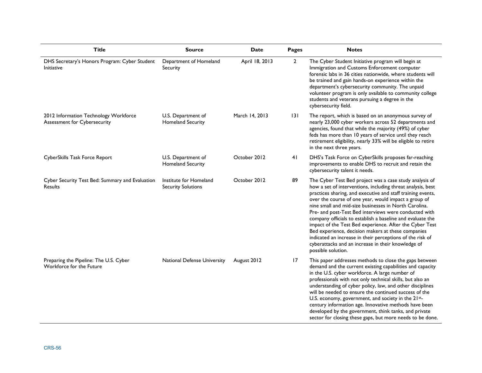| <b>Title</b>                                                                 | <b>Source</b>                                       | <b>Date</b>    | <b>Pages</b>   | <b>Notes</b>                                                                                                                                                                                                                                                                                                                                                                                                                                                                                                                                                                                                                                                                            |
|------------------------------------------------------------------------------|-----------------------------------------------------|----------------|----------------|-----------------------------------------------------------------------------------------------------------------------------------------------------------------------------------------------------------------------------------------------------------------------------------------------------------------------------------------------------------------------------------------------------------------------------------------------------------------------------------------------------------------------------------------------------------------------------------------------------------------------------------------------------------------------------------------|
| DHS Secretary's Honors Program: Cyber Student<br>Initiative                  | Department of Homeland<br>Security                  | April 18, 2013 | $\overline{2}$ | The Cyber Student Initiative program will begin at<br>Immigration and Customs Enforcement computer<br>forensic labs in 36 cities nationwide, where students will<br>be trained and gain hands-on experience within the<br>department's cybersecurity community. The unpaid<br>volunteer program is only available to community college<br>students and veterans pursuing a degree in the<br>cybersecurity field.                                                                                                                                                                                                                                                                        |
| 2012 Information Technology Workforce<br><b>Assessment for Cybersecurity</b> | U.S. Department of<br><b>Homeland Security</b>      | March 14, 2013 | 131            | The report, which is based on an anonymous survey of<br>nearly 23,000 cyber workers across 52 departments and<br>agencies, found that while the majority (49%) of cyber<br>feds has more than 10 years of service until they reach<br>retirement eligibility, nearly 33% will be eligible to retire<br>in the next three years.                                                                                                                                                                                                                                                                                                                                                         |
| CyberSkills Task Force Report                                                | U.S. Department of<br><b>Homeland Security</b>      | October 2012   | 41             | DHS's Task Force on CyberSkills proposes far-reaching<br>improvements to enable DHS to recruit and retain the<br>cybersecurity talent it needs.                                                                                                                                                                                                                                                                                                                                                                                                                                                                                                                                         |
| Cyber Security Test Bed: Summary and Evaluation<br>Results                   | Institute for Homeland<br><b>Security Solutions</b> | October 2012   | 89             | The Cyber Test Bed project was a case study analysis of<br>how a set of interventions, including threat analysis, best<br>practices sharing, and executive and staff training events,<br>over the course of one year, would impact a group of<br>nine small and mid-size businesses in North Carolina.<br>Pre- and post-Test Bed interviews were conducted with<br>company officials to establish a baseline and evaluate the<br>impact of the Test Bed experience. After the Cyber Test<br>Bed experience, decision makers at these companies<br>indicated an increase in their perceptions of the risk of<br>cyberattacks and an increase in their knowledge of<br>possible solution. |
| Preparing the Pipeline: The U.S. Cyber<br>Workforce for the Future           | <b>National Defense University</b>                  | August 2012    | 17             | This paper addresses methods to close the gaps between<br>demand and the current existing capabilities and capacity<br>in the U.S. cyber workforce. A large number of<br>professionals with not only technical skills, but also an<br>understanding of cyber policy, law, and other disciplines<br>will be needed to ensure the continued success of the<br>U.S. economy, government, and society in the 21st-<br>century information age. Innovative methods have been<br>developed by the government, think tanks, and private<br>sector for closing these gaps, but more needs to be done.                                                                                           |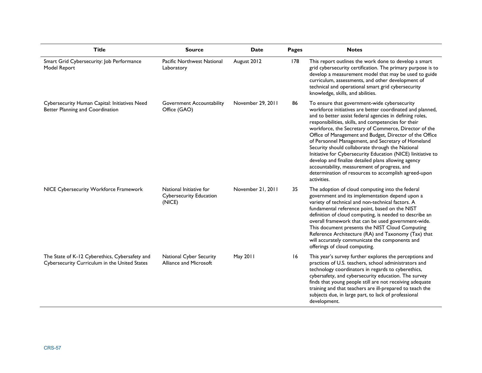| <b>Title</b>                                                                                    | <b>Source</b>                                                       | <b>Date</b>       | Pages | <b>Notes</b>                                                                                                                                                                                                                                                                                                                                                                                                                                                                                                                                                                                                                                                                                              |
|-------------------------------------------------------------------------------------------------|---------------------------------------------------------------------|-------------------|-------|-----------------------------------------------------------------------------------------------------------------------------------------------------------------------------------------------------------------------------------------------------------------------------------------------------------------------------------------------------------------------------------------------------------------------------------------------------------------------------------------------------------------------------------------------------------------------------------------------------------------------------------------------------------------------------------------------------------|
| Smart Grid Cybersecurity: Job Performance<br>Model Report                                       | Pacific Northwest National<br>Laboratory                            | August 2012       | 178   | This report outlines the work done to develop a smart<br>grid cybersecurity certification. The primary purpose is to<br>develop a measurement model that may be used to guide<br>curriculum, assessments, and other development of<br>technical and operational smart grid cybersecurity<br>knowledge, skills, and abilities.                                                                                                                                                                                                                                                                                                                                                                             |
| Cybersecurity Human Capital: Initiatives Need<br>Better Planning and Coordination               | Government Accountability<br>Office (GAO)                           | November 29, 2011 | 86    | To ensure that government-wide cybersecurity<br>workforce initiatives are better coordinated and planned,<br>and to better assist federal agencies in defining roles,<br>responsibilities, skills, and competencies for their<br>workforce, the Secretary of Commerce, Director of the<br>Office of Management and Budget, Director of the Office<br>of Personnel Management, and Secretary of Homeland<br>Security should collaborate through the National<br>Initiative for Cybersecurity Education (NICE) linitiative to<br>develop and finalize detailed plans allowing agency<br>accountability, measurement of progress, and<br>determination of resources to accomplish agreed-upon<br>activities. |
| NICE Cybersecurity Workforce Framework                                                          | National Initiative for<br><b>Cybersecurity Education</b><br>(NICE) | November 21, 2011 | 35    | The adoption of cloud computing into the federal<br>government and its implementation depend upon a<br>variety of technical and non-technical factors. A<br>fundamental reference point, based on the NIST<br>definition of cloud computing, is needed to describe an<br>overall framework that can be used government-wide.<br>This document presents the NIST Cloud Computing<br>Reference Architecture (RA) and Taxonomy (Tax) that<br>will accurately communicate the components and<br>offerings of cloud computing.                                                                                                                                                                                 |
| The State of K-12 Cyberethics, Cybersafety and<br>Cybersecurity Curriculum in the United States | <b>National Cyber Security</b><br>Alliance and Microsoft            | May 2011          | 16    | This year's survey further explores the perceptions and<br>practices of U.S. teachers, school administrators and<br>technology coordinators in regards to cyberethics,<br>cybersafety, and cybersecurity education. The survey<br>finds that young people still are not receiving adequate<br>training and that teachers are ill-prepared to teach the<br>subjects due, in large part, to lack of professional<br>development.                                                                                                                                                                                                                                                                            |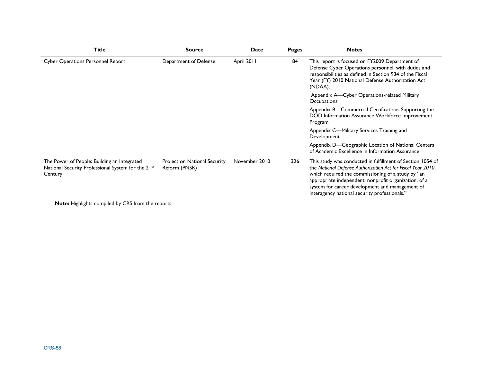| <b>Title</b>                                                                                                 | <b>Source</b>                                 | <b>Date</b>   | <b>Pages</b> | <b>Notes</b>                                                                                                                                                                                                                                                                                                                                  |
|--------------------------------------------------------------------------------------------------------------|-----------------------------------------------|---------------|--------------|-----------------------------------------------------------------------------------------------------------------------------------------------------------------------------------------------------------------------------------------------------------------------------------------------------------------------------------------------|
| <b>Cyber Operations Personnel Report</b>                                                                     | Department of Defense                         | April 2011    | 84           | This report is focused on FY2009 Department of<br>Defense Cyber Operations personnel, with duties and<br>responsibilities as defined in Section 934 of the Fiscal<br>Year (FY) 2010 National Defense Authorization Act<br>(NDAA).                                                                                                             |
|                                                                                                              |                                               |               |              | Appendix A-Cyber Operations-related Military<br>Occupations                                                                                                                                                                                                                                                                                   |
|                                                                                                              |                                               |               |              | Appendix B—Commercial Certifications Supporting the<br>DOD Information Assurance Workforce Improvement<br>Program                                                                                                                                                                                                                             |
|                                                                                                              |                                               |               |              | Appendix C-Military Services Training and<br>Development                                                                                                                                                                                                                                                                                      |
|                                                                                                              |                                               |               |              | Appendix D-Geographic Location of National Centers<br>of Academic Excellence in Information Assurance                                                                                                                                                                                                                                         |
| The Power of People: Building an Integrated<br>National Security Professional System for the 21st<br>Century | Project on National Security<br>Reform (PNSR) | November 2010 | 326          | This study was conducted in fulfillment of Section 1054 of<br>the National Defense Authorization Act for Fiscal Year 2010,<br>which required the commissioning of a study by "an<br>appropriate independent, nonprofit organization, of a<br>system for career development and management of<br>interagency national security professionals." |

**Note:** Highlights compiled by CRS from the reports.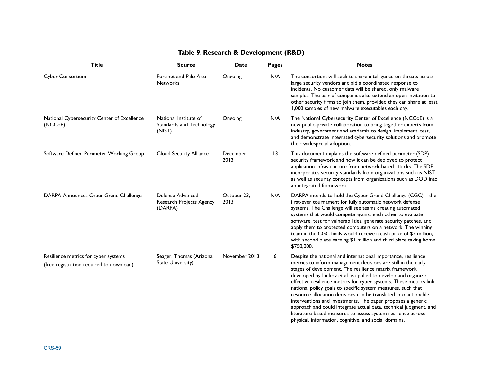| <b>Title</b>                                                                     | <b>Source</b>                                               | <b>Date</b>         | Pages | <b>Notes</b>                                                                                                                                                                                                                                                                                                                                                                                                                                                                                                                                                                                                                                                                                                                    |
|----------------------------------------------------------------------------------|-------------------------------------------------------------|---------------------|-------|---------------------------------------------------------------------------------------------------------------------------------------------------------------------------------------------------------------------------------------------------------------------------------------------------------------------------------------------------------------------------------------------------------------------------------------------------------------------------------------------------------------------------------------------------------------------------------------------------------------------------------------------------------------------------------------------------------------------------------|
| Cyber Consortium                                                                 | Fortinet and Palo Alto<br><b>Networks</b>                   | Ongoing             | N/A   | The consortium will seek to share intelligence on threats across<br>large security vendors and aid a coordinated response to<br>incidents. No customer data will be shared, only malware<br>samples. The pair of companies also extend an open invitation to<br>other security firms to join them, provided they can share at least<br>1,000 samples of new malware executables each day.                                                                                                                                                                                                                                                                                                                                       |
| National Cybersecurity Center of Excellence<br>(NCC <sub>O</sub> E)              | National Institute of<br>Standards and Technology<br>(NIST) | Ongoing             | N/A   | The National Cybersecurity Center of Excellence (NCCoE) is a<br>new public-private collaboration to bring together experts from<br>industry, government and academia to design, implement, test,<br>and demonstrate integrated cybersecurity solutions and promote<br>their widespread adoption.                                                                                                                                                                                                                                                                                                                                                                                                                                |
| Software Defined Perimeter Working Group                                         | Cloud Security Alliance                                     | December 1,<br>2013 | 13    | This document explains the software defined perimeter (SDP)<br>security framework and how it can be deployed to protect<br>application infrastructure from network-based attacks. The SDP<br>incorporates security standards from organizations such as NIST<br>as well as security concepts from organizations such as DOD into<br>an integrated framework.                                                                                                                                                                                                                                                                                                                                                                    |
| DARPA Announces Cyber Grand Challenge                                            | Defense Advanced<br>Research Projects Agency<br>(DARPA)     | October 23,<br>2013 | N/A   | DARPA intends to hold the Cyber Grand Challenge (CGC)-the<br>first-ever tournament for fully automatic network defense<br>systems. The Challenge will see teams creating automated<br>systems that would compete against each other to evaluate<br>software, test for vulnerabilities, generate security patches, and<br>apply them to protected computers on a network. The winning<br>team in the CGC finals would receive a cash prize of \$2 million,<br>with second place earning \$1 million and third place taking home<br>\$750,000.                                                                                                                                                                                    |
| Resilience metrics for cyber systems<br>(free registration required to download) | Seager, Thomas (Arizona<br>State University)                | November 2013       | 6     | Despite the national and international importance, resilience<br>metrics to inform management decisions are still in the early<br>stages of development. The resilience matrix framework<br>developed by Linkov et al. is applied to develop and organize<br>effective resilience metrics for cyber systems. These metrics link<br>national policy goals to specific system measures, such that<br>resource allocation decisions can be translated into actionable<br>interventions and investments. The paper proposes a generic<br>approach and could integrate actual data, technical judgment, and<br>literature-based measures to assess system resilience across<br>physical, information, cognitive, and social domains. |

### **Table 9. Research & Development (R&D)**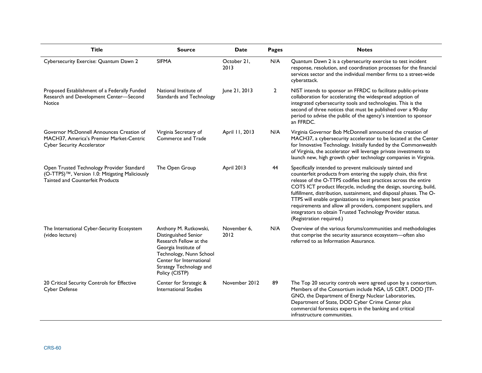| <b>Title</b>                                                                                                                    | <b>Source</b>                                                                                                                                                                                       | Date                | <b>Pages</b>   | <b>Notes</b>                                                                                                                                                                                                                                                                                                                                                                                                                                                                                                                                                        |
|---------------------------------------------------------------------------------------------------------------------------------|-----------------------------------------------------------------------------------------------------------------------------------------------------------------------------------------------------|---------------------|----------------|---------------------------------------------------------------------------------------------------------------------------------------------------------------------------------------------------------------------------------------------------------------------------------------------------------------------------------------------------------------------------------------------------------------------------------------------------------------------------------------------------------------------------------------------------------------------|
| Cybersecurity Exercise: Quantum Dawn 2                                                                                          | <b>SIFMA</b>                                                                                                                                                                                        | October 21,<br>2013 | N/A            | Quantum Dawn 2 is a cybersecurity exercise to test incident<br>response, resolution, and coordination processes for the financial<br>services sector and the individual member firms to a street-wide<br>cyberattack.                                                                                                                                                                                                                                                                                                                                               |
| Proposed Establishment of a Federally Funded<br>Research and Development Center-Second<br>Notice                                | National Institute of<br>Standards and Technology                                                                                                                                                   | June 21, 2013       | $\overline{2}$ | NIST intends to sponsor an FFRDC to facilitate public-private<br>collaboration for accelerating the widespread adoption of<br>integrated cybersecurity tools and technologies. This is the<br>second of three notices that must be published over a 90-day<br>period to advise the public of the agency's intention to sponsor<br>an FFRDC.                                                                                                                                                                                                                         |
| Governor McDonnell Announces Creation of<br>MACH37, America's Premier Market-Centric<br><b>Cyber Security Accelerator</b>       | Virginia Secretary of<br>Commerce and Trade                                                                                                                                                         | April 11, 2013      | N/A            | Virginia Governor Bob McDonnell announced the creation of<br>MACH37, a cybersecurity accelerator to be located at the Center<br>for Innovative Technology. Initially funded by the Commonwealth<br>of Virginia, the accelerator will leverage private investments to<br>launch new, high growth cyber technology companies in Virginia.                                                                                                                                                                                                                             |
| Open Trusted Technology Provider Standard<br>(O-TTPS)™, Version 1.0: Mitigating Maliciously<br>Tainted and Counterfeit Products | The Open Group                                                                                                                                                                                      | April 2013          | 44             | Specifically intended to prevent maliciously tainted and<br>counterfeit products from entering the supply chain, this first<br>release of the O-TTPS codifies best practices across the entire<br>COTS ICT product lifecycle, including the design, sourcing, build,<br>fulfillment, distribution, sustainment, and disposal phases. The O-<br>TTPS will enable organizations to implement best practice<br>requirements and allow all providers, component suppliers, and<br>integrators to obtain Trusted Technology Provider status.<br>(Registration required.) |
| The International Cyber-Security Ecosystem<br>(video lecture)                                                                   | Anthony M. Rutkowski,<br>Distinguished Senior<br>Research Fellow at the<br>Georgia Institute of<br>Technology, Nunn School<br>Center for International<br>Strategy Technology and<br>Policy (CISTP) | November 6,<br>2012 | N/A            | Overview of the various forums/communities and methodologies<br>that comprise the security assurance ecosystem-often also<br>referred to as Information Assurance.                                                                                                                                                                                                                                                                                                                                                                                                  |
| 20 Critical Security Controls for Effective<br><b>Cyber Defense</b>                                                             | Center for Strategic &<br><b>International Studies</b>                                                                                                                                              | November 2012       | 89             | The Top 20 security controls were agreed upon by a consortium.<br>Members of the Consortium include NSA, US CERT, DOD JTF-<br>GNO, the Department of Energy Nuclear Laboratories,<br>Department of State, DOD Cyber Crime Center plus<br>commercial forensics experts in the banking and critical<br>infrastructure communities.                                                                                                                                                                                                                                    |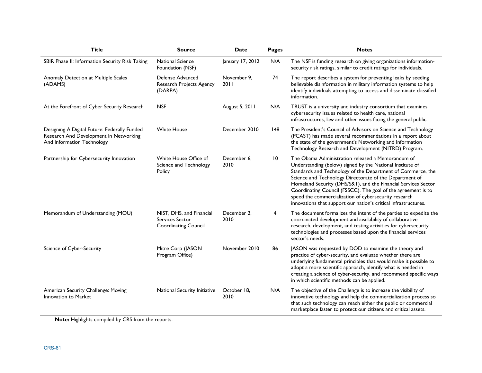| <b>Title</b>                                                                                                         | <b>Source</b>                                                              | <b>Date</b>         | <b>Pages</b> | <b>Notes</b>                                                                                                                                                                                                                                                                                                                                                                                                                                                                                            |
|----------------------------------------------------------------------------------------------------------------------|----------------------------------------------------------------------------|---------------------|--------------|---------------------------------------------------------------------------------------------------------------------------------------------------------------------------------------------------------------------------------------------------------------------------------------------------------------------------------------------------------------------------------------------------------------------------------------------------------------------------------------------------------|
| SBIR Phase II: Information Security Risk Taking                                                                      | <b>National Science</b><br>Foundation (NSF)                                | January 17, 2012    | N/A          | The NSF is funding research on giving organizations information-<br>security risk ratings, similar to credit ratings for individuals.                                                                                                                                                                                                                                                                                                                                                                   |
| Anomaly Detection at Multiple Scales<br>(ADAMS)                                                                      | Defense Advanced<br>Research Projects Agency<br>(DARPA)                    | November 9,<br>2011 | 74           | The report describes a system for preventing leaks by seeding<br>believable disinformation in military information systems to help<br>identify individuals attempting to access and disseminate classified<br>information.                                                                                                                                                                                                                                                                              |
| At the Forefront of Cyber Security Research                                                                          | <b>NSF</b>                                                                 | August 5, 2011      | N/A          | TRUST is a university and industry consortium that examines<br>cybersecurity issues related to health care, national<br>infrastructures, law and other issues facing the general public.                                                                                                                                                                                                                                                                                                                |
| Designing A Digital Future: Federally Funded<br>Research And Development In Networking<br>And Information Technology | <b>White House</b>                                                         | December 2010       | 148          | The President's Council of Advisors on Science and Technology<br>(PCAST) has made several recommendations in a report about<br>the state of the government's Networking and Information<br>Technology Research and Development (NITRD) Program.                                                                                                                                                                                                                                                         |
| Partnership for Cybersecurity Innovation                                                                             | White House Office of<br>Science and Technology<br>Policy                  | December 6,<br>2010 | 10           | The Obama Administration released a Memorandum of<br>Understanding (below) signed by the National Institute of<br>Standards and Technology of the Department of Commerce, the<br>Science and Technology Directorate of the Department of<br>Homeland Security (DHS/S&T), and the Financial Services Sector<br>Coordinating Council (FSSCC). The goal of the agreement is to<br>speed the commercialization of cybersecurity research<br>innovations that support our nation's critical infrastructures. |
| Memorandum of Understanding (MOU)                                                                                    | NIST, DHS, and Financial<br>Services Sector<br><b>Coordinating Council</b> | December 2,<br>2010 | 4            | The document formalizes the intent of the parties to expedite the<br>coordinated development and availability of collaborative<br>research, development, and testing activities for cybersecurity<br>technologies and processes based upon the financial services<br>sector's needs.                                                                                                                                                                                                                    |
| Science of Cyber-Security                                                                                            | Mitre Corp (JASON<br>Program Office)                                       | November 2010       | 86           | JASON was requested by DOD to examine the theory and<br>practice of cyber-security, and evaluate whether there are<br>underlying fundamental principles that would make it possible to<br>adopt a more scientific approach, identify what is needed in<br>creating a science of cyber-security, and recommend specific ways<br>in which scientific methods can be applied.                                                                                                                              |
| American Security Challenge: Moving<br>Innovation to Market                                                          | National Security Initiative                                               | October 18,<br>2010 | N/A          | The objective of the Challenge is to increase the visibility of<br>innovative technology and help the commercialization process so<br>that such technology can reach either the public or commercial<br>marketplace faster to protect our citizens and critical assets.                                                                                                                                                                                                                                 |

**Note:** Highlights compiled by CRS from the reports.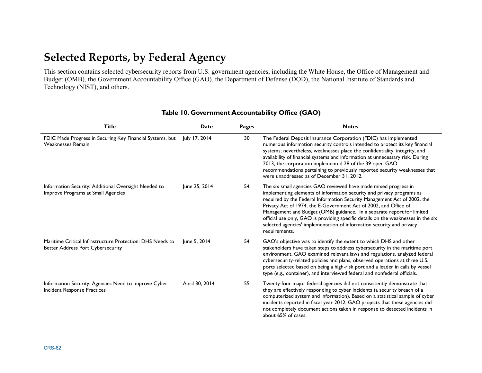# **Selected Reports, by Federal Agency**

This section contains selected cybersecurity reports from U.S. government agencies, including the White House, the Office of Management and Budget (OMB), the Government Accountability Office (GAO), the Department of Defense (DOD), the National Institute of Standards and Technology (NIST), and others.

| <b>Title</b>                                                                                          | <b>Date</b>    | Pages | <b>Notes</b>                                                                                                                                                                                                                                                                                                                                                                                                                                                                                                                                      |
|-------------------------------------------------------------------------------------------------------|----------------|-------|---------------------------------------------------------------------------------------------------------------------------------------------------------------------------------------------------------------------------------------------------------------------------------------------------------------------------------------------------------------------------------------------------------------------------------------------------------------------------------------------------------------------------------------------------|
| FDIC Made Progress in Securing Key Financial Systems, but<br><b>Weaknesses Remain</b>                 | July 17, 2014  | 30    | The Federal Deposit Insurance Corporation (FDIC) has implemented<br>numerous information security controls intended to protect its key financial<br>systems; nevertheless, weaknesses place the confidentiality, integrity, and<br>availability of financial systems and information at unnecessary risk. During<br>2013, the corporation implemented 28 of the 39 open GAO<br>recommendations pertaining to previously reported security weaknesses that<br>were unaddressed as of December 31, 2012.                                            |
| Information Security: Additional Oversight Needed to<br>Improve Programs at Small Agencies            | June 25, 2014  | 54    | The six small agencies GAO reviewed have made mixed progress in<br>implementing elements of information security and privacy programs as<br>required by the Federal Information Security Management Act of 2002, the<br>Privacy Act of 1974, the E-Government Act of 2002, and Office of<br>Management and Budget (OMB) guidance. In a separate report for limited<br>official use only, GAO is providing specific details on the weaknesses in the six<br>selected agencies' implementation of information security and privacy<br>requirements. |
| Maritime Critical Infrastructure Protection: DHS Needs to<br><b>Better Address Port Cybersecurity</b> | June 5, 2014   | 54    | GAO's objective was to identify the extent to which DHS and other<br>stakeholders have taken steps to address cybersecurity in the maritime port<br>environment. GAO examined relevant laws and regulations, analyzed federal<br>cybersecurity-related policies and plans, observed operations at three U.S.<br>ports selected based on being a high-risk port and a leader in calls by vessel<br>type (e.g., container), and interviewed federal and nonfederal officials.                                                                       |
| Information Security: Agencies Need to Improve Cyber<br>Incident Response Practices                   | April 30, 2014 | 55    | Twenty-four major federal agencies did not consistently demonstrate that<br>they are effectively responding to cyber incidents (a security breach of a<br>computerized system and information). Based on a statistical sample of cyber<br>incidents reported in fiscal year 2012, GAO projects that these agencies did<br>not completely document actions taken in response to detected incidents in<br>about 65% of cases.                                                                                                                       |

#### **Table 10. Government Accountability Office (GAO)**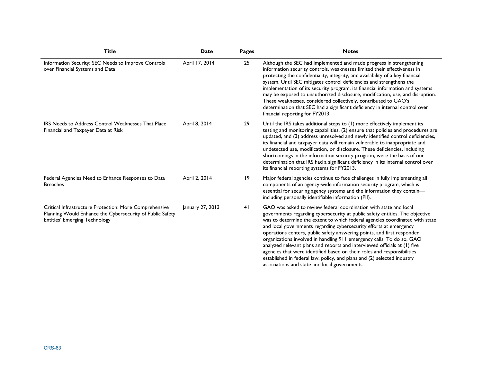| <b>Title</b>                                                                                                                                                | <b>Date</b>      | <b>Pages</b> | <b>Notes</b>                                                                                                                                                                                                                                                                                                                                                                                                                                                                                                                                                                                                                                                                                                                                    |
|-------------------------------------------------------------------------------------------------------------------------------------------------------------|------------------|--------------|-------------------------------------------------------------------------------------------------------------------------------------------------------------------------------------------------------------------------------------------------------------------------------------------------------------------------------------------------------------------------------------------------------------------------------------------------------------------------------------------------------------------------------------------------------------------------------------------------------------------------------------------------------------------------------------------------------------------------------------------------|
| Information Security: SEC Needs to Improve Controls<br>over Financial Systems and Data                                                                      | April 17, 2014   | 25           | Although the SEC had implemented and made progress in strengthening<br>information security controls, weaknesses limited their effectiveness in<br>protecting the confidentiality, integrity, and availability of a key financial<br>system. Until SEC mitigates control deficiencies and strengthens the<br>implementation of its security program, its financial information and systems<br>may be exposed to unauthorized disclosure, modification, use, and disruption.<br>These weaknesses, considered collectively, contributed to GAO's<br>determination that SEC had a significant deficiency in internal control over<br>financial reporting for FY2013.                                                                               |
| <b>IRS Needs to Address Control Weaknesses That Place</b><br>Financial and Taxpayer Data at Risk                                                            | April 8, 2014    | 29           | Until the IRS takes additional steps to (1) more effectively implement its<br>testing and monitoring capabilities, (2) ensure that policies and procedures are<br>updated, and (3) address unresolved and newly identified control deficiencies,<br>its financial and taxpayer data will remain vulnerable to inappropriate and<br>undetected use, modification, or disclosure. These deficiencies, including<br>shortcomings in the information security program, were the basis of our<br>determination that IRS had a significant deficiency in its internal control over<br>its financial reporting systems for FY2013.                                                                                                                     |
| Federal Agencies Need to Enhance Responses to Data<br><b>Breaches</b>                                                                                       | April 2, 2014    | 9            | Major federal agencies continue to face challenges in fully implementing all<br>components of an agency-wide information security program, which is<br>essential for securing agency systems and the information they contain-<br>including personally identifiable information (PII).                                                                                                                                                                                                                                                                                                                                                                                                                                                          |
| Critical Infrastructure Protection: More Comprehensive<br>Planning Would Enhance the Cybersecurity of Public Safety<br><b>Entities' Emerging Technology</b> | January 27, 2013 | 41           | GAO was asked to review federal coordination with state and local<br>governments regarding cybersecurity at public safety entities. The objective<br>was to determine the extent to which federal agencies coordinated with state<br>and local governments regarding cybersecurity efforts at emergency<br>operations centers, public safety answering points, and first responder<br>organizations involved in handling 911 emergency calls. To do so, GAO<br>analyzed relevant plans and reports and interviewed officials at (1) five<br>agencies that were identified based on their roles and responsibilities<br>established in federal law, policy, and plans and (2) selected industry<br>associations and state and local governments. |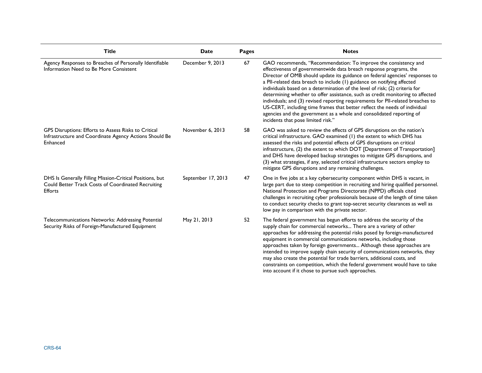| <b>Title</b>                                                                                                               | <b>Date</b>        | <b>Pages</b> | <b>Notes</b>                                                                                                                                                                                                                                                                                                                                                                                                                                                                                                                                                                                                                                                                                                                                     |
|----------------------------------------------------------------------------------------------------------------------------|--------------------|--------------|--------------------------------------------------------------------------------------------------------------------------------------------------------------------------------------------------------------------------------------------------------------------------------------------------------------------------------------------------------------------------------------------------------------------------------------------------------------------------------------------------------------------------------------------------------------------------------------------------------------------------------------------------------------------------------------------------------------------------------------------------|
| Agency Responses to Breaches of Personally Identifiable<br>Information Need to Be More Consistent                          | December 9, 2013   | 67           | GAO recommends, "Recommendation: To improve the consistency and<br>effectiveness of governmentwide data breach response programs, the<br>Director of OMB should update its guidance on federal agencies' responses to<br>a PII-related data breach to include (1) guidance on notifying affected<br>individuals based on a determination of the level of risk; (2) criteria for<br>determining whether to offer assistance, such as credit monitoring to affected<br>individuals; and (3) revised reporting requirements for PII-related breaches to<br>US-CERT, including time frames that better reflect the needs of individual<br>agencies and the government as a whole and consolidated reporting of<br>incidents that pose limited risk." |
| GPS Disruptions: Efforts to Assess Risks to Critical<br>Infrastructure and Coordinate Agency Actions Should Be<br>Enhanced | November 6, 2013   | 58           | GAO was asked to review the effects of GPS disruptions on the nation's<br>critical infrastructure. GAO examined (1) the extent to which DHS has<br>assessed the risks and potential effects of GPS disruptions on critical<br>infrastructure, (2) the extent to which DOT [Department of Transportation]<br>and DHS have developed backup strategies to mitigate GPS disruptions, and<br>(3) what strategies, if any, selected critical infrastructure sectors employ to<br>mitigate GPS disruptions and any remaining challenges.                                                                                                                                                                                                               |
| DHS Is Generally Filling Mission-Critical Positions, but<br>Could Better Track Costs of Coordinated Recruiting<br>Efforts  | September 17, 2013 | 47           | One in five jobs at a key cybersecurity component within DHS is vacant, in<br>large part due to steep competition in recruiting and hiring qualified personnel.<br>National Protection and Programs Directorate (NPPD) officials cited<br>challenges in recruiting cyber professionals because of the length of time taken<br>to conduct security checks to grant top-secret security clearances as well as<br>low pay in comparison with the private sector.                                                                                                                                                                                                                                                                                    |
| Telecommunications Networks: Addressing Potential<br>Security Risks of Foreign-Manufactured Equipment                      | May 21, 2013       | 52           | The federal government has begun efforts to address the security of the<br>supply chain for commercial networks There are a variety of other<br>approaches for addressing the potential risks posed by foreign-manufactured<br>equipment in commercial communications networks, including those<br>approaches taken by foreign governments Although these approaches are<br>intended to improve supply chain security of communications networks, they<br>may also create the potential for trade barriers, additional costs, and<br>constraints on competition, which the federal government would have to take<br>into account if it chose to pursue such approaches.                                                                          |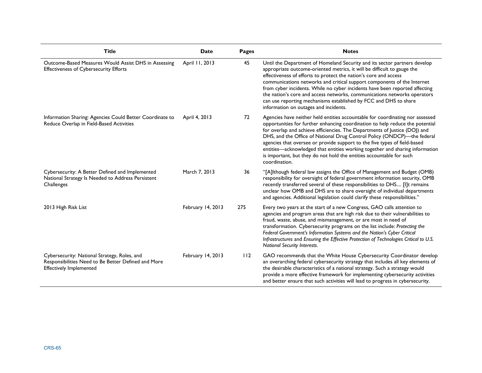| <b>Title</b>                                                                                                                          | Date              | Pages | <b>Notes</b>                                                                                                                                                                                                                                                                                                                                                                                                                                                                                                                                                                  |
|---------------------------------------------------------------------------------------------------------------------------------------|-------------------|-------|-------------------------------------------------------------------------------------------------------------------------------------------------------------------------------------------------------------------------------------------------------------------------------------------------------------------------------------------------------------------------------------------------------------------------------------------------------------------------------------------------------------------------------------------------------------------------------|
| Outcome-Based Measures Would Assist DHS in Assessing<br><b>Effectiveness of Cybersecurity Efforts</b>                                 | April 11, 2013    | 45    | Until the Department of Homeland Security and its sector partners develop<br>appropriate outcome-oriented metrics, it will be difficult to gauge the<br>effectiveness of efforts to protect the nation's core and access<br>communications networks and critical support components of the Internet<br>from cyber incidents. While no cyber incidents have been reported affecting<br>the nation's core and access networks, communications networks operators<br>can use reporting mechanisms established by FCC and DHS to share<br>information on outages and incidents.   |
| Information Sharing: Agencies Could Better Coordinate to<br>Reduce Overlap in Field-Based Activities                                  | April 4, 2013     | 72    | Agencies have neither held entities accountable for coordinating nor assessed<br>opportunities for further enhancing coordination to help reduce the potential<br>for overlap and achieve efficiencies. The Departments of Justice (DOJ) and<br>DHS, and the Office of National Drug Control Policy (ONDCP)-the federal<br>agencies that oversee or provide support to the five types of field-based<br>entities-acknowledged that entities working together and sharing information<br>is important, but they do not hold the entities accountable for such<br>coordination. |
| Cybersecurity: A Better Defined and Implemented<br>National Strategy Is Needed to Address Persistent<br>Challenges                    | March 7, 2013     | 36    | "[A]Ithough federal law assigns the Office of Management and Budget (OMB)<br>responsibility for oversight of federal government information security, OMB<br>recently transferred several of these responsibilities to DHS [I]t remains<br>unclear how OMB and DHS are to share oversight of individual departments<br>and agencies. Additional legislation could clarify these responsibilities."                                                                                                                                                                            |
| 2013 High Risk List                                                                                                                   | February 14, 2013 | 275   | Every two years at the start of a new Congress, GAO calls attention to<br>agencies and program areas that are high risk due to their vulnerabilities to<br>fraud, waste, abuse, and mismanagement, or are most in need of<br>transformation. Cybersecurity programs on the list include: Protecting the<br>Federal Government's Information Systems and the Nation's Cyber Critical<br>Infrastructures and Ensuring the Effective Protection of Technologies Critical to U.S.<br>National Security Interests.                                                                 |
| Cybersecurity: National Strategy, Roles, and<br>Responsibilities Need to Be Better Defined and More<br><b>Effectively Implemented</b> | February 14, 2013 | 112   | GAO recommends that the White House Cybersecurity Coordinator develop<br>an overarching federal cybersecurity strategy that includes all key elements of<br>the desirable characteristics of a national strategy. Such a strategy would<br>provide a more effective framework for implementing cybersecurity activities<br>and better ensure that such activities will lead to progress in cybersecurity.                                                                                                                                                                     |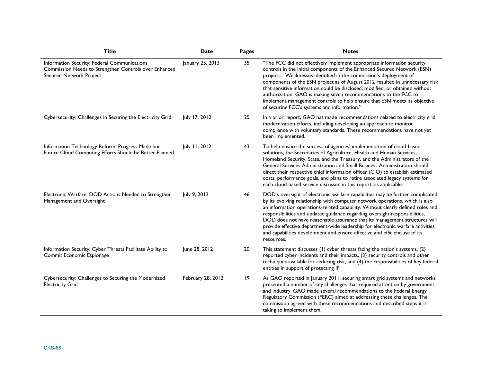| <b>Title</b>                                                                                                                     | Date              | Pages | <b>Notes</b>                                                                                                                                                                                                                                                                                                                                                                                                                                                                                                                                                                                |
|----------------------------------------------------------------------------------------------------------------------------------|-------------------|-------|---------------------------------------------------------------------------------------------------------------------------------------------------------------------------------------------------------------------------------------------------------------------------------------------------------------------------------------------------------------------------------------------------------------------------------------------------------------------------------------------------------------------------------------------------------------------------------------------|
| Information Security: Federal Communications<br>Commission Needs to Strengthen Controls over Enhanced<br>Secured Network Project | January 25, 2013  | 35    | "The FCC did not effectively implement appropriate information security<br>controls in the initial components of the Enhanced Secured Network (ESN)<br>project Weaknesses identified in the commission's deployment of<br>components of the ESN project as of August 2012 resulted in unnecessary risk<br>that sensitive information could be disclosed, modified, or obtained without<br>authorization. GAO is making seven recommendations to the FCC to<br>implement management controls to help ensure that ESN meets its objective<br>of securing FCC's systems and information."      |
| Cybersecurity: Challenges in Securing the Electricity Grid                                                                       | July 17, 2012     | 25    | In a prior report, GAO has made recommendations related to electricity grid<br>modernization efforts, including developing an approach to monitor<br>compliance with voluntary standards. These recommendations have not yet<br>been implemented.                                                                                                                                                                                                                                                                                                                                           |
| Information Technology Reform: Progress Made but<br>Future Cloud Computing Efforts Should be Better Planned                      | July 11, 2012     | 43    | To help ensure the success of agencies' implementation of cloud-based<br>solutions, the Secretaries of Agriculture, Health and Human Services,<br>Homeland Security, State, and the Treasury, and the Administrators of the<br>General Services Administration and Small Business Administration should<br>direct their respective chief information officer (CIO) to establish estimated<br>costs, performance goals, and plans to retire associated legacy systems for<br>each cloud-based service discussed in this report, as applicable.                                               |
| Electronic Warfare: DOD Actions Needed to Strengthen<br>Management and Oversight                                                 | July 9, 2012      | 46    | DOD's oversight of electronic warfare capabilities may be further complicated<br>by its evolving relationship with computer network operations, which is also<br>an information operations-related capability. Without clearly defined roles and<br>responsibilities and updated guidance regarding oversight responsibilities,<br>DOD does not have reasonable assurance that its management structures will<br>provide effective department-wide leadership for electronic warfare activities<br>and capabilities development and ensure effective and efficient use of its<br>resources. |
| Information Security: Cyber Threats Facilitate Ability to<br>Commit Economic Espionage                                           | June 28, 2012     | 20    | This statement discusses (1) cyber threats facing the nation's systems, (2)<br>reported cyber incidents and their impacts, (3) security controls and other<br>techniques available for reducing risk, and (4) the responsibilities of key federal<br>entities in support of protecting IP.                                                                                                                                                                                                                                                                                                  |
| Cybersecurity: Challenges to Securing the Modernized<br><b>Electricity Grid</b>                                                  | February 28, 2012 | 19    | As GAO reported in January 2011, securing smart grid systems and networks<br>presented a number of key challenges that required attention by government<br>and industry. GAO made several recommendations to the Federal Energy<br>Regulatory Commission (FERC) aimed at addressing these challenges. The<br>commission agreed with these recommendations and described steps it is<br>taking to implement them.                                                                                                                                                                            |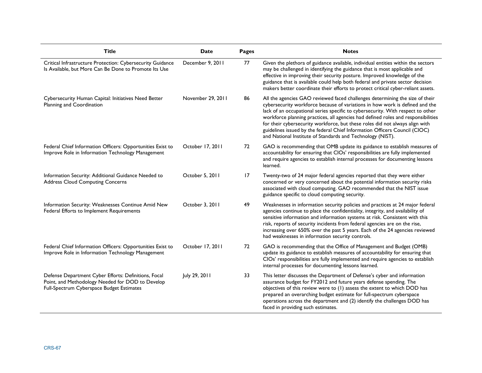| Title                                                                                                                                                 | Date              | <b>Pages</b> | <b>Notes</b>                                                                                                                                                                                                                                                                                                                                                                                                                                                                                                                                                     |
|-------------------------------------------------------------------------------------------------------------------------------------------------------|-------------------|--------------|------------------------------------------------------------------------------------------------------------------------------------------------------------------------------------------------------------------------------------------------------------------------------------------------------------------------------------------------------------------------------------------------------------------------------------------------------------------------------------------------------------------------------------------------------------------|
| Critical Infrastructure Protection: Cybersecurity Guidance<br>Is Available, but More Can Be Done to Promote Its Use                                   | December 9, 2011  | 77           | Given the plethora of guidance available, individual entities within the sectors<br>may be challenged in identifying the guidance that is most applicable and<br>effective in improving their security posture. Improved knowledge of the<br>guidance that is available could help both federal and private sector decision<br>makers better coordinate their efforts to protect critical cyber-reliant assets.                                                                                                                                                  |
| Cybersecurity Human Capital: Initiatives Need Better<br>Planning and Coordination                                                                     | November 29, 2011 | 86           | All the agencies GAO reviewed faced challenges determining the size of their<br>cybersecurity workforce because of variations in how work is defined and the<br>lack of an occupational series specific to cybersecurity. With respect to other<br>workforce planning practices, all agencies had defined roles and responsibilities<br>for their cybersecurity workforce, but these roles did not always align with<br>guidelines issued by the federal Chief Information Officers Council (CIOC)<br>and National Institute of Standards and Technology (NIST). |
| Federal Chief Information Officers: Opportunities Exist to<br>Improve Role in Information Technology Management                                       | October 17, 2011  | 72           | GAO is recommending that OMB update its guidance to establish measures of<br>accountability for ensuring that CIOs' responsibilities are fully implemented<br>and require agencies to establish internal processes for documenting lessons<br>learned.                                                                                                                                                                                                                                                                                                           |
| Information Security: Additional Guidance Needed to<br><b>Address Cloud Computing Concerns</b>                                                        | October 5, 2011   | 17           | Twenty-two of 24 major federal agencies reported that they were either<br>concerned or very concerned about the potential information security risks<br>associated with cloud computing. GAO recommended that the NIST issue<br>guidance specific to cloud computing security.                                                                                                                                                                                                                                                                                   |
| Information Security: Weaknesses Continue Amid New<br>Federal Efforts to Implement Requirements                                                       | October 3, 2011   | 49           | Weaknesses in information security policies and practices at 24 major federal<br>agencies continue to place the confidentiality, integrity, and availability of<br>sensitive information and information systems at risk. Consistent with this<br>risk, reports of security incidents from federal agencies are on the rise,<br>increasing over 650% over the past 5 years. Each of the 24 agencies reviewed<br>had weaknesses in information security controls.                                                                                                 |
| Federal Chief Information Officers: Opportunities Exist to<br>Improve Role in Information Technology Management                                       | October 17, 2011  | 72           | GAO is recommending that the Office of Management and Budget (OMB)<br>update its guidance to establish measures of accountability for ensuring that<br>CIOs' responsibilities are fully implemented and require agencies to establish<br>internal processes for documenting lessons learned.                                                                                                                                                                                                                                                                     |
| Defense Department Cyber Efforts: Definitions, Focal<br>Point, and Methodology Needed for DOD to Develop<br>Full-Spectrum Cyberspace Budget Estimates | July 29, 2011     | 33           | This letter discusses the Department of Defense's cyber and information<br>assurance budget for FY2012 and future years defense spending. The<br>objectives of this review were to (1) assess the extent to which DOD has<br>prepared an overarching budget estimate for full-spectrum cyberspace<br>operations across the department and (2) identify the challenges DOD has<br>faced in providing such estimates.                                                                                                                                              |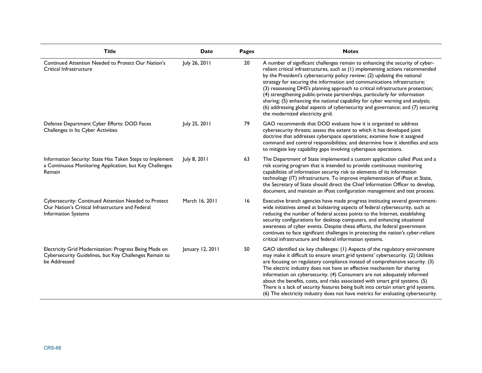| <b>Title</b>                                                                                                                     | <b>Date</b>      | <b>Pages</b> | <b>Notes</b>                                                                                                                                                                                                                                                                                                                                                                                                                                                                                                                                                                                                                                                                                       |
|----------------------------------------------------------------------------------------------------------------------------------|------------------|--------------|----------------------------------------------------------------------------------------------------------------------------------------------------------------------------------------------------------------------------------------------------------------------------------------------------------------------------------------------------------------------------------------------------------------------------------------------------------------------------------------------------------------------------------------------------------------------------------------------------------------------------------------------------------------------------------------------------|
| Continued Attention Needed to Protect Our Nation's<br>Critical Infrastructure                                                    | July 26, 2011    | 20           | A number of significant challenges remain to enhancing the security of cyber-<br>reliant critical infrastructures, such as (1) implementing actions recommended<br>by the President's cybersecurity policy review; (2) updating the national<br>strategy for securing the information and communications infrastructure;<br>(3) reassessing DHS's planning approach to critical infrastructure protection;<br>(4) strengthening public-private partnerships, particularly for information<br>sharing; (5) enhancing the national capability for cyber warning and analysis;<br>(6) addressing global aspects of cybersecurity and governance; and (7) securing<br>the modernized electricity grid. |
| Defense Department Cyber Efforts: DOD Faces<br>Challenges in Its Cyber Activities                                                | July 25, 2011    | 79           | GAO recommends that DOD evaluate how it is organized to address<br>cybersecurity threats; assess the extent to which it has developed joint<br>doctrine that addresses cyberspace operations; examine how it assigned<br>command and control responsibilities; and determine how it identifies and acts<br>to mitigate key capability gaps involving cyberspace operations.                                                                                                                                                                                                                                                                                                                        |
| Information Security: State Has Taken Steps to Implement<br>a Continuous Monitoring Application, but Key Challenges<br>Remain    | July 8, 2011     | 63           | The Department of State implemented a custom application called iPost and a<br>risk scoring program that is intended to provide continuous monitoring<br>capabilities of information security risk to elements of its information<br>technology (IT) infrastructure. To improve implementation of iPost at State,<br>the Secretary of State should direct the Chief Information Officer to develop,<br>document, and maintain an iPost configuration management and test process.                                                                                                                                                                                                                  |
| Cybersecurity: Continued Attention Needed to Protect<br>Our Nation's Critical Infrastructure and Federal<br>Information Systems  | March 16, 2011   | 16           | Executive branch agencies have made progress instituting several government-<br>wide initiatives aimed at bolstering aspects of federal cybersecurity, such as<br>reducing the number of federal access points to the Internet, establishing<br>security configurations for desktop computers, and enhancing situational<br>awareness of cyber events. Despite these efforts, the federal government<br>continues to face significant challenges in protecting the nation's cyber-reliant<br>critical infrastructure and federal information systems.                                                                                                                                              |
| Electricity Grid Modernization: Progress Being Made on<br>Cybersecurity Guidelines, but Key Challenges Remain to<br>be Addressed | January 12, 2011 | 50           | GAO identified six key challenges: (1) Aspects of the regulatory environment<br>may make it difficult to ensure smart grid systems' cybersecurity. (2) Utilities<br>are focusing on regulatory compliance instead of comprehensive security. (3)<br>The electric industry does not have an effective mechanism for sharing<br>information on cybersecurity. (4) Consumers are not adequately informed<br>about the benefits, costs, and risks associated with smart grid systems. (5)<br>There is a lack of security features being built into certain smart grid systems.<br>(6) The electricity industry does not have metrics for evaluating cybersecurity.                                     |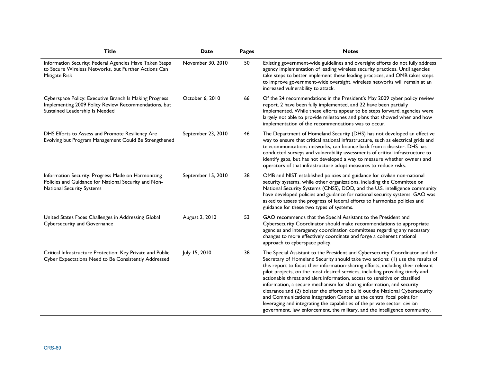| <b>Title</b>                                                                                                                                     | Date               | Pages | <b>Notes</b>                                                                                                                                                                                                                                                                                                                                                                                                                                                                                                                                                                                                                                                                                                                                                                                                    |
|--------------------------------------------------------------------------------------------------------------------------------------------------|--------------------|-------|-----------------------------------------------------------------------------------------------------------------------------------------------------------------------------------------------------------------------------------------------------------------------------------------------------------------------------------------------------------------------------------------------------------------------------------------------------------------------------------------------------------------------------------------------------------------------------------------------------------------------------------------------------------------------------------------------------------------------------------------------------------------------------------------------------------------|
| Information Security: Federal Agencies Have Taken Steps<br>to Secure Wireless Networks, but Further Actions Can<br>Mitigate Risk                 | November 30, 2010  | 50    | Existing government-wide guidelines and oversight efforts do not fully address<br>agency implementation of leading wireless security practices. Until agencies<br>take steps to better implement these leading practices, and OMB takes steps<br>to improve government-wide oversight, wireless networks will remain at an<br>increased vulnerability to attack.                                                                                                                                                                                                                                                                                                                                                                                                                                                |
| Cyberspace Policy: Executive Branch Is Making Progress<br>Implementing 2009 Policy Review Recommendations, but<br>Sustained Leadership Is Needed | October 6, 2010    | 66    | Of the 24 recommendations in the President's May 2009 cyber policy review<br>report, 2 have been fully implemented, and 22 have been partially<br>implemented. While these efforts appear to be steps forward, agencies were<br>largely not able to provide milestones and plans that showed when and how<br>implementation of the recommendations was to occur.                                                                                                                                                                                                                                                                                                                                                                                                                                                |
| DHS Efforts to Assess and Promote Resiliency Are<br>Evolving but Program Management Could Be Strengthened                                        | September 23, 2010 | 46    | The Department of Homeland Security (DHS) has not developed an effective<br>way to ensure that critical national infrastructure, such as electrical grids and<br>telecommunications networks, can bounce back from a disaster. DHS has<br>conducted surveys and vulnerability assessments of critical infrastructure to<br>identify gaps, but has not developed a way to measure whether owners and<br>operators of that infrastructure adopt measures to reduce risks.                                                                                                                                                                                                                                                                                                                                         |
| Information Security: Progress Made on Harmonizing<br>Policies and Guidance for National Security and Non-<br><b>National Security Systems</b>   | September 15, 2010 | 38    | OMB and NIST established policies and guidance for civilian non-national<br>security systems, while other organizations, including the Committee on<br>National Security Systems (CNSS), DOD, and the U.S. intelligence community,<br>have developed policies and guidance for national security systems. GAO was<br>asked to assess the progress of federal efforts to harmonize policies and<br>guidance for these two types of systems.                                                                                                                                                                                                                                                                                                                                                                      |
| United States Faces Challenges in Addressing Global<br><b>Cybersecurity and Governance</b>                                                       | August 2, 2010     | 53    | GAO recommends that the Special Assistant to the President and<br>Cybersecurity Coordinator should make recommendations to appropriate<br>agencies and interagency coordination committees regarding any necessary<br>changes to more effectively coordinate and forge a coherent national<br>approach to cyberspace policy.                                                                                                                                                                                                                                                                                                                                                                                                                                                                                    |
| Critical Infrastructure Protection: Key Private and Public<br>Cyber Expectations Need to Be Consistently Addressed                               | July 15, 2010      | 38    | The Special Assistant to the President and Cybersecurity Coordinator and the<br>Secretary of Homeland Security should take two actions: (1) use the results of<br>this report to focus their information-sharing efforts, including their relevant<br>pilot projects, on the most desired services, including providing timely and<br>actionable threat and alert information, access to sensitive or classified<br>information, a secure mechanism for sharing information, and security<br>clearance and (2) bolster the efforts to build out the National Cybersecurity<br>and Communications Integration Center as the central focal point for<br>leveraging and integrating the capabilities of the private sector, civilian<br>government, law enforcement, the military, and the intelligence community. |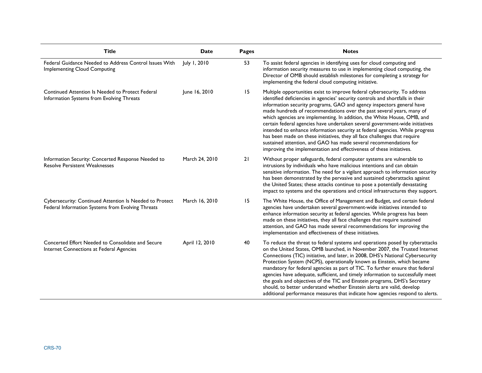| <b>Title</b>                                                                                                 | <b>Date</b>    | <b>Pages</b> | <b>Notes</b>                                                                                                                                                                                                                                                                                                                                                                                                                                                                                                                                                                                                                                                                                                                                                                       |
|--------------------------------------------------------------------------------------------------------------|----------------|--------------|------------------------------------------------------------------------------------------------------------------------------------------------------------------------------------------------------------------------------------------------------------------------------------------------------------------------------------------------------------------------------------------------------------------------------------------------------------------------------------------------------------------------------------------------------------------------------------------------------------------------------------------------------------------------------------------------------------------------------------------------------------------------------------|
| Federal Guidance Needed to Address Control Issues With<br><b>Implementing Cloud Computing</b>                | July 1, 2010   | 53           | To assist federal agencies in identifying uses for cloud computing and<br>information security measures to use in implementing cloud computing, the<br>Director of OMB should establish milestones for completing a strategy for<br>implementing the federal cloud computing initiative.                                                                                                                                                                                                                                                                                                                                                                                                                                                                                           |
| Continued Attention Is Needed to Protect Federal<br>Information Systems from Evolving Threats                | June 16, 2010  | 15           | Multiple opportunities exist to improve federal cybersecurity. To address<br>identified deficiencies in agencies' security controls and shortfalls in their<br>information security programs, GAO and agency inspectors general have<br>made hundreds of recommendations over the past several years, many of<br>which agencies are implementing. In addition, the White House, OMB, and<br>certain federal agencies have undertaken several government-wide initiatives<br>intended to enhance information security at federal agencies. While progress<br>has been made on these initiatives, they all face challenges that require<br>sustained attention, and GAO has made several recommendations for<br>improving the implementation and effectiveness of these initiatives. |
| Information Security: Concerted Response Needed to<br><b>Resolve Persistent Weaknesses</b>                   | March 24, 2010 | 21           | Without proper safeguards, federal computer systems are vulnerable to<br>intrusions by individuals who have malicious intentions and can obtain<br>sensitive information. The need for a vigilant approach to information security<br>has been demonstrated by the pervasive and sustained cyberattacks against<br>the United States; these attacks continue to pose a potentially devastating<br>impact to systems and the operations and critical infrastructures they support.                                                                                                                                                                                                                                                                                                  |
| Cybersecurity: Continued Attention Is Needed to Protect<br>Federal Information Systems from Evolving Threats | March 16, 2010 | 15           | The White House, the Office of Management and Budget, and certain federal<br>agencies have undertaken several government-wide initiatives intended to<br>enhance information security at federal agencies. While progress has been<br>made on these initiatives, they all face challenges that require sustained<br>attention, and GAO has made several recommendations for improving the<br>implementation and effectiveness of these initiatives.                                                                                                                                                                                                                                                                                                                                |
| Concerted Effort Needed to Consolidate and Secure<br>Internet Connections at Federal Agencies                | April 12, 2010 | 40           | To reduce the threat to federal systems and operations posed by cyberattacks<br>on the United States, OMB launched, in November 2007, the Trusted Internet<br>Connections (TIC) initiative, and later, in 2008, DHS's National Cybersecurity<br>Protection System (NCPS), operationally known as Einstein, which became<br>mandatory for federal agencies as part of TIC. To further ensure that federal<br>agencies have adequate, sufficient, and timely information to successfully meet<br>the goals and objectives of the TIC and Einstein programs, DHS's Secretary<br>should, to better understand whether Einstein alerts are valid, develop<br>additional performance measures that indicate how agencies respond to alerts.                                              |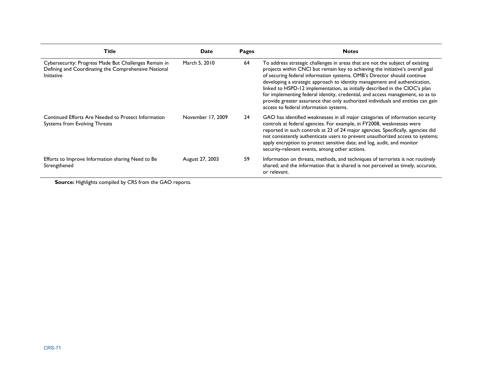| <b>Title</b>                                                                                                                       | Date              | Pages | <b>Notes</b>                                                                                                                                                                                                                                                                                                                                                                                                                                                                                                                                                                                                            |
|------------------------------------------------------------------------------------------------------------------------------------|-------------------|-------|-------------------------------------------------------------------------------------------------------------------------------------------------------------------------------------------------------------------------------------------------------------------------------------------------------------------------------------------------------------------------------------------------------------------------------------------------------------------------------------------------------------------------------------------------------------------------------------------------------------------------|
| Cybersecurity: Progress Made But Challenges Remain in<br>Defining and Coordinating the Comprehensive National<br><b>Initiative</b> | March 5, 2010     | 64    | To address strategic challenges in areas that are not the subject of existing<br>projects within CNCI but remain key to achieving the initiative's overall goal<br>of securing federal information systems, OMB's Director should continue<br>developing a strategic approach to identity management and authentication,<br>linked to HSPD-12 implementation, as initially described in the CIOC's plan<br>for implementing federal identity, credential, and access management, so as to<br>provide greater assurance that only authorized individuals and entities can gain<br>access to federal information systems. |
| Continued Efforts Are Needed to Protect Information<br>Systems from Evolving Threats                                               | November 17, 2009 | 24    | GAO has identified weaknesses in all major categories of information security<br>controls at federal agencies. For example, in FY2008, weaknesses were<br>reported in such controls at 23 of 24 major agencies. Specifically, agencies did<br>not consistently authenticate users to prevent unauthorized access to systems;<br>apply encryption to protect sensitive data; and log, audit, and monitor<br>security-relevant events, among other actions.                                                                                                                                                               |
| Efforts to Improve Information sharing Need to Be<br>Strengthened                                                                  | August 27, 2003   | 59    | Information on threats, methods, and techniques of terrorists is not routinely<br>shared; and the information that is shared is not perceived as timely, accurate,<br>or relevant.                                                                                                                                                                                                                                                                                                                                                                                                                                      |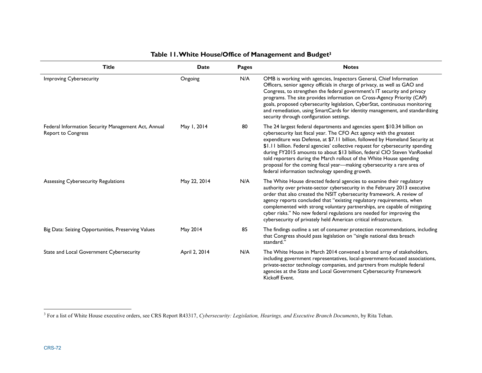| <b>Title</b>                                                                     | Date          | Pages | <b>Notes</b>                                                                                                                                                                                                                                                                                                                                                                                                                                                                                                                                                                                          |
|----------------------------------------------------------------------------------|---------------|-------|-------------------------------------------------------------------------------------------------------------------------------------------------------------------------------------------------------------------------------------------------------------------------------------------------------------------------------------------------------------------------------------------------------------------------------------------------------------------------------------------------------------------------------------------------------------------------------------------------------|
| <b>Improving Cybersecurity</b>                                                   | Ongoing       | N/A   | OMB is working with agencies, Inspectors General, Chief Information<br>Officers, senior agency officials in charge of privacy, as well as GAO and<br>Congress, to strengthen the federal government's IT security and privacy<br>programs. The site provides information on Cross-Agency Priority (CAP)<br>goals, proposed cybersecurity legislation, CyberStat, continuous monitoring<br>and remediation, using SmartCards for identity management, and standardizing<br>security through configuration settings.                                                                                    |
| Federal Information Security Management Act, Annual<br><b>Report to Congress</b> | May 1, 2014   | 80    | The 24 largest federal departments and agencies spent \$10.34 billion on<br>cybersecurity last fiscal year. The CFO Act agency with the greatest<br>expenditure was Defense, at \$7.11 billion, followed by Homeland Security at<br>\$1.11 billion. Federal agencies' collective request for cybersecurity spending<br>during FY2015 amounts to about \$13 billion, federal CIO Steven VanRoekel<br>told reporters during the March rollout of the White House spending<br>proposal for the coming fiscal year-making cybersecurity a rare area of<br>federal information technology spending growth. |
| Assessing Cybersecurity Regulations                                              | May 22, 2014  | N/A   | The White House directed federal agencies to examine their regulatory<br>authority over private-sector cybersecurity in the February 2013 executive<br>order that also created the NSIT cybersecurity framework. A review of<br>agency reports concluded that "existing regulatory requirements, when<br>complemented with strong voluntary partnerships, are capable of mitigating<br>cyber risks." No new federal regulations are needed for improving the<br>cybersecurity of privately held American critical infrastructure.                                                                     |
| Big Data: Seizing Opportunities, Preserving Values                               | May 2014      | 85    | The findings outline a set of consumer protection recommendations, including<br>that Congress should pass legislation on "single national data breach<br>standard."                                                                                                                                                                                                                                                                                                                                                                                                                                   |
| State and Local Government Cybersecurity                                         | April 2, 2014 | N/A   | The White House in March 2014 convened a broad array of stakeholders,<br>including government representatives, local-government-focused associations,<br>private-sector technology companies, and partners from multiple federal<br>agencies at the State and Local Government Cybersecurity Framework<br>Kickoff Event.                                                                                                                                                                                                                                                                              |

# **Table 11. White House/Office of Management and Budget3**

<sup>&</sup>lt;sup>3</sup> For a list of White House executive orders, see CRS Report R43317, *Cybersecurity: Legislation, Hearings, and Executive Branch Documents*, by Rita Tehan.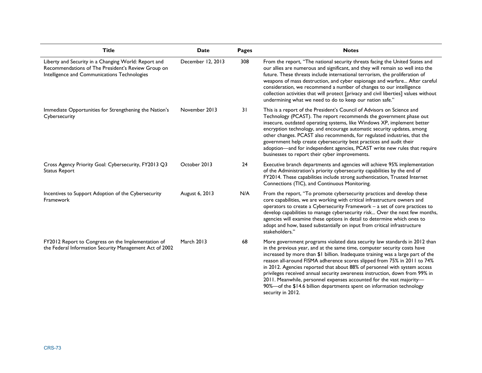| <b>Title</b>                                                                                                                                               | <b>Date</b>       | Pages | <b>Notes</b>                                                                                                                                                                                                                                                                                                                                                                                                                                                                                                                                                                                                                                            |
|------------------------------------------------------------------------------------------------------------------------------------------------------------|-------------------|-------|---------------------------------------------------------------------------------------------------------------------------------------------------------------------------------------------------------------------------------------------------------------------------------------------------------------------------------------------------------------------------------------------------------------------------------------------------------------------------------------------------------------------------------------------------------------------------------------------------------------------------------------------------------|
| Liberty and Security in a Changing World: Report and<br>Recommendations of The President's Review Group on<br>Intelligence and Communications Technologies | December 12, 2013 | 308   | From the report, "The national security threats facing the United States and<br>our allies are numerous and significant, and they will remain so well into the<br>future. These threats include international terrorism, the proliferation of<br>weapons of mass destruction, and cyber espionage and warfare After careful<br>consideration, we recommend a number of changes to our intelligence<br>collection activities that will protect [privacy and civil liberties] values without<br>undermining what we need to do to keep our nation safe."                                                                                                  |
| Immediate Opportunities for Strengthening the Nation's<br>Cybersecurity                                                                                    | November 2013     | 31    | This is a report of the President's Council of Advisors on Science and<br>Technology (PCAST). The report recommends the government phase out<br>insecure, outdated operating systems, like Windows XP, implement better<br>encryption technology, and encourage automatic security updates, among<br>other changes. PCAST also recommends, for regulated industries, that the<br>government help create cybersecurity best practices and audit their<br>adoption-and for independent agencies, PCAST write new rules that require<br>businesses to report their cyber improvements.                                                                     |
| Cross Agency Priority Goal: Cybersecurity, FY2013 Q3<br><b>Status Report</b>                                                                               | October 2013      | 24    | Executive branch departments and agencies will achieve 95% implementation<br>of the Administration's priority cybersecurity capabilities by the end of<br>FY2014. These capabilities include strong authentication, Trusted Internet<br>Connections (TIC), and Continuous Monitoring.                                                                                                                                                                                                                                                                                                                                                                   |
| Incentives to Support Adoption of the Cybersecurity<br>Framework                                                                                           | August 6, 2013    | N/A   | From the report, "To promote cybersecurity practices and develop these<br>core capabilities, we are working with critical infrastructure owners and<br>operators to create a Cybersecurity Framework - a set of core practices to<br>develop capabilities to manage cybersecurity risk Over the next few months,<br>agencies will examine these options in detail to determine which ones to<br>adopt and how, based substantially on input from critical infrastructure<br>stakeholders."                                                                                                                                                              |
| FY2012 Report to Congress on the Implementation of<br>the Federal Information Security Management Act of 2002                                              | <b>March 2013</b> | 68    | More government programs violated data security law standards in 2012 than<br>in the previous year, and at the same time, computer security costs have<br>increased by more than \$1 billion. Inadequate training was a large part of the<br>reason all-around FISMA adherence scores slipped from 75% in 2011 to 74%<br>in 2012. Agencies reported that about 88% of personnel with system access<br>privileges received annual security awareness instruction, down from 99% in<br>2011. Meanwhile, personnel expenses accounted for the vast majority-<br>90%-of the \$14.6 billion departments spent on information technology<br>security in 2012. |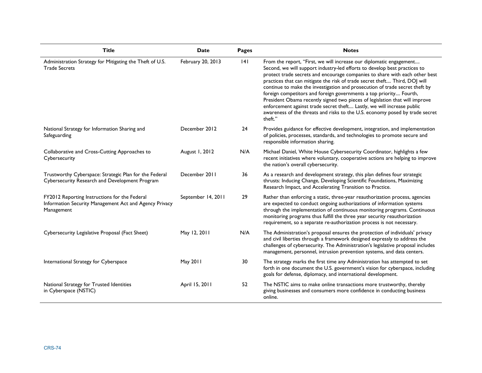| <b>Title</b>                                                                                                          | Date               | Pages | <b>Notes</b>                                                                                                                                                                                                                                                                                                                                                                                                                                                                                                                                                                                                                                                                                                           |
|-----------------------------------------------------------------------------------------------------------------------|--------------------|-------|------------------------------------------------------------------------------------------------------------------------------------------------------------------------------------------------------------------------------------------------------------------------------------------------------------------------------------------------------------------------------------------------------------------------------------------------------------------------------------------------------------------------------------------------------------------------------------------------------------------------------------------------------------------------------------------------------------------------|
| Administration Strategy for Mitigating the Theft of U.S.<br><b>Trade Secrets</b>                                      | February 20, 2013  | 4     | From the report, "First, we will increase our diplomatic engagement<br>Second, we will support industry-led efforts to develop best practices to<br>protect trade secrets and encourage companies to share with each other best<br>practices that can mitigate the risk of trade secret theft Third, DOJ will<br>continue to make the investigation and prosecution of trade secret theft by<br>foreign competitors and foreign governments a top priority Fourth,<br>President Obama recently signed two pieces of legislation that will improve<br>enforcement against trade secret theft Lastly, we will increase public<br>awareness of the threats and risks to the U.S. economy posed by trade secret<br>theft." |
| National Strategy for Information Sharing and<br>Safeguarding                                                         | December 2012      | 24    | Provides guidance for effective development, integration, and implementation<br>of policies, processes, standards, and technologies to promote secure and<br>responsible information sharing.                                                                                                                                                                                                                                                                                                                                                                                                                                                                                                                          |
| Collaborative and Cross-Cutting Approaches to<br>Cybersecurity                                                        | August 1, 2012     | N/A   | Michael Daniel, White House Cybersecurity Coordinator, highlights a few<br>recent initiatives where voluntary, cooperative actions are helping to improve<br>the nation's overall cybersecurity.                                                                                                                                                                                                                                                                                                                                                                                                                                                                                                                       |
| Trustworthy Cyberspace: Strategic Plan for the Federal<br>Cybersecurity Research and Development Program              | December 2011      | 36    | As a research and development strategy, this plan defines four strategic<br>thrusts: Inducing Change, Developing Scientific Foundations, Maximizing<br>Research Impact, and Accelerating Transition to Practice.                                                                                                                                                                                                                                                                                                                                                                                                                                                                                                       |
| FY2012 Reporting Instructions for the Federal<br>Information Security Management Act and Agency Privacy<br>Management | September 14, 2011 | 29    | Rather than enforcing a static, three-year reauthorization process, agencies<br>are expected to conduct ongoing authorizations of information systems<br>through the implementation of continuous monitoring programs. Continuous<br>monitoring programs thus fulfill the three year security reauthorization<br>requirement, so a separate re-authorization process is not necessary.                                                                                                                                                                                                                                                                                                                                 |
| Cybersecurity Legislative Proposal (Fact Sheet)                                                                       | May 12, 2011       | N/A   | The Administration's proposal ensures the protection of individuals' privacy<br>and civil liberties through a framework designed expressly to address the<br>challenges of cybersecurity. The Administration's legislative proposal includes<br>management, personnel, intrusion prevention systems, and data centers.                                                                                                                                                                                                                                                                                                                                                                                                 |
| International Strategy for Cyberspace                                                                                 | May 2011           | 30    | The strategy marks the first time any Administration has attempted to set<br>forth in one document the U.S. government's vision for cyberspace, including<br>goals for defense, diplomacy, and international development.                                                                                                                                                                                                                                                                                                                                                                                                                                                                                              |
| National Strategy for Trusted Identities<br>in Cyberspace (NSTIC)                                                     | April 15, 2011     | 52    | The NSTIC aims to make online transactions more trustworthy, thereby<br>giving businesses and consumers more confidence in conducting business<br>online.                                                                                                                                                                                                                                                                                                                                                                                                                                                                                                                                                              |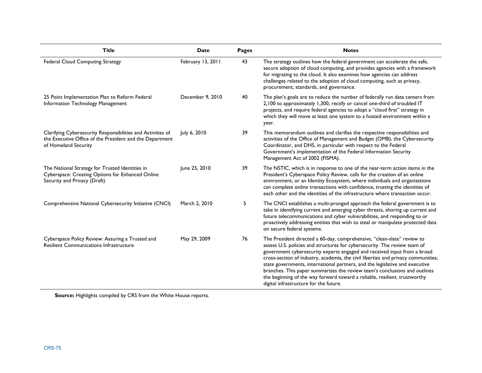| <b>Title</b>                                                                                                                                    | <b>Date</b>       | <b>Pages</b> | <b>Notes</b>                                                                                                                                                                                                                                                                                                                                                                                                                                                                                                                                                                                                |
|-------------------------------------------------------------------------------------------------------------------------------------------------|-------------------|--------------|-------------------------------------------------------------------------------------------------------------------------------------------------------------------------------------------------------------------------------------------------------------------------------------------------------------------------------------------------------------------------------------------------------------------------------------------------------------------------------------------------------------------------------------------------------------------------------------------------------------|
| Federal Cloud Computing Strategy                                                                                                                | February 13, 2011 | 43           | The strategy outlines how the federal government can accelerate the safe,<br>secure adoption of cloud computing, and provides agencies with a framework<br>for migrating to the cloud. It also examines how agencies can address<br>challenges related to the adoption of cloud computing, such as privacy,<br>procurement, standards, and governance.                                                                                                                                                                                                                                                      |
| 25 Point Implementation Plan to Reform Federal<br>Information Technology Management                                                             | December 9, 2010  | 40           | The plan's goals are to reduce the number of federally run data centers from<br>2,100 to approximately 1,300, rectify or cancel one-third of troubled IT<br>projects, and require federal agencies to adopt a "cloud first" strategy in<br>which they will move at least one system to a hosted environment within a<br>year.                                                                                                                                                                                                                                                                               |
| Clarifying Cybersecurity Responsibilities and Activities of<br>the Executive Office of the President and the Department<br>of Homeland Security | July 6, 2010      | 39           | This memorandum outlines and clarifies the respective responsibilities and<br>activities of the Office of Management and Budget (OMB), the Cybersecurity<br>Coordinator, and DHS, in particular with respect to the Federal<br>Government's implementation of the Federal Information Security<br>Management Act of 2002 (FISMA).                                                                                                                                                                                                                                                                           |
| The National Strategy for Trusted Identities in<br>Cyberspace: Creating Options for Enhanced Online<br>Security and Privacy (Draft)             | June 25, 2010     | 39           | The NSTIC, which is in response to one of the near-term action items in the<br>President's Cyberspace Policy Review, calls for the creation of an online<br>environment, or an Identity Ecosystem, where individuals and organizations<br>can complete online transactions with confidence, trusting the identities of<br>each other and the identities of the infrastructure where transaction occur.                                                                                                                                                                                                      |
| Comprehensive National Cybersecurity Initiative (CNCI)                                                                                          | March 2, 2010     | 5            | The CNCI establishes a multi-pronged approach the federal government is to<br>take in identifying current and emerging cyber threats, shoring up current and<br>future telecommunications and cyber vulnerabilities, and responding to or<br>proactively addressing entities that wish to steal or manipulate protected data<br>on secure federal systems.                                                                                                                                                                                                                                                  |
| Cyberspace Policy Review: Assuring a Trusted and<br><b>Resilient Communications Infrastructure</b>                                              | May 29, 2009      | 76           | The President directed a 60-day, comprehensive, "clean-slate" review to<br>assess U.S. policies and structures for cybersecurity. The review team of<br>government cybersecurity experts engaged and received input from a broad<br>cross-section of industry, academia, the civil liberties and privacy communities,<br>state governments, international partners, and the legislative and executive<br>branches. This paper summarizes the review team's conclusions and outlines<br>the beginning of the way forward toward a reliable, resilient, trustworthy<br>digital infrastructure for the future. |

**Source:** Highlights compiled by CRS from the White House reports.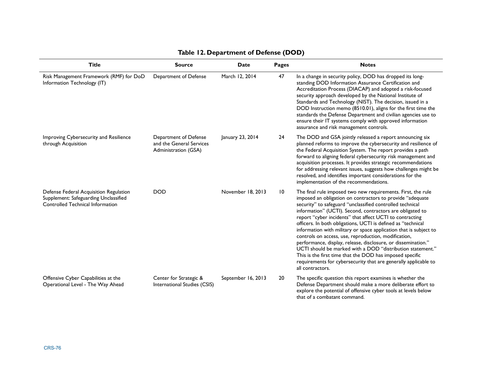| <b>Title</b>                                                                                                        | <b>Source</b>                                                             | <b>Date</b>        | <b>Pages</b>    | <b>Notes</b>                                                                                                                                                                                                                                                                                                                                                                                                                                                                                                                                                                                                                                                                                                                                                                                   |
|---------------------------------------------------------------------------------------------------------------------|---------------------------------------------------------------------------|--------------------|-----------------|------------------------------------------------------------------------------------------------------------------------------------------------------------------------------------------------------------------------------------------------------------------------------------------------------------------------------------------------------------------------------------------------------------------------------------------------------------------------------------------------------------------------------------------------------------------------------------------------------------------------------------------------------------------------------------------------------------------------------------------------------------------------------------------------|
| Risk Management Framework (RMF) for DoD<br>Information Technology (IT)                                              | Department of Defense                                                     | March 12, 2014     | 47              | In a change in security policy, DOD has dropped its long-<br>standing DOD Information Assurance Certification and<br>Accreditation Process (DIACAP) and adopted a risk-focused<br>security approach developed by the National Institute of<br>Standards and Technology (NIST). The decision, issued in a<br>DOD Instruction memo (8510.01), aligns for the first time the<br>standards the Defense Department and civilian agencies use to<br>ensure their IT systems comply with approved information<br>assurance and risk management controls.                                                                                                                                                                                                                                              |
| Improving Cybersecurity and Resilience<br>through Acquisition                                                       | Department of Defense<br>and the General Services<br>Administration (GSA) | January 23, 2014   | 24              | The DOD and GSA jointly released a report announcing six<br>planned reforms to improve the cybersecurity and resilience of<br>the Federal Acquisition System. The report provides a path<br>forward to aligning federal cybersecurity risk management and<br>acquisition processes. It provides strategic recommendations<br>for addressing relevant issues, suggests how challenges might be<br>resolved, and identifies important considerations for the<br>implementation of the recommendations.                                                                                                                                                                                                                                                                                           |
| Defense Federal Acquisition Regulation<br>Supplement: Safeguarding Unclassified<br>Controlled Technical Information | <b>DOD</b>                                                                | November 18, 2013  | 10 <sup>°</sup> | The final rule imposed two new requirements. First, the rule<br>imposed an obligation on contractors to provide "adequate<br>security" to safeguard "unclassified controlled technical<br>information" (UCTI). Second, contractors are obligated to<br>report "cyber incidents" that affect UCTI to contracting<br>officers. In both obligations, UCTI is defined as "technical<br>information with military or space application that is subject to<br>controls on access, use, reproduction, modification,<br>performance, display, release, disclosure, or dissemination."<br>UCTI should be marked with a DOD "distribution statement."<br>This is the first time that the DOD has imposed specific<br>requirements for cybersecurity that are generally applicable to<br>all contractors. |
| Offensive Cyber Capabilities at the<br>Operational Level - The Way Ahead                                            | Center for Strategic &<br>International Studies (CSIS)                    | September 16, 2013 | 20              | The specific question this report examines is whether the<br>Defense Department should make a more deliberate effort to<br>explore the potential of offensive cyber tools at levels below<br>that of a combatant command.                                                                                                                                                                                                                                                                                                                                                                                                                                                                                                                                                                      |

## **Table 12. Department of Defense (DOD)**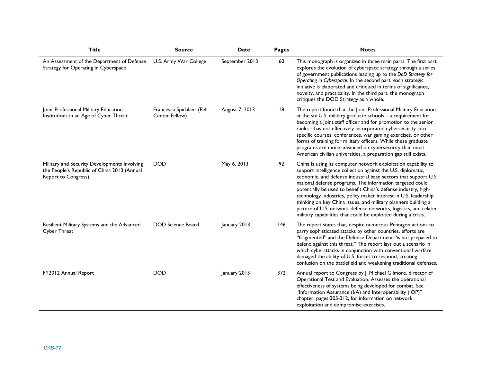| <b>Title</b>                                                                                                              | <b>Source</b>                                | Date           | <b>Pages</b> | <b>Notes</b>                                                                                                                                                                                                                                                                                                                                                                                                                                                                                                                                                                                                |
|---------------------------------------------------------------------------------------------------------------------------|----------------------------------------------|----------------|--------------|-------------------------------------------------------------------------------------------------------------------------------------------------------------------------------------------------------------------------------------------------------------------------------------------------------------------------------------------------------------------------------------------------------------------------------------------------------------------------------------------------------------------------------------------------------------------------------------------------------------|
| An Assessment of the Department of Defense<br>Strategy for Operating in Cyberspace                                        | U.S. Army War College                        | September 2013 | 60           | This monograph is organized in three main parts. The first part<br>explores the evolution of cyberspace strategy through a series<br>of government publications leading up to the DoD Strategy for<br>Operating in Cyberspace. In the second part, each strategic<br>initiative is elaborated and critiqued in terms of significance,<br>novelty, and practicality. In the third part, the monograph<br>critiques the DOD Strategy as a whole.                                                                                                                                                              |
| Joint Professional Military Education<br>Institutions in an Age of Cyber Threat                                           | Francesca Spidalieri (Pell<br>Center Fellow) | August 7, 2013 | 8            | The report found that the Joint Professional Military Education<br>at the six U.S. military graduate schools-a requirement for<br>becoming a Joint staff officer and for promotion to the senior<br>ranks-has not effectively incorporated cybersecurity into<br>specific courses, conferences, war gaming exercises, or other<br>forms of training for military officers. While these graduate<br>programs are more advanced on cybersecurity than most<br>American civilian universities, a preparation gap still exists.                                                                                 |
| Military and Security Developments Involving<br>the People's Republic of China 2013 (Annual<br><b>Report to Congress)</b> | <b>DOD</b>                                   | May 6, 2013    | 92           | China is using its computer network exploitation capability to<br>support intelligence collection against the U.S. diplomatic,<br>economic, and defense industrial base sectors that support U.S.<br>national defense programs. The information targeted could<br>potentially be used to benefit China's defense industry, high-<br>technology industries, policy maker interest in U.S. leadership<br>thinking on key China issues, and military planners building a<br>picture of U.S. network defense networks, logistics, and related<br>military capabilities that could be exploited during a crisis. |
| Resilient Military Systems and the Advanced<br>Cyber Threat                                                               | <b>DOD Science Board</b>                     | January 2013   | 146          | The report states that, despite numerous Pentagon actions to<br>parry sophisticated attacks by other countries, efforts are<br>"fragmented" and the Defense Department "is not prepared to<br>defend against this threat." The report lays out a scenario in<br>which cyberattacks in conjunction with conventional warfare<br>damaged the ability of U.S. forces to respond, creating<br>confusion on the battlefield and weakening traditional defenses.                                                                                                                                                  |
| FY2012 Annual Report                                                                                                      | <b>DOD</b>                                   | January 2013   | 372          | Annual report to Congress by J. Michael Gilmore, director of<br>Operational Test and Evaluation. Assesses the operational<br>effectiveness of systems being developed for combat. See<br>"Information Assurance (I/A) and Interoperability (IOP)"<br>chapter, pages 305-312, for information on network<br>exploitation and compromise exercises.                                                                                                                                                                                                                                                           |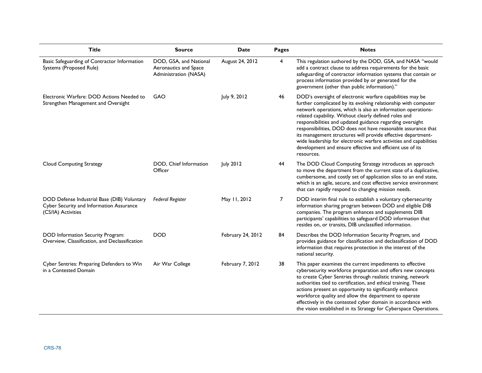| <b>Title</b>                                                                                                  | <b>Source</b>                                                            | <b>Date</b>       | <b>Pages</b> | <b>Notes</b>                                                                                                                                                                                                                                                                                                                                                                                                                                                                                                                                                                                        |
|---------------------------------------------------------------------------------------------------------------|--------------------------------------------------------------------------|-------------------|--------------|-----------------------------------------------------------------------------------------------------------------------------------------------------------------------------------------------------------------------------------------------------------------------------------------------------------------------------------------------------------------------------------------------------------------------------------------------------------------------------------------------------------------------------------------------------------------------------------------------------|
| Basic Safeguarding of Contractor Information<br>Systems (Proposed Rule)                                       | DOD, GSA, and National<br>Aeronautics and Space<br>Administration (NASA) | August 24, 2012   | 4            | This regulation authored by the DOD, GSA, and NASA "would<br>add a contract clause to address requirements for the basic<br>safeguarding of contractor information systems that contain or<br>process information provided by or generated for the<br>government (other than public information)."                                                                                                                                                                                                                                                                                                  |
| Electronic Warfare: DOD Actions Needed to<br>Strengthen Management and Oversight                              | GAO                                                                      | July 9, 2012      | 46           | DOD's oversight of electronic warfare capabilities may be<br>further complicated by its evolving relationship with computer<br>network operations, which is also an information operations-<br>related capability. Without clearly defined roles and<br>responsibilities and updated guidance regarding oversight<br>responsibilities, DOD does not have reasonable assurance that<br>its management structures will provide effective department-<br>wide leadership for electronic warfare activities and capabilities<br>development and ensure effective and efficient use of its<br>resources. |
| <b>Cloud Computing Strategy</b>                                                                               | DOD, Chief Information<br>Officer                                        | July 2012         | 44           | The DOD Cloud Computing Strategy introduces an approach<br>to move the department from the current state of a duplicative,<br>cumbersome, and costly set of application silos to an end state,<br>which is an agile, secure, and cost effective service environment<br>that can rapidly respond to changing mission needs.                                                                                                                                                                                                                                                                          |
| DOD Defense Industrial Base (DIB) Voluntary<br>Cyber Security and Information Assurance<br>(CS/IA) Activities | <b>Federal Register</b>                                                  | May 11, 2012      | 7            | DOD interim final rule to establish a voluntary cybersecurity<br>information sharing program between DOD and eligible DIB<br>companies. The program enhances and supplements DIB<br>participants' capabilities to safeguard DOD information that<br>resides on, or transits, DIB unclassified information.                                                                                                                                                                                                                                                                                          |
| DOD Information Security Program:<br>Overview, Classification, and Declassification                           | <b>DOD</b>                                                               | February 24, 2012 | 84           | Describes the DOD Information Security Program, and<br>provides guidance for classification and declassification of DOD<br>information that requires protection in the interest of the<br>national security.                                                                                                                                                                                                                                                                                                                                                                                        |
| Cyber Sentries: Preparing Defenders to Win<br>in a Contested Domain                                           | Air War College                                                          | February 7, 2012  | 38           | This paper examines the current impediments to effective<br>cybersecurity workforce preparation and offers new concepts<br>to create Cyber Sentries through realistic training, network<br>authorities tied to certification, and ethical training. These<br>actions present an opportunity to significantly enhance<br>workforce quality and allow the department to operate<br>effectively in the contested cyber domain in accordance with<br>the vision established in its Strategy for Cyberspace Operations.                                                                                  |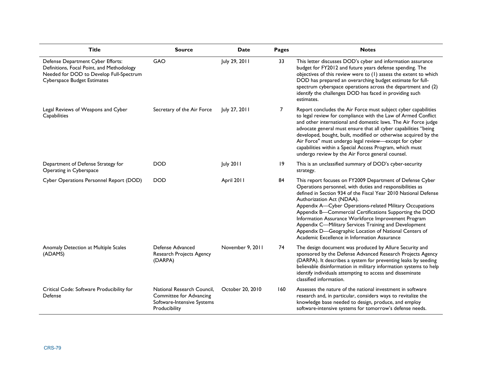| <b>Title</b>                                                                                                                                                    | <b>Source</b>                                                                                        | <b>Date</b>      | <b>Pages</b> | <b>Notes</b>                                                                                                                                                                                                                                                                                                                                                                                                                                                                                                                                                           |
|-----------------------------------------------------------------------------------------------------------------------------------------------------------------|------------------------------------------------------------------------------------------------------|------------------|--------------|------------------------------------------------------------------------------------------------------------------------------------------------------------------------------------------------------------------------------------------------------------------------------------------------------------------------------------------------------------------------------------------------------------------------------------------------------------------------------------------------------------------------------------------------------------------------|
| Defense Department Cyber Efforts:<br>Definitions, Focal Point, and Methodology<br>Needed for DOD to Develop Full-Spectrum<br><b>Cyberspace Budget Estimates</b> | GAO                                                                                                  | July 29, 2011    | 33           | This letter discusses DOD's cyber and information assurance<br>budget for FY2012 and future years defense spending. The<br>objectives of this review were to (1) assess the extent to which<br>DOD has prepared an overarching budget estimate for full-<br>spectrum cyberspace operations across the department and (2)<br>identify the challenges DOD has faced in providing such<br>estimates.                                                                                                                                                                      |
| Legal Reviews of Weapons and Cyber<br>Capabilities                                                                                                              | Secretary of the Air Force                                                                           | July 27, 2011    | 7            | Report concludes the Air Force must subject cyber capabilities<br>to legal review for compliance with the Law of Armed Conflict<br>and other international and domestic laws. The Air Force judge<br>advocate general must ensure that all cyber capabilities "being<br>developed, bought, built, modified or otherwise acquired by the<br>Air Force" must undergo legal review-except for cyber<br>capabilities within a Special Access Program, which must<br>undergo review by the Air Force general counsel.                                                       |
| Department of Defense Strategy for<br>Operating in Cyberspace                                                                                                   | <b>DOD</b>                                                                                           | <b>July 2011</b> | 19           | This is an unclassified summary of DOD's cyber-security<br>strategy.                                                                                                                                                                                                                                                                                                                                                                                                                                                                                                   |
| Cyber Operations Personnel Report (DOD)                                                                                                                         | <b>DOD</b>                                                                                           | April 2011       | 84           | This report focuses on FY2009 Department of Defense Cyber<br>Operations personnel, with duties and responsibilities as<br>defined in Section 934 of the Fiscal Year 2010 National Defense<br>Authorization Act (NDAA).<br>Appendix A-Cyber Operations-related Military Occupations<br>Appendix B-Commercial Certifications Supporting the DOD<br>Information Assurance Workforce Improvement Program<br>Appendix C-Military Services Training and Development<br>Appendix D-Geographic Location of National Centers of<br>Academic Excellence in Information Assurance |
| Anomaly Detection at Multiple Scales<br>(ADAMS)                                                                                                                 | Defense Advanced<br>Research Projects Agency<br>(DARPA)                                              | November 9, 2011 | 74           | The design document was produced by Allure Security and<br>sponsored by the Defense Advanced Research Projects Agency<br>(DARPA). It describes a system for preventing leaks by seeding<br>believable disinformation in military information systems to help<br>identify individuals attempting to access and disseminate<br>classified information.                                                                                                                                                                                                                   |
| Critical Code: Software Producibility for<br>Defense                                                                                                            | National Research Council.<br>Committee for Advancing<br>Software-Intensive Systems<br>Producibility | October 20, 2010 | 160          | Assesses the nature of the national investment in software<br>research and, in particular, considers ways to revitalize the<br>knowledge base needed to design, produce, and employ<br>software-intensive systems for tomorrow's defense needs.                                                                                                                                                                                                                                                                                                                        |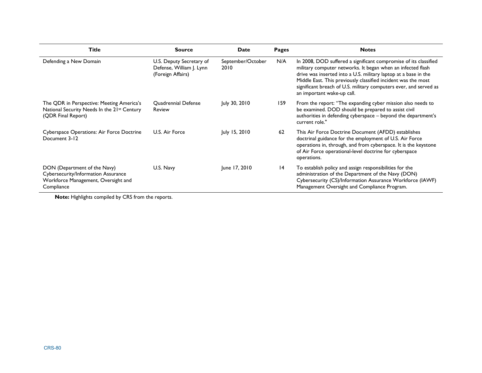| <b>Title</b>                                                                                                             | <b>Source</b>                                                             | Date                      | Pages | <b>Notes</b>                                                                                                                                                                                                                                                                                                                                                           |
|--------------------------------------------------------------------------------------------------------------------------|---------------------------------------------------------------------------|---------------------------|-------|------------------------------------------------------------------------------------------------------------------------------------------------------------------------------------------------------------------------------------------------------------------------------------------------------------------------------------------------------------------------|
| Defending a New Domain                                                                                                   | U.S. Deputy Secretary of<br>Defense, William J. Lynn<br>(Foreign Affairs) | September/October<br>2010 | N/A   | In 2008, DOD suffered a significant compromise of its classified<br>military computer networks. It began when an infected flash<br>drive was inserted into a U.S. military laptop at a base in the<br>Middle East. This previously classified incident was the most<br>significant breach of U.S. military computers ever, and served as<br>an important wake-up call. |
| The QDR in Perspective: Meeting America's<br>National Security Needs In the 21st Century<br>(QDR Final Report)           | <b>Ouadrennial Defense</b><br><b>Review</b>                               | July 30, 2010             | 159   | From the report: "The expanding cyber mission also needs to<br>be examined. DOD should be prepared to assist civil<br>authorities in defending cyberspace - beyond the department's<br>current role."                                                                                                                                                                  |
| Cyberspace Operations: Air Force Doctrine<br>Document 3-12                                                               | U.S. Air Force                                                            | July 15, 2010             | 62    | This Air Force Doctrine Document (AFDD) establishes<br>doctrinal guidance for the employment of U.S. Air Force<br>operations in, through, and from cyberspace. It is the keystone<br>of Air Force operational-level doctrine for cyberspace<br>operations.                                                                                                             |
| DON (Department of the Navy)<br>Cybersecurity/Information Assurance<br>Workforce Management, Oversight and<br>Compliance | U.S. Navy                                                                 | June 17, 2010             | 14    | To establish policy and assign responsibilities for the<br>administration of the Department of the Navy (DON)<br>Cybersecurity (CS)/Information Assurance Workforce (IAWF)<br>Management Oversight and Compliance Program.                                                                                                                                             |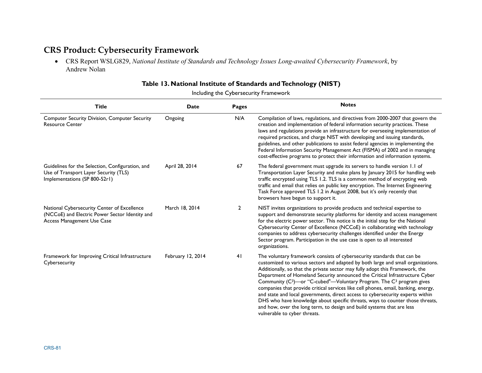# **CRS Product: Cybersecurity Framework**

• CRS Report WSLG829, *National Institute of Standards and Technology Issues Long-awaited Cybersecurity Framework*, by Andrew Nolan

|  |  |  |  | Table 13. National Institute of Standards and Technology (NIST) |  |
|--|--|--|--|-----------------------------------------------------------------|--|
|--|--|--|--|-----------------------------------------------------------------|--|

Including the Cybersecurity Framework

| <b>Title</b>                                                                                                                | <b>Date</b>       | Pages        | <b>Notes</b>                                                                                                                                                                                                                                                                                                                                                                                                                                                                                                                                                                                                                                                                                                                                                                                  |
|-----------------------------------------------------------------------------------------------------------------------------|-------------------|--------------|-----------------------------------------------------------------------------------------------------------------------------------------------------------------------------------------------------------------------------------------------------------------------------------------------------------------------------------------------------------------------------------------------------------------------------------------------------------------------------------------------------------------------------------------------------------------------------------------------------------------------------------------------------------------------------------------------------------------------------------------------------------------------------------------------|
| <b>Computer Security Division, Computer Security</b><br><b>Resource Center</b>                                              | Ongoing           | N/A          | Compilation of laws, regulations, and directives from 2000-2007 that govern the<br>creation and implementation of federal information security practices. These<br>laws and regulations provide an infrastructure for overseeing implementation of<br>required practices, and charge NIST with developing and issuing standards,<br>guidelines, and other publications to assist federal agencies in implementing the<br>Federal Information Security Management Act (FISMA) of 2002 and in managing<br>cost-effective programs to protect their information and information systems.                                                                                                                                                                                                         |
| Guidelines for the Selection, Configuration, and<br>Use of Transport Layer Security (TLS)<br>Implementations (SP 800-52r1)  | April 28, 2014    | 67           | The federal government must upgrade its servers to handle version 1.1 of<br>Transportation Layer Security and make plans by January 2015 for handling web<br>traffic encrypted using TLS 1.2. TLS is a common method of encrypting web<br>traffic and email that relies on public key encryption. The Internet Engineering<br>Task Force approved TLS 1.2 in August 2008, but it's only recently that<br>browsers have begun to support it.                                                                                                                                                                                                                                                                                                                                                   |
| National Cybersecurity Center of Excellence<br>(NCCoE) and Electric Power Sector Identity and<br>Access Management Use Case | March 18, 2014    | $\mathbf{2}$ | NIST invites organizations to provide products and technical expertise to<br>support and demonstrate security platforms for identity and access management<br>for the electric power sector. This notice is the initial step for the National<br>Cybersecurity Center of Excellence (NCCoE) in collaborating with technology<br>companies to address cybersecurity challenges identified under the Energy<br>Sector program. Participation in the use case is open to all interested<br>organizations.                                                                                                                                                                                                                                                                                        |
| Framework for Improving Critical Infrastructure<br>Cybersecurity                                                            | February 12, 2014 | 41           | The voluntary framework consists of cybersecurity standards that can be<br>customized to various sectors and adapted by both large and small organizations.<br>Additionally, so that the private sector may fully adopt this Framework, the<br>Department of Homeland Security announced the Critical Infrastructure Cyber<br>Community (C <sup>3</sup> )—or "C-cubed"—Voluntary Program. The C <sup>3</sup> program gives<br>companies that provide critical services like cell phones, email, banking, energy,<br>and state and local governments, direct access to cybersecurity experts within<br>DHS who have knowledge about specific threats, ways to counter those threats,<br>and how, over the long term, to design and build systems that are less<br>vulnerable to cyber threats. |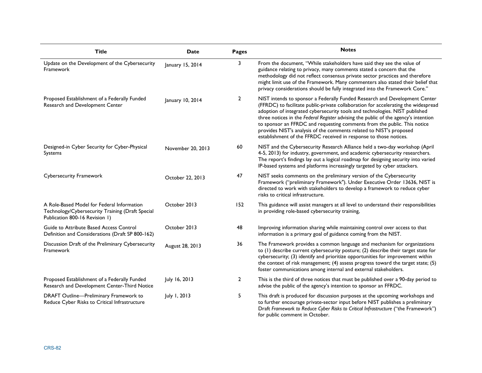| <b>Title</b>                                                                                                                     | Date              | Pages          | <b>Notes</b>                                                                                                                                                                                                                                                                                                                                                                                                                                                                                                                                                   |
|----------------------------------------------------------------------------------------------------------------------------------|-------------------|----------------|----------------------------------------------------------------------------------------------------------------------------------------------------------------------------------------------------------------------------------------------------------------------------------------------------------------------------------------------------------------------------------------------------------------------------------------------------------------------------------------------------------------------------------------------------------------|
| Update on the Development of the Cybersecurity<br>Framework                                                                      | January 15, 2014  | 3              | From the document, "While stakeholders have said they see the value of<br>guidance relating to privacy, many comments stated a concern that the<br>methodology did not reflect consensus private sector practices and therefore<br>might limit use of the Framework. Many commenters also stated their belief that<br>privacy considerations should be fully integrated into the Framework Core."                                                                                                                                                              |
| Proposed Establishment of a Federally Funded<br>Research and Development Center                                                  | January 10, 2014  | $\overline{2}$ | NIST intends to sponsor a Federally Funded Research and Development Center<br>(FFRDC) to facilitate public-private collaboration for accelerating the widespread<br>adoption of integrated cybersecurity tools and technologies. NIST published<br>three notices in the Federal Register advising the public of the agency's intention<br>to sponsor an FFRDC and requesting comments from the public. This notice<br>provides NIST's analysis of the comments related to NIST's proposed<br>establishment of the FFRDC received in response to those notices. |
| Designed-in Cyber Security for Cyber-Physical<br>Systems                                                                         | November 20, 2013 | 60             | NIST and the Cybersecurity Research Alliance held a two-day workshop (April<br>4-5, 2013) for industry, government, and academic cybersecurity researchers.<br>The report's findings lay out a logical roadmap for designing security into varied<br>IP-based systems and platforms increasingly targeted by cyber attackers.                                                                                                                                                                                                                                  |
| <b>Cybersecurity Framework</b>                                                                                                   | October 22, 2013  | 47             | NIST seeks comments on the preliminary version of the Cybersecurity<br>Framework ("preliminary Framework"). Under Executive Order 13636, NIST is<br>directed to work with stakeholders to develop a framework to reduce cyber<br>risks to critical infrastructure.                                                                                                                                                                                                                                                                                             |
| A Role-Based Model for Federal Information<br>Technology/Cybersecurity Training (Draft Special<br>Publication 800-16 Revision 1) | October 2013      | 152            | This guidance will assist managers at all level to understand their responsibilities<br>in providing role-based cybersecurity training,                                                                                                                                                                                                                                                                                                                                                                                                                        |
| Guide to Attribute Based Access Control<br>Definition and Considerations (Draft SP 800-162)                                      | October 2013      | 48             | Improving information sharing while maintaining control over access to that<br>information is a primary goal of guidance coming from the NIST.                                                                                                                                                                                                                                                                                                                                                                                                                 |
| Discussion Draft of the Preliminary Cybersecurity<br>Framework                                                                   | August 28, 2013   | 36             | The Framework provides a common language and mechanism for organizations<br>to (1) describe current cybersecurity posture; (2) describe their target state for<br>cybersecurity; (3) identify and prioritize opportunities for improvement within<br>the context of risk management; (4) assess progress toward the target state; (5)<br>foster communications among internal and external stakeholders.                                                                                                                                                       |
| Proposed Establishment of a Federally Funded<br>Research and Development Center-Third Notice                                     | July 16, 2013     | $\mathbf{2}$   | This is the third of three notices that must be published over a 90-day period to<br>advise the public of the agency's intention to sponsor an FFRDC.                                                                                                                                                                                                                                                                                                                                                                                                          |
| DRAFT Outline-Preliminary Framework to<br>Reduce Cyber Risks to Critical Infrastructure                                          | July 1, 2013      | 5              | This draft is produced for discussion purposes at the upcoming workshops and<br>to further encourage private-sector input before NIST publishes a preliminary<br>Draft Framework to Reduce Cyber Risks to Critical Infrastructure ("the Framework")<br>for public comment in October.                                                                                                                                                                                                                                                                          |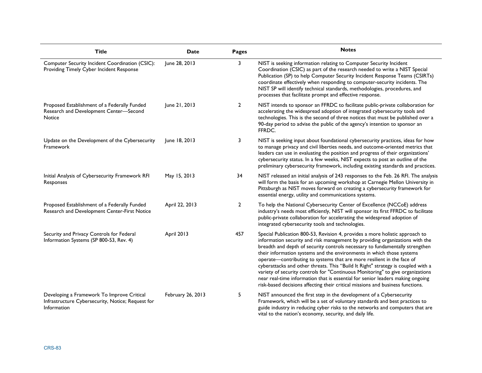| <b>Title</b>                                                                                                   | Date              | Pages        | <b>Notes</b>                                                                                                                                                                                                                                                                                                                                                                                                                                                                                                                                                                                                                                                                                                                              |
|----------------------------------------------------------------------------------------------------------------|-------------------|--------------|-------------------------------------------------------------------------------------------------------------------------------------------------------------------------------------------------------------------------------------------------------------------------------------------------------------------------------------------------------------------------------------------------------------------------------------------------------------------------------------------------------------------------------------------------------------------------------------------------------------------------------------------------------------------------------------------------------------------------------------------|
| Computer Security Incident Coordination (CSIC):<br>Providing Timely Cyber Incident Response                    | June 28, 2013     | 3            | NIST is seeking information relating to Computer Security Incident<br>Coordination (CSIC) as part of the research needed to write a NIST Special<br>Publication (SP) to help Computer Security Incident Response Teams (CSIRTs)<br>coordinate effectively when responding to computer-security incidents. The<br>NIST SP will identify technical standards, methodologies, procedures, and<br>processes that facilitate prompt and effective response.                                                                                                                                                                                                                                                                                    |
| Proposed Establishment of a Federally Funded<br>Research and Development Center-Second<br>Notice               | June 21, 2013     | $\mathbf{2}$ | NIST intends to sponsor an FFRDC to facilitate public-private collaboration for<br>accelerating the widespread adoption of integrated cybersecurity tools and<br>technologies. This is the second of three notices that must be published over a<br>90-day period to advise the public of the agency's intention to sponsor an<br>FFRDC.                                                                                                                                                                                                                                                                                                                                                                                                  |
| Update on the Development of the Cybersecurity<br>Framework                                                    | June 18, 2013     | 3            | NIST is seeking input about foundational cybersecurity practices, ideas for how<br>to manage privacy and civil liberties needs, and outcome-oriented metrics that<br>leaders can use in evaluating the position and progress of their organizations'<br>cybersecurity status. In a few weeks, NIST expects to post an outline of the<br>preliminary cybersecurity framework, including existing standards and practices.                                                                                                                                                                                                                                                                                                                  |
| Initial Analysis of Cybersecurity Framework RFI<br>Responses                                                   | May 15, 2013      | 34           | NIST released an initial analysis of 243 responses to the Feb. 26 RFI. The analysis<br>will form the basis for an upcoming workshop at Carnegie Mellon University in<br>Pittsburgh as NIST moves forward on creating a cybersecurity framework for<br>essential energy, utility and communications systems.                                                                                                                                                                                                                                                                                                                                                                                                                               |
| Proposed Establishment of a Federally Funded<br>Research and Development Center-First Notice                   | April 22, 2013    | $\mathbf{2}$ | To help the National Cybersecurity Center of Excellence (NCCoE) address<br>industry's needs most efficiently, NIST will sponsor its first FFRDC to facilitate<br>public-private collaboration for accelerating the widespread adoption of<br>integrated cybersecurity tools and technologies.                                                                                                                                                                                                                                                                                                                                                                                                                                             |
| Security and Privacy Controls for Federal<br>Information Systems (SP 800-53, Rev. 4)                           | April 2013        | 457          | Special Publication 800-53, Revision 4, provides a more holistic approach to<br>information security and risk management by providing organizations with the<br>breadth and depth of security controls necessary to fundamentally strengthen<br>their information systems and the environments in which those systems<br>operate-contributing to systems that are more resilient in the face of<br>cyberattacks and other threats. This "Build It Right" strategy is coupled with a<br>variety of security controls for "Continuous Monitoring" to give organizations<br>near real-time information that is essential for senior leaders making ongoing<br>risk-based decisions affecting their critical missions and business functions. |
| Developing a Framework To Improve Critical<br>Infrastructure Cybersecurity, Notice; Request for<br>Information | February 26, 2013 | 5            | NIST announced the first step in the development of a Cybersecurity<br>Framework, which will be a set of voluntary standards and best practices to<br>guide industry in reducing cyber risks to the networks and computers that are<br>vital to the nation's economy, security, and daily life.                                                                                                                                                                                                                                                                                                                                                                                                                                           |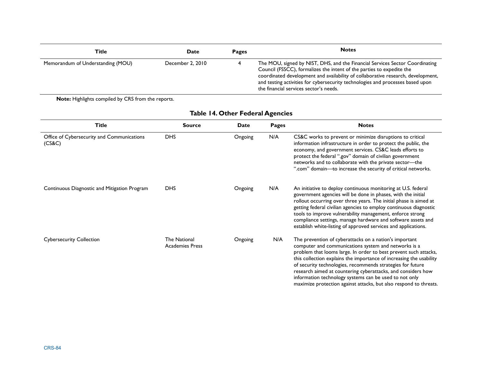| Title                             | Date             | Pages | <b>Notes</b>                                                                                                                                                                                                                                                                                                                                                          |
|-----------------------------------|------------------|-------|-----------------------------------------------------------------------------------------------------------------------------------------------------------------------------------------------------------------------------------------------------------------------------------------------------------------------------------------------------------------------|
| Memorandum of Understanding (MOU) | December 2, 2010 |       | The MOU, signed by NIST, DHS, and the Financial Services Sector Coordinating<br>Council (FSSCC), formalizes the intent of the parties to expedite the<br>coordinated development and availability of collaborative research, development,<br>and testing activities for cybersecurity technologies and processes based upon<br>the financial services sector's needs. |

| <b>Title</b>                                         | <b>Source</b>                                 | Date    | <b>Pages</b> | <b>Notes</b>                                                                                                                                                                                                                                                                                                                                                                                                                                                                                                           |
|------------------------------------------------------|-----------------------------------------------|---------|--------------|------------------------------------------------------------------------------------------------------------------------------------------------------------------------------------------------------------------------------------------------------------------------------------------------------------------------------------------------------------------------------------------------------------------------------------------------------------------------------------------------------------------------|
| Office of Cybersecurity and Communications<br>(CS&C) | <b>DHS</b>                                    | Ongoing | N/A          | CS&C works to prevent or minimize disruptions to critical<br>information infrastructure in order to protect the public, the<br>economy, and government services. CS&C leads efforts to<br>protect the federal ".gov" domain of civilian government<br>networks and to collaborate with the private sector-the<br>".com" domain-to increase the security of critical networks.                                                                                                                                          |
| Continuous Diagnostic and Mitigation Program         | <b>DHS</b>                                    | Ongoing | N/A          | An initiative to deploy continuous monitoring at U.S. federal<br>government agencies will be done in phases, with the initial<br>rollout occurring over three years. The initial phase is aimed at<br>getting federal civilian agencies to employ continuous diagnostic<br>tools to improve vulnerability management, enforce strong<br>compliance settings, manage hardware and software assets and<br>establish white-listing of approved services and applications.                                                 |
| <b>Cybersecurity Collection</b>                      | <b>The National</b><br><b>Academies Press</b> | Ongoing | N/A          | The prevention of cyberattacks on a nation's important<br>computer and communications system and networks is a<br>problem that looms large. In order to best prevent such attacks,<br>this collection explains the importance of increasing the usability<br>of security technologies, recommends strategies for future<br>research aimed at countering cyberattacks, and considers how<br>information technology systems can be used to not only<br>maximize protection against attacks, but also respond to threats. |

## **Table 14. Other Federal Agencies**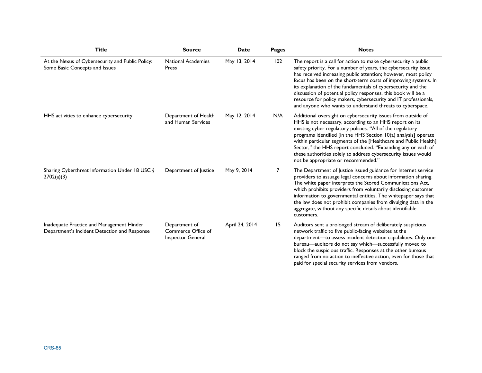| <b>Title</b>                                                                              | <b>Source</b>                                            | <b>Date</b>    | <b>Pages</b> | <b>Notes</b>                                                                                                                                                                                                                                                                                                                                                                                                                                                                                                                            |
|-------------------------------------------------------------------------------------------|----------------------------------------------------------|----------------|--------------|-----------------------------------------------------------------------------------------------------------------------------------------------------------------------------------------------------------------------------------------------------------------------------------------------------------------------------------------------------------------------------------------------------------------------------------------------------------------------------------------------------------------------------------------|
| At the Nexus of Cybersecurity and Public Policy:<br>Some Basic Concepts and Issues        | <b>National Academies</b><br>Press                       | May 13, 2014   | 102          | The report is a call for action to make cybersecurity a public<br>safety priority. For a number of years, the cybersecurity issue<br>has received increasing public attention; however, most policy<br>focus has been on the short-term costs of improving systems. In<br>its explanation of the fundamentals of cybersecurity and the<br>discussion of potential policy responses, this book will be a<br>resource for policy makers, cybersecurity and IT professionals,<br>and anyone who wants to understand threats to cyberspace. |
| HHS activities to enhance cybersecurity                                                   | Department of Health<br>and Human Services               | May 12, 2014   | N/A          | Additional oversight on cybersecurity issues from outside of<br>HHS is not necessary, according to an HHS report on its<br>existing cyber regulatory policies. "All of the regulatory<br>programs identified [in the HHS Section 10(a) analysis] operate<br>within particular segments of the [Healthcare and Public Health]<br>Sector," the HHS report concluded. "Expanding any or each of<br>these authorities solely to address cybersecurity issues would<br>not be appropriate or recommended."                                   |
| Sharing Cyberthreat Information Under 18 USC §<br>2702(a)(3)                              | Department of Justice                                    | May 9, 2014    | 7            | The Department of Justice issued guidance for Internet service<br>providers to assuage legal concerns about information sharing.<br>The white paper interprets the Stored Communications Act,<br>which prohibits providers from voluntarily disclosing customer<br>information to governmental entities. The whitepaper says that<br>the law does not prohibit companies from divulging data in the<br>aggregate, without any specific details about identifiable<br>customers.                                                         |
| Inadequate Practice and Management Hinder<br>Department's Incident Detection and Response | Department of<br>Commerce Office of<br>Inspector General | April 24, 2014 | 15           | Auditors sent a prolonged stream of deliberately suspicious<br>network traffic to five public-facing websites at the<br>department-to assess incident detection capabilities. Only one<br>bureau-auditors do not say which-successfully moved to<br>block the suspicious traffic. Responses at the other bureaus<br>ranged from no action to ineffective action, even for those that<br>paid for special security services from vendors.                                                                                                |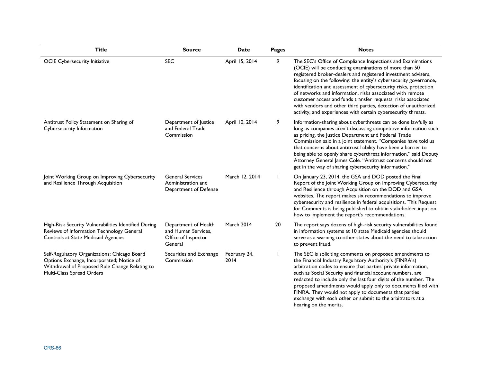| <b>Title</b>                                                                                                                                                             | <b>Source</b>                                                                 | <b>Date</b>          | <b>Pages</b> | <b>Notes</b>                                                                                                                                                                                                                                                                                                                                                                                                                                                                                                                                                                                      |
|--------------------------------------------------------------------------------------------------------------------------------------------------------------------------|-------------------------------------------------------------------------------|----------------------|--------------|---------------------------------------------------------------------------------------------------------------------------------------------------------------------------------------------------------------------------------------------------------------------------------------------------------------------------------------------------------------------------------------------------------------------------------------------------------------------------------------------------------------------------------------------------------------------------------------------------|
| <b>OCIE Cybersecurity Initiative</b>                                                                                                                                     | <b>SEC</b>                                                                    | April 15, 2014       | 9            | The SEC's Office of Compliance Inspections and Examinations<br>(OCIE) will be conducting examinations of more than 50<br>registered broker-dealers and registered investment advisers,<br>focusing on the following: the entity's cybersecurity governance,<br>identification and assessment of cybersecurity risks, protection<br>of networks and information, risks associated with remote<br>customer access and funds transfer requests, risks associated<br>with vendors and other third parties, detection of unauthorized<br>activity, and experiences with certain cybersecurity threats. |
| Antitrust Policy Statement on Sharing of<br>Cybersecurity Information                                                                                                    | Department of Justice<br>and Federal Trade<br>Commission                      | April 10, 2014       | 9            | Information-sharing about cyberthreats can be done lawfully as<br>long as companies aren't discussing competitive information such<br>as pricing, the Justice Department and Federal Trade<br>Commission said in a joint statement. "Companies have told us<br>that concerns about antitrust liability have been a barrier to<br>being able to openly share cyberthreat information," said Deputy<br>Attorney General James Cole. "Antitrust concerns should not<br>get in the way of sharing cybersecurity information."                                                                         |
| Joint Working Group on Improving Cybersecurity<br>and Resilience Through Acquisition                                                                                     | <b>General Services</b><br>Administration and<br>Department of Defense        | March 12, 2014       |              | On January 23, 2014, the GSA and DOD posted the Final<br>Report of the Joint Working Group on Improving Cybersecurity<br>and Resilience through Acquisition on the DOD and GSA<br>websites. The report makes six recommendations to improve<br>cybersecurity and resilience in federal acquisitions. This Request<br>for Comments is being published to obtain stakeholder input on<br>how to implement the report's recommendations.                                                                                                                                                             |
| High-Risk Security Vulnerabilities Identified During<br>Reviews of Information Technology General<br>Controls at State Medicaid Agencies                                 | Department of Health<br>and Human Services,<br>Office of Inspector<br>General | March 2014           | 20           | The report says dozens of high-risk security vulnerabilities found<br>in information systems at 10 state Medicaid agencies should<br>serve as a warning to other states about the need to take action<br>to prevent fraud.                                                                                                                                                                                                                                                                                                                                                                        |
| Self-Regulatory Organizations; Chicago Board<br>Options Exchange, Incorporated; Notice of<br>Withdrawal of Proposed Rule Change Relating to<br>Multi-Class Spread Orders | Securities and Exchange<br>Commission                                         | February 24,<br>2014 |              | The SEC is soliciting comments on proposed amendments to<br>the Financial Industry Regulatory Authority's (FINRA's)<br>arbitration codes to ensure that parties' private information,<br>such as Social Security and financial account numbers, are<br>redacted to include only the last four digits of the number. The<br>proposed amendments would apply only to documents filed with<br>FINRA. They would not apply to documents that parties<br>exchange with each other or submit to the arbitrators at a<br>hearing on the merits.                                                          |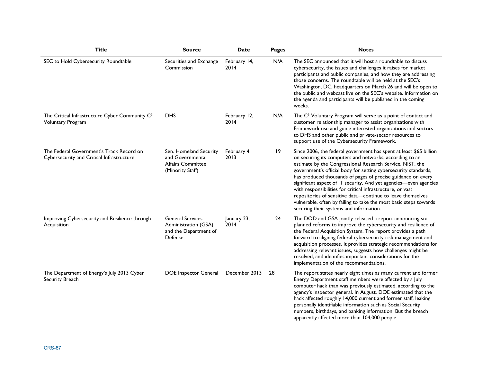| <b>Title</b>                                                                           | <b>Source</b>                                                                              | <b>Date</b>          | <b>Pages</b> | <b>Notes</b>                                                                                                                                                                                                                                                                                                                                                                                                                                                                                                                                                                                                                                    |
|----------------------------------------------------------------------------------------|--------------------------------------------------------------------------------------------|----------------------|--------------|-------------------------------------------------------------------------------------------------------------------------------------------------------------------------------------------------------------------------------------------------------------------------------------------------------------------------------------------------------------------------------------------------------------------------------------------------------------------------------------------------------------------------------------------------------------------------------------------------------------------------------------------------|
| SEC to Hold Cybersecurity Roundtable                                                   | Securities and Exchange<br>Commission                                                      | February 14,<br>2014 | N/A          | The SEC announced that it will host a roundtable to discuss<br>cybersecurity, the issues and challenges it raises for market<br>participants and public companies, and how they are addressing<br>those concerns. The roundtable will be held at the SEC's<br>Washington, DC, headquarters on March 26 and will be open to<br>the public and webcast live on the SEC's website. Information on<br>the agenda and participants will be published in the coming<br>weeks.                                                                                                                                                                         |
| The Critical Infrastructure Cyber Community C <sup>3</sup><br><b>Voluntary Program</b> | <b>DHS</b>                                                                                 | February 12,<br>2014 | N/A          | The C <sup>3</sup> Voluntary Program will serve as a point of contact and<br>customer relationship manager to assist organizations with<br>Framework use and guide interested organizations and sectors<br>to DHS and other public and private-sector resources to<br>support use of the Cybersecurity Framework.                                                                                                                                                                                                                                                                                                                               |
| The Federal Government's Track Record on<br>Cybersecurity and Critical Infrastructure  | Sen. Homeland Security<br>and Governmental<br><b>Affairs Committee</b><br>(Minority Staff) | February 4,<br>2013  | 9            | Since 2006, the federal government has spent at least \$65 billion<br>on securing its computers and networks, according to an<br>estimate by the Congressional Research Service. NIST, the<br>government's official body for setting cybersecurity standards,<br>has produced thousands of pages of precise guidance on every<br>significant aspect of IT security. And yet agencies-even agencies<br>with responsibilities for critical infrastructure, or vast<br>repositories of sensitive data-continue to leave themselves<br>vulnerable, often by failing to take the most basic steps towards<br>securing their systems and information. |
| Improving Cybersecurity and Resilience through<br>Acquisition                          | <b>General Services</b><br>Administration (GSA)<br>and the Department of<br>Defense        | January 23,<br>2014  | 24           | The DOD and GSA jointly released a report announcing six<br>planned reforms to improve the cybersecurity and resilience of<br>the Federal Acquisition System. The report provides a path<br>forward to aligning federal cybersecurity risk management and<br>acquisition processes. It provides strategic recommendations for<br>addressing relevant issues, suggests how challenges might be<br>resolved, and identifies important considerations for the<br>implementation of the recommendations.                                                                                                                                            |
| The Department of Energy's July 2013 Cyber<br>Security Breach                          | <b>DOE</b> Inspector General                                                               | December 2013        | 28           | The report states nearly eight times as many current and former<br>Energy Department staff members were affected by a July<br>computer hack than was previously estimated, according to the<br>agency's inspector general. In August, DOE estimated that the<br>hack affected roughly 14,000 current and former staff, leaking<br>personally identifiable information such as Social Security<br>numbers, birthdays, and banking information. But the breach<br>apparently affected more than 104,000 people.                                                                                                                                   |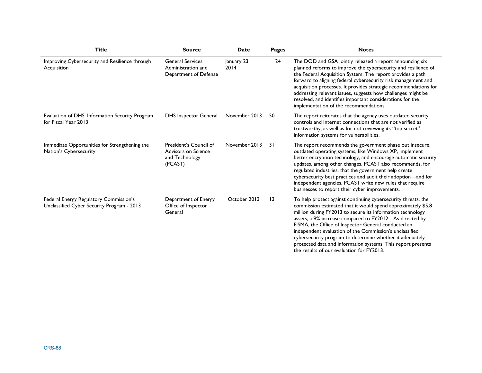| <b>Title</b>                                                                         | <b>Source</b>                                                              | <b>Date</b>         | <b>Pages</b> | <b>Notes</b>                                                                                                                                                                                                                                                                                                                                                                                                                                                                                                                                      |
|--------------------------------------------------------------------------------------|----------------------------------------------------------------------------|---------------------|--------------|---------------------------------------------------------------------------------------------------------------------------------------------------------------------------------------------------------------------------------------------------------------------------------------------------------------------------------------------------------------------------------------------------------------------------------------------------------------------------------------------------------------------------------------------------|
| Improving Cybersecurity and Resilience through<br>Acquisition                        | <b>General Services</b><br>Administration and<br>Department of Defense     | January 23,<br>2014 | 24           | The DOD and GSA jointly released a report announcing six<br>planned reforms to improve the cybersecurity and resilience of<br>the Federal Acquisition System. The report provides a path<br>forward to aligning federal cybersecurity risk management and<br>acquisition processes. It provides strategic recommendations for<br>addressing relevant issues, suggests how challenges might be<br>resolved, and identifies important considerations for the<br>implementation of the recommendations.                                              |
| Evaluation of DHS' Information Security Program<br>for Fiscal Year 2013              | <b>DHS</b> Inspector General                                               | November 2013       | 50           | The report reiterates that the agency uses outdated security<br>controls and Internet connections that are not verified as<br>trustworthy, as well as for not reviewing its "top secret"<br>information systems for vulnerabilities.                                                                                                                                                                                                                                                                                                              |
| Immediate Opportunities for Strengthening the<br>Nation's Cybersecurity              | President's Council of<br>Advisors on Science<br>and Technology<br>(PCAST) | November 2013       | 31           | The report recommends the government phase out insecure,<br>outdated operating systems, like Windows XP, implement<br>better encryption technology, and encourage automatic security<br>updates, among other changes. PCAST also recommends, for<br>regulated industries, that the government help create<br>cybersecurity best practices and audit their adoption-and for<br>independent agencies, PCAST write new rules that require<br>businesses to report their cyber improvements.                                                          |
| Federal Energy Regulatory Commission's<br>Unclassified Cyber Security Program - 2013 | Department of Energy<br>Office of Inspector<br>General                     | October 2013        | 13           | To help protect against continuing cybersecurity threats, the<br>commission estimated that it would spend approximately \$5.8<br>million during FY2013 to secure its information technology<br>assets, a 9% increase compared to FY2012 As directed by<br>FISMA, the Office of Inspector General conducted an<br>independent evaluation of the Commission's unclassified<br>cybersecurity program to determine whether it adequately<br>protected data and information systems. This report presents<br>the results of our evaluation for FY2013. |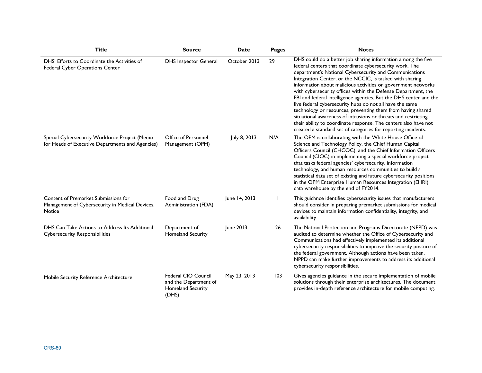| <b>Title</b>                                                                                      | <b>Source</b>                                                              | <b>Date</b>   | Pages | <b>Notes</b>                                                                                                                                                                                                                                                                                                                                                                                                                                                                                                                                                                                                                                                                                                                                                                          |
|---------------------------------------------------------------------------------------------------|----------------------------------------------------------------------------|---------------|-------|---------------------------------------------------------------------------------------------------------------------------------------------------------------------------------------------------------------------------------------------------------------------------------------------------------------------------------------------------------------------------------------------------------------------------------------------------------------------------------------------------------------------------------------------------------------------------------------------------------------------------------------------------------------------------------------------------------------------------------------------------------------------------------------|
| DHS' Efforts to Coordinate the Activities of<br>Federal Cyber Operations Center                   | <b>DHS Inspector General</b>                                               | October 2013  | 29    | DHS could do a better job sharing information among the five<br>federal centers that coordinate cybersecurity work. The<br>department's National Cybersecurity and Communications<br>Integration Center, or the NCCIC, is tasked with sharing<br>information about malicious activities on government networks<br>with cybersecurity offices within the Defense Department, the<br>FBI and federal intelligence agencies. But the DHS center and the<br>five federal cybersecurity hubs do not all have the same<br>technology or resources, preventing them from having shared<br>situational awareness of intrusions or threats and restricting<br>their ability to coordinate response. The centers also have not<br>created a standard set of categories for reporting incidents. |
| Special Cybersecurity Workforce Project (Memo<br>for Heads of Executive Departments and Agencies) | Office of Personnel<br>Management (OPM)                                    | July 8, 2013  | N/A   | The OPM is collaborating with the White House Office of<br>Science and Technology Policy, the Chief Human Capital<br>Officers Council (CHCOC), and the Chief Information Officers<br>Council (CIOC) in implementing a special workforce project<br>that tasks federal agencies' cybersecurity, information<br>technology, and human resources communities to build a<br>statistical data set of existing and future cybersecurity positions<br>in the OPM Enterprise Human Resources Integration (EHRI)<br>data warehouse by the end of FY2014.                                                                                                                                                                                                                                       |
| Content of Premarket Submissions for<br>Management of Cybersecurity in Medical Devices,<br>Notice | Food and Drug<br>Administration (FDA)                                      | June 14, 2013 |       | This guidance identifies cybersecurity issues that manufacturers<br>should consider in preparing premarket submissions for medical<br>devices to maintain information confidentiality, integrity, and<br>availability.                                                                                                                                                                                                                                                                                                                                                                                                                                                                                                                                                                |
| DHS Can Take Actions to Address Its Additional<br><b>Cybersecurity Responsibilities</b>           | Department of<br><b>Homeland Security</b>                                  | June 2013     | 26    | The National Protection and Programs Directorate (NPPD) was<br>audited to determine whether the Office of Cybersecurity and<br>Communications had effectively implemented its additional<br>cybersecurity responsibilities to improve the security posture of<br>the federal government. Although actions have been taken,<br>NPPD can make further improvements to address its additional<br>cybersecurity responsibilities.                                                                                                                                                                                                                                                                                                                                                         |
| Mobile Security Reference Architecture                                                            | Federal CIO Council<br>and the Department of<br>Homeland Security<br>(DHS) | May 23, 2013  | 103   | Gives agencies guidance in the secure implementation of mobile<br>solutions through their enterprise architectures. The document<br>provides in-depth reference architecture for mobile computing.                                                                                                                                                                                                                                                                                                                                                                                                                                                                                                                                                                                    |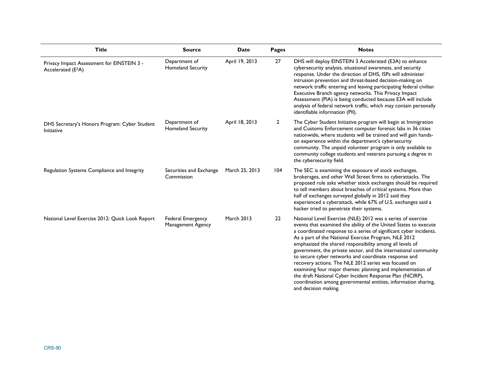| <b>Title</b>                                                                 | <b>Source</b>                             | <b>Date</b>       | Pages          | <b>Notes</b>                                                                                                                                                                                                                                                                                                                                                                                                                                                                                                                                                                                                                                                                                                                      |
|------------------------------------------------------------------------------|-------------------------------------------|-------------------|----------------|-----------------------------------------------------------------------------------------------------------------------------------------------------------------------------------------------------------------------------------------------------------------------------------------------------------------------------------------------------------------------------------------------------------------------------------------------------------------------------------------------------------------------------------------------------------------------------------------------------------------------------------------------------------------------------------------------------------------------------------|
| Privacy Impact Assessment for EINSTEIN 3 -<br>Accelerated (E <sup>3</sup> A) | Department of<br><b>Homeland Security</b> | April 19, 2013    | 27             | DHS will deploy EINSTEIN 3 Accelerated (E3A) to enhance<br>cybersecurity analysis, situational awareness, and security<br>response. Under the direction of DHS, ISPs will administer<br>intrusion prevention and threat-based decision-making on<br>network traffic entering and leaving participating federal civilian<br>Executive Branch agency networks. This Privacy Impact<br>Assessment (PIA) is being conducted because E3A will include<br>analysis of federal network traffic, which may contain personally<br>identifiable information (PII).                                                                                                                                                                          |
| DHS Secretary's Honors Program: Cyber Student<br>Initiative                  | Department of<br><b>Homeland Security</b> | April 18, 2013    | $\overline{2}$ | The Cyber Student Initiative program will begin at Immigration<br>and Customs Enforcement computer forensic labs in 36 cities<br>nationwide, where students will be trained and will gain hands-<br>on experience within the department's cybersecurity<br>community. The unpaid volunteer program is only available to<br>community college students and veterans pursuing a degree in<br>the cybersecurity field.                                                                                                                                                                                                                                                                                                               |
| Regulation Systems Compliance and Integrity                                  | Securities and Exchange<br>Commission     | March 25, 2013    | 104            | The SEC is examining the exposure of stock exchanges,<br>brokerages, and other Wall Street firms to cyberattacks. The<br>proposed rule asks whether stock exchanges should be required<br>to tell members about breaches of critical systems. More than<br>half of exchanges surveyed globally in 2012 said they<br>experienced a cyberattack, while 67% of U.S. exchanges said a<br>hacker tried to penetrate their systems.                                                                                                                                                                                                                                                                                                     |
| National Level Exercise 2012: Quick Look Report                              | Federal Emergency<br>Management Agency    | <b>March 2013</b> | 22             | National Level Exercise (NLE) 2012 was a series of exercise<br>events that examined the ability of the United States to execute<br>a coordinated response to a series of significant cyber incidents.<br>As a part of the National Exercise Program, NLE 2012<br>emphasized the shared responsibility among all levels of<br>government, the private sector, and the international community<br>to secure cyber networks and coordinate response and<br>recovery actions. The NLE 2012 series was focused on<br>examining four major themes: planning and implementation of<br>the draft National Cyber Incident Response Plan (NCIRP),<br>coordination among governmental entities, information sharing,<br>and decision making. |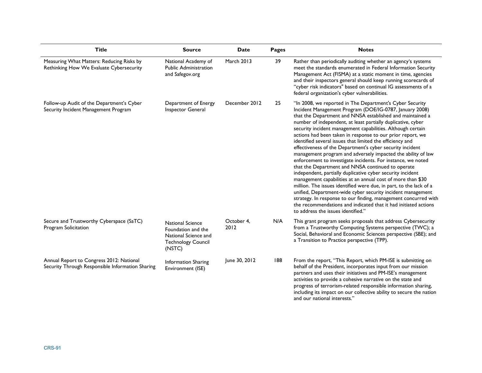| <b>Title</b>                                                                                 | <b>Source</b>                                                                                                | <b>Date</b>        | <b>Pages</b> | <b>Notes</b>                                                                                                                                                                                                                                                                                                                                                                                                                                                                                                                                                                                                                                                                                                                                                                                                                                                                                                                                                                                                                                                                                                                               |
|----------------------------------------------------------------------------------------------|--------------------------------------------------------------------------------------------------------------|--------------------|--------------|--------------------------------------------------------------------------------------------------------------------------------------------------------------------------------------------------------------------------------------------------------------------------------------------------------------------------------------------------------------------------------------------------------------------------------------------------------------------------------------------------------------------------------------------------------------------------------------------------------------------------------------------------------------------------------------------------------------------------------------------------------------------------------------------------------------------------------------------------------------------------------------------------------------------------------------------------------------------------------------------------------------------------------------------------------------------------------------------------------------------------------------------|
| Measuring What Matters: Reducing Risks by<br>Rethinking How We Evaluate Cybersecurity        | National Academy of<br><b>Public Administration</b><br>and Safegov.org                                       | March 2013         | 39           | Rather than periodically auditing whether an agency's systems<br>meet the standards enumerated in Federal Information Security<br>Management Act (FISMA) at a static moment in time, agencies<br>and their inspectors general should keep running scorecards of<br>"cyber risk indicators" based on continual IG assessments of a<br>federal organization's cyber vulnerabilities.                                                                                                                                                                                                                                                                                                                                                                                                                                                                                                                                                                                                                                                                                                                                                         |
| Follow-up Audit of the Department's Cyber<br>Security Incident Management Program            | Department of Energy<br>Inspector General                                                                    | December 2012      | 25           | "In 2008, we reported in The Department's Cyber Security<br>Incident Management Program (DOE/IG-0787, January 2008)<br>that the Department and NNSA established and maintained a<br>number of independent, at least partially duplicative, cyber<br>security incident management capabilities. Although certain<br>actions had been taken in response to our prior report, we<br>identified several issues that limited the efficiency and<br>effectiveness of the Department's cyber security incident<br>management program and adversely impacted the ability of law<br>enforcement to investigate incidents. For instance, we noted<br>that the Department and NNSA continued to operate<br>independent, partially duplicative cyber security incident<br>management capabilities at an annual cost of more than \$30<br>million. The issues identified were due, in part, to the lack of a<br>unified, Department-wide cyber security incident management<br>strategy. In response to our finding, management concurred with<br>the recommendations and indicated that it had initiated actions<br>to address the issues identified." |
| Secure and Trustworthy Cyberspace (SaTC)<br>Program Solicitation                             | <b>National Science</b><br>Foundation and the<br>National Science and<br><b>Technology Council</b><br>(NSTC) | October 4,<br>2012 | N/A          | This grant program seeks proposals that address Cybersecurity<br>from a Trustworthy Computing Systems perspective (TWC); a<br>Social, Behavioral and Economic Sciences perspective (SBE); and<br>a Transition to Practice perspective (TPP).                                                                                                                                                                                                                                                                                                                                                                                                                                                                                                                                                                                                                                                                                                                                                                                                                                                                                               |
| Annual Report to Congress 2012: National<br>Security Through Responsible Information Sharing | Information Sharing<br>Environment (ISE)                                                                     | June 30, 2012      | 188          | From the report, "This Report, which PM-ISE is submitting on<br>behalf of the President, incorporates input from our mission<br>partners and uses their initiatives and PM-ISE's management<br>activities to provide a cohesive narrative on the state and<br>progress of terrorism-related responsible information sharing,<br>including its impact on our collective ability to secure the nation<br>and our national interests."                                                                                                                                                                                                                                                                                                                                                                                                                                                                                                                                                                                                                                                                                                        |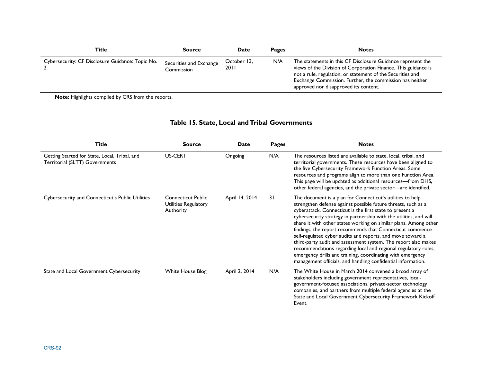| Title                                            | Source                                | Date                | <b>Pages</b> | <b>Notes</b>                                                                                                                                                                                                                                                                                     |
|--------------------------------------------------|---------------------------------------|---------------------|--------------|--------------------------------------------------------------------------------------------------------------------------------------------------------------------------------------------------------------------------------------------------------------------------------------------------|
| Cybersecurity: CF Disclosure Guidance: Topic No. | Securities and Exchange<br>Commission | October 13.<br>2011 | N/A          | The statements in this CF Disclosure Guidance represent the<br>views of the Division of Corporation Finance. This guidance is<br>not a rule, regulation, or statement of the Securities and<br>Exchange Commission. Further, the commission has neither<br>approved nor disapproved its content. |

## **Table 15. State, Local and Tribal Governments**

| <b>Title</b>                                                                    | <b>Source</b>                                                  | Date           | Pages | <b>Notes</b>                                                                                                                                                                                                                                                                                                                                                                                                                                                                                                                                                                                                                                                                                                                   |
|---------------------------------------------------------------------------------|----------------------------------------------------------------|----------------|-------|--------------------------------------------------------------------------------------------------------------------------------------------------------------------------------------------------------------------------------------------------------------------------------------------------------------------------------------------------------------------------------------------------------------------------------------------------------------------------------------------------------------------------------------------------------------------------------------------------------------------------------------------------------------------------------------------------------------------------------|
| Getting Started for State, Local, Tribal, and<br>Territorial (SLTT) Governments | US-CERT                                                        | Ongoing        | N/A   | The resources listed are available to state, local, tribal, and<br>territorial governments. These resources have been aligned to<br>the five Cybersecurity Framework Function Areas. Some<br>resources and programs align to more than one Function Area.<br>This page will be updated as additional resources-from DHS,<br>other federal agencies, and the private sector-are identified.                                                                                                                                                                                                                                                                                                                                     |
| Cybersecurity and Connecticut's Public Utilities                                | <b>Connecticut Public</b><br>Utilities Regulatory<br>Authority | April 14, 2014 | 31    | The document is a plan for Connecticut's utilities to help<br>strengthen defense against possible future threats, such as a<br>cyberattack. Connecticut is the first state to present a<br>cybersecurity strategy in partnership with the utilities, and will<br>share it with other states working on similar plans. Among other<br>findings, the report recommends that Connecticut commence<br>self-regulated cyber audits and reports, and move toward a<br>third-party audit and assessment system. The report also makes<br>recommendations regarding local and regional regulatory roles,<br>emergency drills and training, coordinating with emergency<br>management officials, and handling confidential information. |
| State and Local Government Cybersecurity                                        | <b>White House Blog</b>                                        | April 2, 2014  | N/A   | The White House in March 2014 convened a broad array of<br>stakeholders including government representatives, local-<br>government-focused associations, private-sector technology<br>companies, and partners from multiple federal agencies at the<br>State and Local Government Cybersecurity Framework Kickoff<br>Event.                                                                                                                                                                                                                                                                                                                                                                                                    |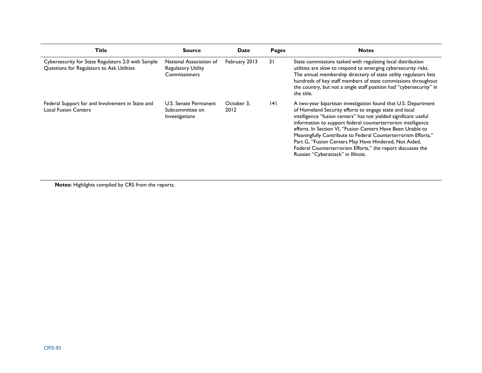| Title                                                                                           | <b>Source</b>                                                         | <b>Date</b>        | <b>Pages</b> | <b>Notes</b>                                                                                                                                                                                                                                                                                                                                                                                                                                                                                                                                               |
|-------------------------------------------------------------------------------------------------|-----------------------------------------------------------------------|--------------------|--------------|------------------------------------------------------------------------------------------------------------------------------------------------------------------------------------------------------------------------------------------------------------------------------------------------------------------------------------------------------------------------------------------------------------------------------------------------------------------------------------------------------------------------------------------------------------|
| Cybersecurity for State Regulators 2.0 with Sample<br>Questions for Regulators to Ask Utilities | National Association of<br><b>Regulatory Utility</b><br>Commissioners | February 2013      | 31           | State commissions tasked with regulating local distribution<br>utilities are slow to respond to emerging cybersecurity risks.<br>The annual membership directory of state utility regulators lists<br>hundreds of key staff members of state commissions throughout<br>the country, but not a single staff position had "cybersecurity" in<br>the title.                                                                                                                                                                                                   |
| Federal Support for and Involvement in State and<br><b>Local Fusion Centers</b>                 | U.S. Senate Permanent<br>Subcommittee on<br>Investigations            | October 3.<br>2012 | 141          | A two-year bipartisan investigation found that U.S. Department<br>of Homeland Security efforts to engage state and local<br>intelligence "fusion centers" has not yielded significant useful<br>information to support federal counterterrorism intelligence<br>efforts. In Section VI. "Fusion Centers Have Been Unable to<br>Meaningfully Contribute to Federal Counterterrorism Efforts,"<br>Part G, "Fusion Centers May Have Hindered, Not Aided,<br>Federal Counterterrorism Efforts," the report discusses the<br>Russian "Cyberattack" in Illinois. |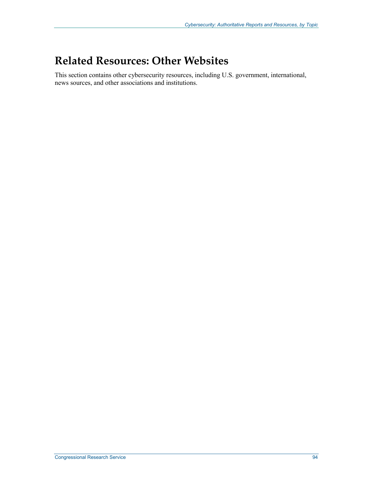# **Related Resources: Other Websites**

This section contains other cybersecurity resources, including U.S. government, international, news sources, and other associations and institutions.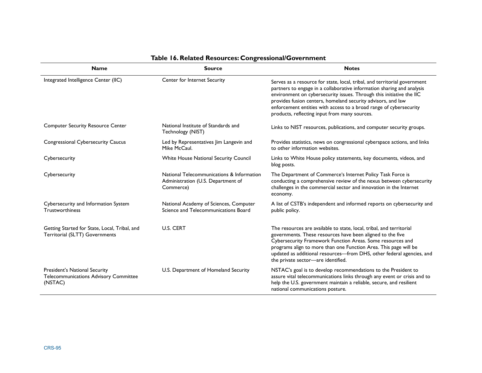| <b>Name</b>                                                                       | <b>Source</b>                                                                                | <b>Notes</b>                                                                                                                                                                                                                                                                                                                                                                                                       |  |  |
|-----------------------------------------------------------------------------------|----------------------------------------------------------------------------------------------|--------------------------------------------------------------------------------------------------------------------------------------------------------------------------------------------------------------------------------------------------------------------------------------------------------------------------------------------------------------------------------------------------------------------|--|--|
| Integrated Intelligence Center (IIC)                                              | Center for Internet Security                                                                 | Serves as a resource for state, local, tribal, and territorial government<br>partners to engage in a collaborative information sharing and analysis<br>environment on cybersecurity issues. Through this initiative the IIC<br>provides fusion centers, homeland security advisors, and law<br>enforcement entities with access to a broad range of cybersecurity<br>products, reflecting input from many sources. |  |  |
| <b>Computer Security Resource Center</b>                                          | National Institute of Standards and<br>Technology (NIST)                                     | Links to NIST resources, publications, and computer security groups.                                                                                                                                                                                                                                                                                                                                               |  |  |
| <b>Congressional Cybersecurity Caucus</b>                                         | Led by Representatives Jim Langevin and<br>Mike McCaul.                                      | Provides statistics, news on congressional cyberspace actions, and links<br>to other information websites.                                                                                                                                                                                                                                                                                                         |  |  |
| Cybersecurity                                                                     | White House National Security Council                                                        | Links to White House policy statements, key documents, videos, and<br>blog posts.                                                                                                                                                                                                                                                                                                                                  |  |  |
| Cybersecurity                                                                     | National Telecommunications & Information<br>Administration (U.S. Department of<br>Commerce) | The Department of Commerce's Internet Policy Task Force is<br>conducting a comprehensive review of the nexus between cybersecurity<br>challenges in the commercial sector and innovation in the Internet<br>economy.                                                                                                                                                                                               |  |  |
| Cybersecurity and Information System<br><b>Trustworthiness</b>                    | National Academy of Sciences, Computer<br>Science and Telecommunications Board               | A list of CSTB's independent and informed reports on cybersecurity and<br>public policy.                                                                                                                                                                                                                                                                                                                           |  |  |
| Getting Started for State, Local, Tribal, and<br>Territorial (SLTT) Governments   | U.S. CERT                                                                                    | The resources are available to state, local, tribal, and territorial<br>governments. These resources have been aligned to the five<br>Cybersecurity Framework Function Areas. Some resources and<br>programs align to more than one Function Area. This page will be<br>updated as additional resources-from DHS, other federal agencies, and<br>the private sector-are identified.                                |  |  |
| President's National Security<br>Telecommunications Advisory Committee<br>(NSTAC) | U.S. Department of Homeland Security                                                         | NSTAC's goal is to develop recommendations to the President to<br>assure vital telecommunications links through any event or crisis and to<br>help the U.S. government maintain a reliable, secure, and resilient<br>national communications posture.                                                                                                                                                              |  |  |

## **Table 16. Related Resources: Congressional/Government**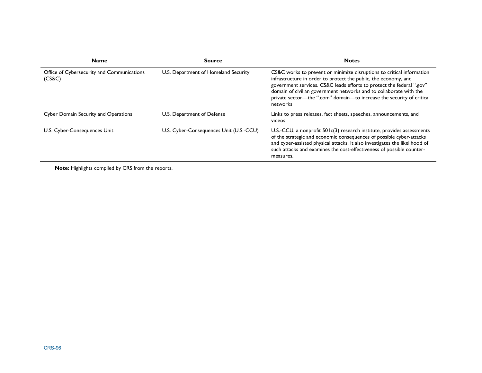| <b>Name</b>                                          | <b>Source</b>                           | <b>Notes</b>                                                                                                                                                                                                                                                                                                                                                                 |  |  |
|------------------------------------------------------|-----------------------------------------|------------------------------------------------------------------------------------------------------------------------------------------------------------------------------------------------------------------------------------------------------------------------------------------------------------------------------------------------------------------------------|--|--|
| Office of Cybersecurity and Communications<br>(CS&C) | U.S. Department of Homeland Security    | CS&C works to prevent or minimize disruptions to critical information<br>infrastructure in order to protect the public, the economy, and<br>government services. CS&C leads efforts to protect the federal ".gov"<br>domain of civilian government networks and to collaborate with the<br>private sector-the ".com" domain-to increase the security of critical<br>networks |  |  |
| <b>Cyber Domain Security and Operations</b>          | U.S. Department of Defense              | Links to press releases, fact sheets, speeches, announcements, and<br>videos.                                                                                                                                                                                                                                                                                                |  |  |
| U.S. Cyber-Consequences Unit                         | U.S. Cyber-Consequences Unit (U.S.-CCU) | U.S.-CCU, a nonprofit $501c(3)$ research institute, provides assessments<br>of the strategic and economic consequences of possible cyber-attacks<br>and cyber-assisted physical attacks. It also investigates the likelihood of<br>such attacks and examines the cost-effectiveness of possible counter-<br>measures.                                                        |  |  |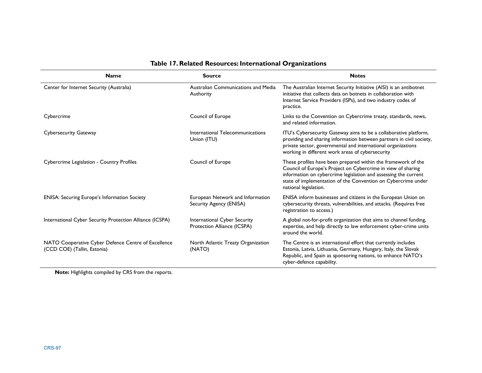| <b>Name</b>                                                                        | <b>Source</b>                                               | <b>Notes</b>                                                                                                                                                                                                                                                                               |
|------------------------------------------------------------------------------------|-------------------------------------------------------------|--------------------------------------------------------------------------------------------------------------------------------------------------------------------------------------------------------------------------------------------------------------------------------------------|
| Center for Internet Security (Australia)                                           | Australian Communications and Media<br>Authority            | The Australian Internet Security Initiative (AISI) is an antibotnet<br>initiative that collects data on botnets in collaboration with<br>Internet Service Providers (ISPs), and two industry codes of<br>practice.                                                                         |
| Cybercrime                                                                         | Council of Europe                                           | Links to the Convention on Cybercrime treaty, standards, news,<br>and related information.                                                                                                                                                                                                 |
| <b>Cybersecurity Gateway</b>                                                       | International Telecommunications<br>Union (ITU)             | ITU's Cybersecurity Gateway aims to be a collaborative platform,<br>providing and sharing information between partners in civil society,<br>private sector, governmental and international organizations<br>working in different work areas of cybersecurity                               |
| Cybercrime Legislation - Country Profiles                                          | Council of Europe                                           | These profiles have been prepared within the framework of the<br>Council of Europe's Project on Cybercrime in view of sharing<br>information on cybercrime legislation and assessing the current<br>state of implementation of the Convention on Cybercrime under<br>national legislation. |
| <b>ENISA: Securing Europe's Information Society</b>                                | European Network and Information<br>Security Agency (ENISA) | ENISA inform businesses and citizens in the European Union on<br>cybersecurity threats, vulnerabilities, and attacks. (Requires free<br>registration to access.)                                                                                                                           |
| International Cyber Security Protection Alliance (ICSPA)                           | International Cyber Security<br>Protection Alliance (ICSPA) | A global not-for-profit organization that aims to channel funding,<br>expertise, and help directly to law enforcement cyber-crime units<br>around the world.                                                                                                                               |
| NATO Cooperative Cyber Defence Centre of Excellence<br>(CCD COE) (Tallin, Estonia) | North Atlantic Treaty Organization<br>(NATO)                | The Centre is an international effort that currently includes<br>Estonia, Latvia, Lithuania, Germany, Hungary, Italy, the Slovak<br>Republic, and Spain as sponsoring nations, to enhance NATO's<br>cyber-defence capability.                                                              |

## **Table 17. Related Resources: International Organizations**

**Note:** Highlights compiled by CRS from the reports.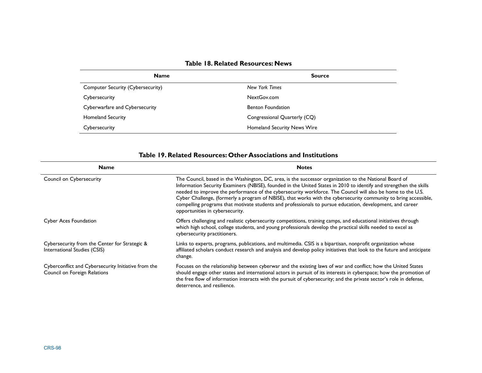| Table 18. Related Resources: News |  |
|-----------------------------------|--|
|-----------------------------------|--|

| <b>Name</b>                       | <b>Source</b>                      |
|-----------------------------------|------------------------------------|
| Computer Security (Cybersecurity) | New York Times                     |
| Cybersecurity                     | NextGov.com                        |
| Cyberwarfare and Cybersecurity    | <b>Benton Foundation</b>           |
| <b>Homeland Security</b>          | Congressional Quarterly (CQ)       |
| Cybersecurity                     | <b>Homeland Security News Wire</b> |

|      | Table 19. Related Resources: Other Associations and Institutions |  |
|------|------------------------------------------------------------------|--|
| Name | <b>Notes</b>                                                     |  |

| танс                                                                                | nous                                                                                                                                                                                                                                                                                                                                                                                                                                                                                                                                                                                                            |  |  |  |
|-------------------------------------------------------------------------------------|-----------------------------------------------------------------------------------------------------------------------------------------------------------------------------------------------------------------------------------------------------------------------------------------------------------------------------------------------------------------------------------------------------------------------------------------------------------------------------------------------------------------------------------------------------------------------------------------------------------------|--|--|--|
| Council on Cybersecurity                                                            | The Council, based in the Washington, DC, area, is the successor organization to the National Board of<br>Information Security Examiners (NBISE), founded in the United States in 2010 to identify and strengthen the skills<br>needed to improve the performance of the cybersecurity workforce. The Council will also be home to the U.S.<br>Cyber Challenge, (formerly a program of NBISE), that works with the cybersecurity community to bring accessible,<br>compelling programs that motivate students and professionals to pursue education, development, and career<br>opportunities in cybersecurity. |  |  |  |
| <b>Cyber Aces Foundation</b>                                                        | Offers challenging and realistic cybersecurity competitions, training camps, and educational initiatives through<br>which high school, college students, and young professionals develop the practical skills needed to excel as<br>cybersecurity practitioners.                                                                                                                                                                                                                                                                                                                                                |  |  |  |
| Cybersecurity from the Center for Strategic &<br>International Studies (CSIS)       | Links to experts, programs, publications, and multimedia. CSIS is a bipartisan, nonprofit organization whose<br>affiliated scholars conduct research and analysis and develop policy initiatives that look to the future and anticipate<br>change.                                                                                                                                                                                                                                                                                                                                                              |  |  |  |
| Cyberconflict and Cybersecurity Initiative from the<br>Council on Foreign Relations | Focuses on the relationship between cyberwar and the existing laws of war and conflict; how the United States<br>should engage other states and international actors in pursuit of its interests in cyberspace; how the promotion of<br>the free flow of information interacts with the pursuit of cybersecurity; and the private sector's role in defense,<br>deterrence, and resilience.                                                                                                                                                                                                                      |  |  |  |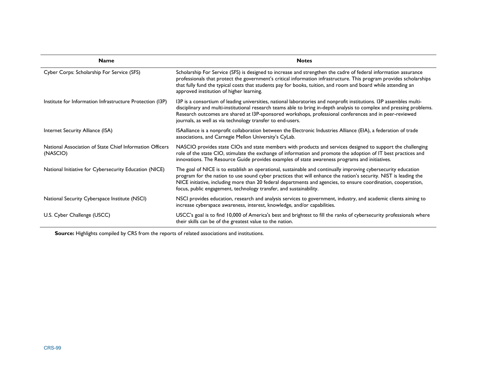| <b>Name</b>                                                          | <b>Notes</b>                                                                                                                                                                                                                                                                                                                                                                                                               |
|----------------------------------------------------------------------|----------------------------------------------------------------------------------------------------------------------------------------------------------------------------------------------------------------------------------------------------------------------------------------------------------------------------------------------------------------------------------------------------------------------------|
| Cyber Corps: Scholarship For Service (SFS)                           | Scholarship For Service (SFS) is designed to increase and strengthen the cadre of federal information assurance<br>professionals that protect the government's critical information infrastructure. This program provides scholarships<br>that fully fund the typical costs that students pay for books, tuition, and room and board while attending an<br>approved institution of higher learning.                        |
| Institute for Information Infrastructure Protection (I3P)            | 13P is a consortium of leading universities, national laboratories and nonprofit institutions. 13P assembles multi-<br>disciplinary and multi-institutional research teams able to bring in-depth analysis to complex and pressing problems.<br>Research outcomes are shared at I3P-sponsored workshops, professional conferences and in peer-reviewed<br>journals, as well as via technology transfer to end-users.       |
| Internet Security Alliance (ISA)                                     | ISAalliance is a nonprofit collaboration between the Electronic Industries Alliance (EIA), a federation of trade<br>associations, and Carnegie Mellon University's CyLab.                                                                                                                                                                                                                                                  |
| National Association of State Chief Information Officers<br>(NASCIO) | NASCIO provides state CIOs and state members with products and services designed to support the challenging<br>role of the state CIO, stimulate the exchange of information and promote the adoption of IT best practices and<br>innovations. The Resource Guide provides examples of state awareness programs and initiatives.                                                                                            |
| National Initiative for Cybersecurity Education (NICE)               | The goal of NICE is to establish an operational, sustainable and continually improving cybersecurity education<br>program for the nation to use sound cyber practices that will enhance the nation's security. NIST is leading the<br>NICE initiative, including more than 20 federal departments and agencies, to ensure coordination, cooperation,<br>focus, public engagement, technology transfer, and sustainability. |
| National Security Cyberspace Institute (NSCI)                        | NSCI provides education, research and analysis services to government, industry, and academic clients aiming to<br>increase cyberspace awareness, interest, knowledge, and/or capabilities.                                                                                                                                                                                                                                |
| U.S. Cyber Challenge (USCC)                                          | USCC's goal is to find 10,000 of America's best and brightest to fill the ranks of cybersecurity professionals where<br>their skills can be of the greatest value to the nation.                                                                                                                                                                                                                                           |

**Source:** Highlights compiled by CRS from the reports of related associations and institutions.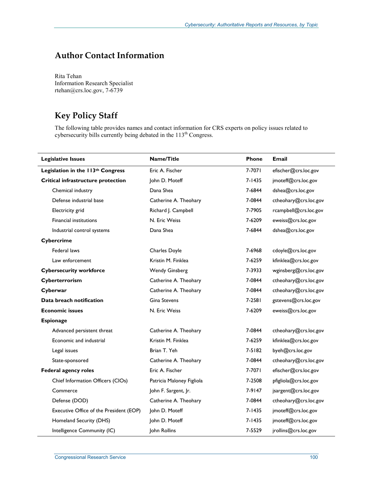# **Author Contact Information**

Rita Tehan Information Research Specialist rtehan@crs.loc.gov, 7-6739

## **Key Policy Staff**

The following table provides names and contact information for CRS experts on policy issues related to cybersecurity bills currently being debated in the 113<sup>th</sup> Congress.

| <b>Legislative Issues</b>               | Name/Title                | Phone      | <b>Email</b>          |
|-----------------------------------------|---------------------------|------------|-----------------------|
| Legislation in the 113th Congress       | Eric A. Fischer           | 7-7071     | efischer@crs.loc.gov  |
| Critical infrastructure protection      | John D. Moteff            | 7-1435     | jmoteff@crs.loc.gov   |
| Chemical industry                       | Dana Shea                 | 7-6844     | dshea@crs.loc.gov     |
| Defense industrial base                 | Catherine A. Theohary     | 7-0844     | ctheohary@crs.loc.gov |
| Electricity grid                        | Richard J. Campbell       | 7-7905     | rcampbell@crs.loc.gov |
| <b>Financial institutions</b>           | N. Eric Weiss             | 7-6209     | eweiss@crs.loc.gov    |
| Industrial control systems              | Dana Shea                 | 7-6844     | dshea@crs.loc.gov     |
| Cybercrime                              |                           |            |                       |
| Federal laws                            | Charles Doyle             | 7-6968     | cdoyle@crs.loc.gov    |
| Law enforcement                         | Kristin M. Finklea        | 7-6259     | kfinklea@crs.loc.gov  |
| <b>Cybersecurity workforce</b>          | <b>Wendy Ginsberg</b>     | 7-3933     | wginsberg@crs.loc.gov |
| Cyberterrorism                          | Catherine A. Theohary     | 7-0844     | ctheohary@crs.loc.gov |
| Cyberwar                                | Catherine A. Theohary     | 7-0844     | ctheohary@crs.loc.gov |
| Data breach notification                | <b>Gina Stevens</b>       | 7-2581     | gstevens@crs.loc.gov  |
| <b>Economic issues</b>                  | N. Eric Weiss             | 7-6209     | eweiss@crs.loc.gov    |
| <b>Espionage</b>                        |                           |            |                       |
| Advanced persistent threat              | Catherine A. Theohary     | 7-0844     | ctheohary@crs.loc.gov |
| Economic and industrial                 | Kristin M. Finklea        | 7-6259     | kfinklea@crs.loc.gov  |
| Legal issues                            | Brian T. Yeh              | 7-5182     | byeh@crs.loc.gov      |
| State-sponsored                         | Catherine A. Theohary     | 7-0844     | ctheohary@crs.loc.gov |
| <b>Federal agency roles</b>             | Eric A. Fischer           | 7-7071     | efischer@crs.loc.gov  |
| Chief Information Officers (CIOs)       | Patricia Maloney Figliola | 7-2508     | pfigliola@crs.loc.gov |
| Commerce                                | John F. Sargent, Jr.      | 7-9147     | jsargent@crs.loc.gov  |
| Defense (DOD)                           | Catherine A. Theohary     | 7-0844     | ctheohary@crs.loc.gov |
| Executive Office of the President (EOP) | John D. Moteff            | $7 - 1435$ | jmoteff@crs.loc.gov   |
| Homeland Security (DHS)                 | John D. Moteff            | 7-1435     | jmoteff@crs.loc.gov   |
| Intelligence Community (IC)             | <b>Iohn Rollins</b>       | 7-5529     | jrollins@crs.loc.gov  |